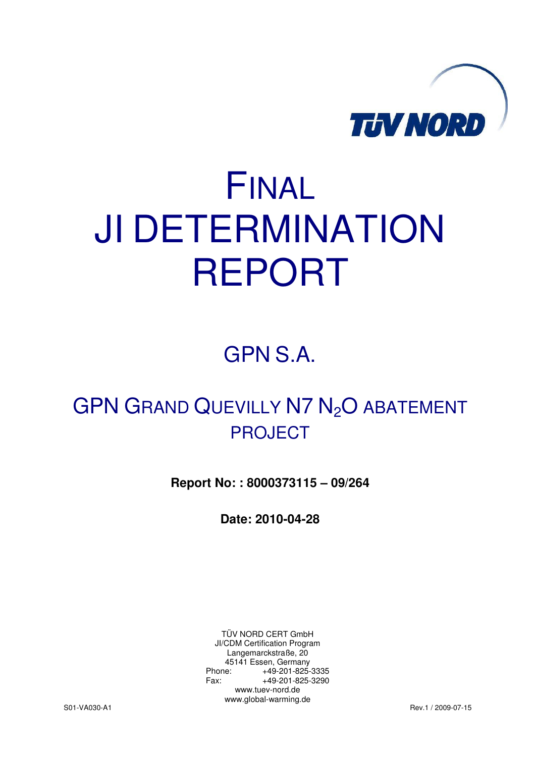

# FINAL JI DETERMINATION REPORT

GPN S.A.

## GPN GRAND QUEVILLY N7 N<sub>2</sub>O ABATEMENT PROJECT

**Report No: : 8000373115 – 09/264** 

**Date: 2010-04-28** 

TÜV NORD CERT GmbH JI/CDM Certification Program Langemarckstraße, 20 45141 Essen, Germany Phone: +49-201-825-3335 Fax: +49-201-825-3290 www.tuev-nord.de www.global-warming.de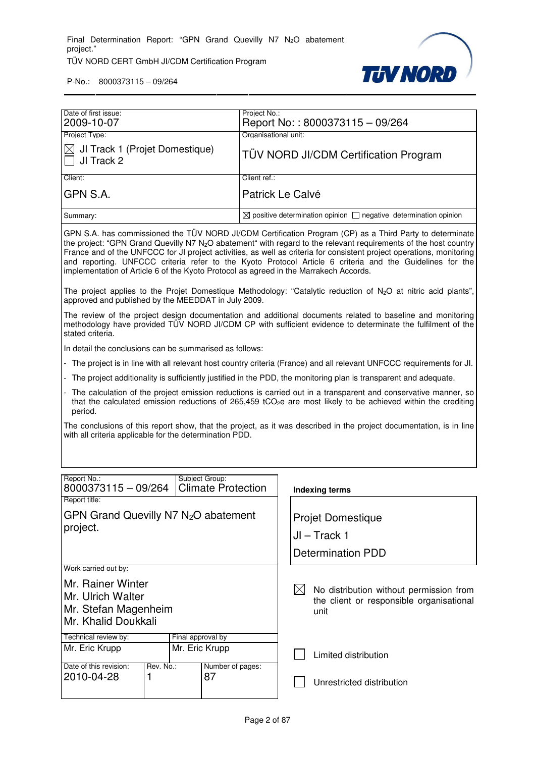

| Date of first issue:                               | Project No.:                                                                                                                                                                                                                                                                                                                                                      |
|----------------------------------------------------|-------------------------------------------------------------------------------------------------------------------------------------------------------------------------------------------------------------------------------------------------------------------------------------------------------------------------------------------------------------------|
| 2009-10-07                                         | Report No:: 8000373115 - 09/264                                                                                                                                                                                                                                                                                                                                   |
| Project Type:                                      | Organisational unit:                                                                                                                                                                                                                                                                                                                                              |
| ⊠ JI Track 1 (Projet Domestique)<br>  □ JI Track 2 | <b>TÜV NORD JI/CDM Certification Program</b>                                                                                                                                                                                                                                                                                                                      |
| Client:                                            | Client ref.:                                                                                                                                                                                                                                                                                                                                                      |
| GPN S.A.                                           | Patrick Le Calvé                                                                                                                                                                                                                                                                                                                                                  |
| Summary:                                           | $\boxtimes$ positive determination opinion $\Box$ negative determination opinion                                                                                                                                                                                                                                                                                  |
|                                                    | GPN S.A. has commissioned the TÜV NORD JI/CDM Certification Program (CP) as a Third Party to determinate<br>the project: "GPN Grand Quevilly N7 N <sub>2</sub> O abatement" with regard to the relevant requirements of the host country<br>France and of the UNFCCC for JI project activities, as well as criteria for consistent project operations, monitoring |

France and of the UNFCCC for JI project activities, as well as criteria for consistent project operations, monitoring and reporting. UNFCCC criteria refer to the Kyoto Protocol Article 6 criteria and the Guidelines for the implementation of Article 6 of the Kyoto Protocol as agreed in the Marrakech Accords.

The project applies to the Projet Domestique Methodology: "Catalytic reduction of N<sub>2</sub>O at nitric acid plants", approved and published by the MEEDDAT in July 2009.

The review of the project design documentation and additional documents related to baseline and monitoring methodology have provided TÜV NORD JI/CDM CP with sufficient evidence to determinate the fulfilment of the stated criteria.

In detail the conclusions can be summarised as follows:

- The project is in line with all relevant host country criteria (France) and all relevant UNFCCC requirements for Jl.
- The project additionality is sufficiently justified in the PDD, the monitoring plan is transparent and adequate.
- The calculation of the project emission reductions is carried out in a transparent and conservative manner, so that the calculated emission reductions of 265,459 tCO<sub>2</sub>e are most likely to be achieved within the crediting period.

The conclusions of this report show, that the project, as it was described in the project documentation, is in line with all criteria applicable for the determination PDD.

| Report No.:<br>8000373115 - 09/264                                                    |  |                                                                                             | Subject Group:<br><b>Climate Protection</b> |                          |
|---------------------------------------------------------------------------------------|--|---------------------------------------------------------------------------------------------|---------------------------------------------|--------------------------|
| Report title:                                                                         |  |                                                                                             |                                             | <b>Indexing terms</b>    |
|                                                                                       |  |                                                                                             |                                             |                          |
| GPN Grand Quevilly N7 $N_2O$ abatement                                                |  |                                                                                             |                                             | <b>Projet Domestique</b> |
| project.                                                                              |  |                                                                                             |                                             | JI – Track 1             |
|                                                                                       |  |                                                                                             |                                             | <b>Determination PDD</b> |
| Work carried out by:                                                                  |  |                                                                                             |                                             |                          |
| Mr. Rainer Winter<br>Mr. Ulrich Walter<br>Mr. Stefan Magenheim<br>Mr. Khalid Doukkali |  | No distribution without permission from<br>the client or responsible organisational<br>unit |                                             |                          |
| Technical review by:                                                                  |  | Final approval by                                                                           |                                             |                          |
| Mr. Eric Krupp<br>Mr. Eric Krupp                                                      |  |                                                                                             | Limited distribution                        |                          |
| Date of this revision:<br>Rev. No.:                                                   |  | Number of pages:                                                                            |                                             |                          |
| 2010-04-28                                                                            |  | 87                                                                                          | Unrestricted distribution                   |                          |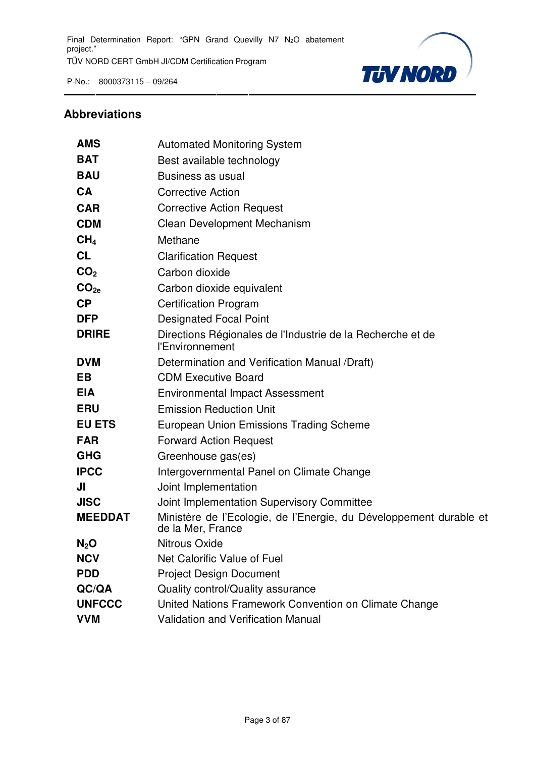

#### **Abbreviations**

| <b>AMS</b>       | <b>Automated Monitoring System</b>                                                      |
|------------------|-----------------------------------------------------------------------------------------|
| <b>BAT</b>       | Best available technology                                                               |
| <b>BAU</b>       | Business as usual                                                                       |
| <b>CA</b>        | <b>Corrective Action</b>                                                                |
| <b>CAR</b>       | <b>Corrective Action Request</b>                                                        |
| <b>CDM</b>       | <b>Clean Development Mechanism</b>                                                      |
| CH <sub>4</sub>  | Methane                                                                                 |
| <b>CL</b>        | <b>Clarification Request</b>                                                            |
| CO <sub>2</sub>  | Carbon dioxide                                                                          |
| CO <sub>2e</sub> | Carbon dioxide equivalent                                                               |
| <b>CP</b>        | <b>Certification Program</b>                                                            |
| <b>DFP</b>       | <b>Designated Focal Point</b>                                                           |
| <b>DRIRE</b>     | Directions Régionales de l'Industrie de la Recherche et de<br>l'Environnement           |
| <b>DVM</b>       | Determination and Verification Manual /Draft)                                           |
| <b>EB</b>        | <b>CDM Executive Board</b>                                                              |
| <b>EIA</b>       | <b>Environmental Impact Assessment</b>                                                  |
| <b>ERU</b>       | <b>Emission Reduction Unit</b>                                                          |
| <b>EU ETS</b>    | European Union Emissions Trading Scheme                                                 |
| <b>FAR</b>       | <b>Forward Action Request</b>                                                           |
| <b>GHG</b>       | Greenhouse gas(es)                                                                      |
| <b>IPCC</b>      | Intergovernmental Panel on Climate Change                                               |
| JI               | Joint Implementation                                                                    |
| <b>JISC</b>      | Joint Implementation Supervisory Committee                                              |
| <b>MEEDDAT</b>   | Ministère de l'Ecologie, de l'Energie, du Développement durable et<br>de la Mer, France |
| $N_2$ O          | <b>Nitrous Oxide</b>                                                                    |
| <b>NCV</b>       | Net Calorific Value of Fuel                                                             |
| <b>PDD</b>       | <b>Project Design Document</b>                                                          |
| QC/QA            | Quality control/Quality assurance                                                       |
| <b>UNFCCC</b>    | United Nations Framework Convention on Climate Change                                   |
| <b>VVM</b>       | Validation and Verification Manual                                                      |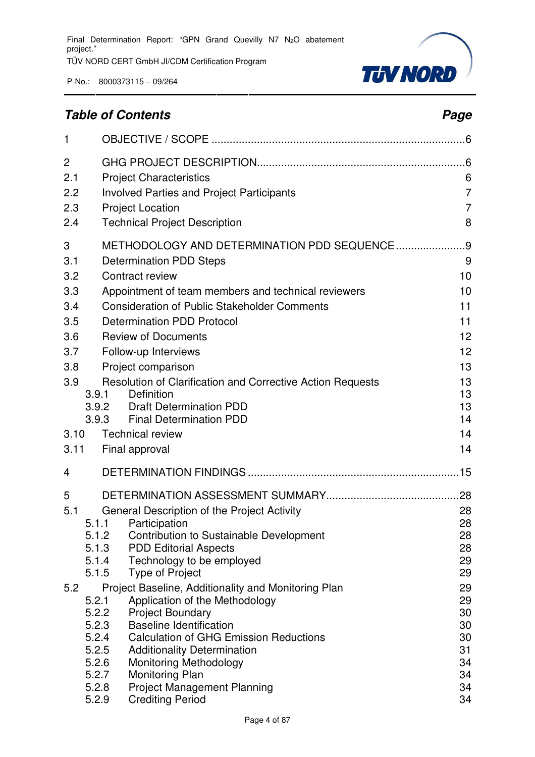

### **Table of Contents Page 2014**

| $\mathbf{1}$    |                |                                                                                         |                     |
|-----------------|----------------|-----------------------------------------------------------------------------------------|---------------------|
| 2<br>2.1<br>2.2 |                | <b>Project Characteristics</b><br><b>Involved Parties and Project Participants</b>      | 6<br>$\overline{7}$ |
| 2.3<br>2.4      |                | <b>Project Location</b><br><b>Technical Project Description</b>                         | $\overline{7}$<br>8 |
| 3<br>3.1        |                | METHODOLOGY AND DETERMINATION PDD SEQUENCE<br><b>Determination PDD Steps</b>            | .9<br>9             |
| 3.2             |                | Contract review                                                                         | 10                  |
| 3.3             |                | Appointment of team members and technical reviewers                                     | 10                  |
| 3.4             |                | <b>Consideration of Public Stakeholder Comments</b>                                     | 11                  |
| 3.5             |                | <b>Determination PDD Protocol</b>                                                       | 11                  |
| 3.6             |                | <b>Review of Documents</b>                                                              | 12                  |
| 3.7             |                | Follow-up Interviews                                                                    | 12                  |
| 3.8<br>3.9      |                | Project comparison<br><b>Resolution of Clarification and Corrective Action Requests</b> | 13<br>13            |
|                 | 3.9.1          | Definition                                                                              | 13                  |
|                 | 3.9.2          | <b>Draft Determination PDD</b>                                                          | 13                  |
|                 | 3.9.3          | <b>Final Determination PDD</b>                                                          | 14                  |
| 3.10            |                | <b>Technical review</b>                                                                 | 14<br>14            |
| 3.11            |                | Final approval                                                                          |                     |
| 4               |                |                                                                                         |                     |
| 5               |                |                                                                                         | .28                 |
| 5.1             |                | General Description of the Project Activity                                             | 28                  |
|                 | 5.1.1<br>5.1.2 | Participation<br>Contribution to Sustainable Development                                | 28<br>28            |
|                 | 5.1.3          | <b>PDD Editorial Aspects</b>                                                            | 28                  |
|                 | 5.1.4          | Technology to be employed                                                               | 29                  |
|                 | 5.1.5          | <b>Type of Project</b>                                                                  | 29                  |
| 5.2             | 5.2.1          | Project Baseline, Additionality and Monitoring Plan<br>Application of the Methodology   | 29<br>29            |
|                 | 5.2.2          | <b>Project Boundary</b>                                                                 | 30                  |
|                 | 5.2.3          | <b>Baseline Identification</b>                                                          | 30                  |
|                 | 5.2.4<br>5.2.5 | <b>Calculation of GHG Emission Reductions</b>                                           | 30<br>31            |
|                 | 5.2.6          | <b>Additionality Determination</b><br><b>Monitoring Methodology</b>                     | 34                  |
|                 | 5.2.7          | <b>Monitoring Plan</b>                                                                  | 34                  |
|                 | 5.2.8          | <b>Project Management Planning</b>                                                      | 34                  |
|                 | 5.2.9          | <b>Crediting Period</b>                                                                 | 34                  |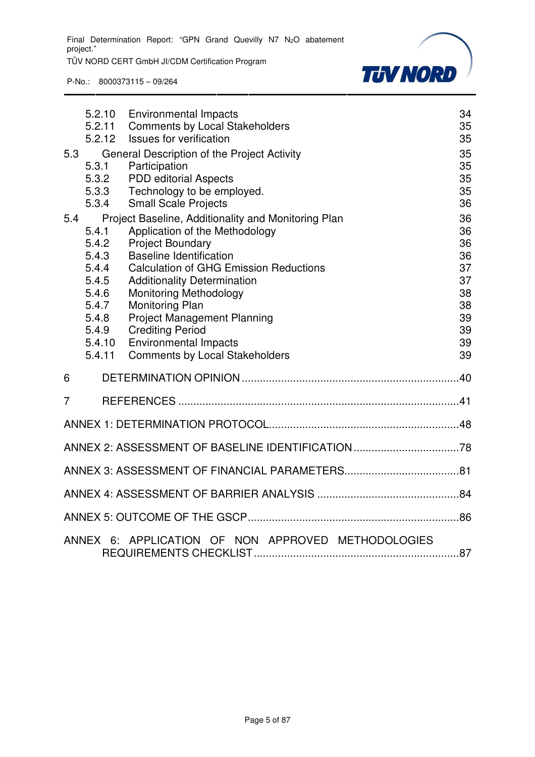Final Determination Report: "GPN Grand Quevilly N7 N<sub>2</sub>O abatement project."

TÜV NORD CERT GmbH JI/CDM Certification Program



|     | 5.2.10<br>5.2.11<br>5.2.12                                                                        | <b>Environmental Impacts</b><br><b>Comments by Local Stakeholders</b><br>Issues for verification                                                                                                                                                                                                                                                                                                                                               | 34<br>35<br>35                                                       |
|-----|---------------------------------------------------------------------------------------------------|------------------------------------------------------------------------------------------------------------------------------------------------------------------------------------------------------------------------------------------------------------------------------------------------------------------------------------------------------------------------------------------------------------------------------------------------|----------------------------------------------------------------------|
| 5.3 | 5.3.1<br>5.3.2<br>5.3.3<br>5.3.4                                                                  | General Description of the Project Activity<br>Participation<br><b>PDD</b> editorial Aspects<br>Technology to be employed.<br><b>Small Scale Projects</b>                                                                                                                                                                                                                                                                                      | 35<br>35<br>35<br>35<br>36                                           |
| 5.4 | 5.4.1<br>5.4.2<br>5.4.3<br>5.4.4<br>5.4.5<br>5.4.6<br>5.4.7<br>5.4.8<br>5.4.9<br>5.4.10<br>5.4.11 | Project Baseline, Additionality and Monitoring Plan<br>Application of the Methodology<br><b>Project Boundary</b><br><b>Baseline Identification</b><br><b>Calculation of GHG Emission Reductions</b><br><b>Additionality Determination</b><br><b>Monitoring Methodology</b><br><b>Monitoring Plan</b><br><b>Project Management Planning</b><br><b>Crediting Period</b><br><b>Environmental Impacts</b><br><b>Comments by Local Stakeholders</b> | 36<br>36<br>36<br>36<br>37<br>37<br>38<br>38<br>39<br>39<br>39<br>39 |
| 6   |                                                                                                   |                                                                                                                                                                                                                                                                                                                                                                                                                                                |                                                                      |
| 7   |                                                                                                   |                                                                                                                                                                                                                                                                                                                                                                                                                                                |                                                                      |
|     |                                                                                                   |                                                                                                                                                                                                                                                                                                                                                                                                                                                |                                                                      |
|     |                                                                                                   |                                                                                                                                                                                                                                                                                                                                                                                                                                                |                                                                      |
|     |                                                                                                   |                                                                                                                                                                                                                                                                                                                                                                                                                                                |                                                                      |
|     |                                                                                                   |                                                                                                                                                                                                                                                                                                                                                                                                                                                |                                                                      |
|     |                                                                                                   |                                                                                                                                                                                                                                                                                                                                                                                                                                                |                                                                      |
|     |                                                                                                   | ANNEX 6: APPLICATION OF NON APPROVED METHODOLOGIES                                                                                                                                                                                                                                                                                                                                                                                             |                                                                      |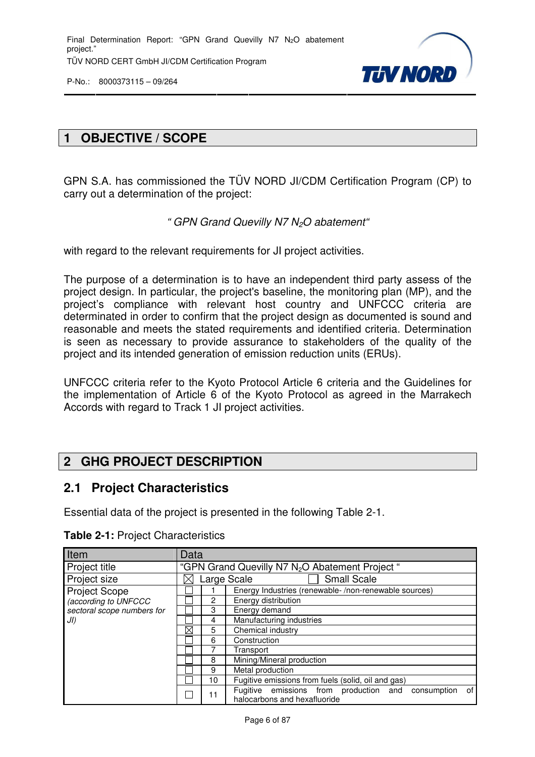

#### **1 OBJECTIVE / SCOPE**

GPN S.A. has commissioned the TÜV NORD JI/CDM Certification Program (CP) to carry out a determination of the project:

#### " GPN Grand Quevilly N7 N<sub>2</sub>O abatement"

with regard to the relevant requirements for JI project activities.

The purpose of a determination is to have an independent third party assess of the project design. In particular, the project's baseline, the monitoring plan (MP), and the project's compliance with relevant host country and UNFCCC criteria are determinated in order to confirm that the project design as documented is sound and reasonable and meets the stated requirements and identified criteria. Determination is seen as necessary to provide assurance to stakeholders of the quality of the project and its intended generation of emission reduction units (ERUs).

UNFCCC criteria refer to the Kyoto Protocol Article 6 criteria and the Guidelines for the implementation of Article 6 of the Kyoto Protocol as agreed in the Marrakech Accords with regard to Track 1 JI project activities.

#### **2 GHG PROJECT DESCRIPTION**

#### **2.1 Project Characteristics**

Essential data of the project is presented in the following Table 2-1.

| Item                       | Data              |                               |                                                                                             |  |
|----------------------------|-------------------|-------------------------------|---------------------------------------------------------------------------------------------|--|
| Project title              |                   |                               | "GPN Grand Quevilly N7 N <sub>2</sub> O Abatement Project"                                  |  |
| Project size               |                   |                               | <b>Small Scale</b><br>Large Scale                                                           |  |
| <b>Project Scope</b>       |                   |                               | Energy Industries (renewable-/non-renewable sources)                                        |  |
| (according to UNFCCC       |                   | 2                             | Energy distribution                                                                         |  |
| sectoral scope numbers for |                   | 3                             | Energy demand                                                                               |  |
| JI)                        |                   | Manufacturing industries<br>4 |                                                                                             |  |
|                            | $\boxtimes$       | 5                             | Chemical industry                                                                           |  |
|                            | Construction<br>6 |                               |                                                                                             |  |
|                            |                   |                               | Transport                                                                                   |  |
|                            |                   | 8                             | Mining/Mineral production                                                                   |  |
|                            |                   | 9                             | Metal production                                                                            |  |
|                            |                   | 10                            | Fugitive emissions from fuels (solid, oil and gas)                                          |  |
|                            |                   | 11                            | of<br>Fugitive emissions from production and<br>consumption<br>halocarbons and hexafluoride |  |

**Table 2-1:** Project Characteristics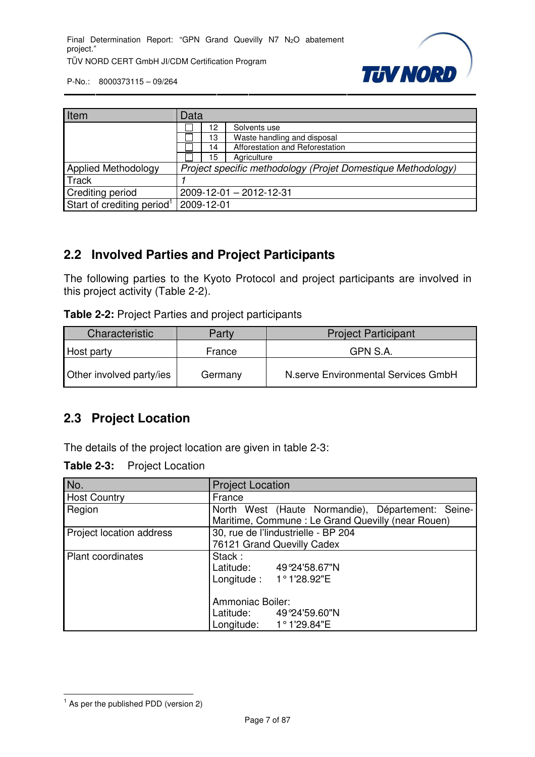

| Item                                   | Data |                                                              |                                 |  |
|----------------------------------------|------|--------------------------------------------------------------|---------------------------------|--|
|                                        |      | 12                                                           | Solvents use                    |  |
|                                        |      | 13                                                           | Waste handling and disposal     |  |
|                                        |      | 14                                                           | Afforestation and Reforestation |  |
|                                        |      | 15                                                           | Agriculture                     |  |
| <b>Applied Methodology</b>             |      | Project specific methodology (Projet Domestique Methodology) |                                 |  |
| <b>Track</b>                           |      |                                                              |                                 |  |
| <b>Crediting period</b>                |      | 2009-12-01 - 2012-12-31                                      |                                 |  |
| Start of crediting period <sup>1</sup> |      | 2009-12-01                                                   |                                 |  |

#### **2.2 Involved Parties and Project Participants**

The following parties to the Kyoto Protocol and project participants are involved in this project activity (Table 2-2).

| Table 2-2: Project Parties and project participants |  |  |  |
|-----------------------------------------------------|--|--|--|
|-----------------------------------------------------|--|--|--|

| Characteristic           | Party   | <b>Project Participant</b>          |
|--------------------------|---------|-------------------------------------|
| Host party               | France  | GPN S.A.                            |
| Other involved party/ies | Germany | N.serve Environmental Services GmbH |

#### **2.3 Project Location**

The details of the project location are given in table 2-3:

| <b>Table 2-3:</b> | <b>Project Location</b> |
|-------------------|-------------------------|
|-------------------|-------------------------|

| No.                      | <b>Project Location</b>                                                                                |
|--------------------------|--------------------------------------------------------------------------------------------------------|
| <b>Host Country</b>      | France                                                                                                 |
| Region                   | North West (Haute Normandie), Département: Seine-<br>Maritime, Commune: Le Grand Quevilly (near Rouen) |
| Project location address | 30, rue de l'lindustrielle - BP 204<br>76121 Grand Quevilly Cadex                                      |
| <b>Plant coordinates</b> | Stack:<br>Latitude: 49°24'58.67"N<br>Longitude: 1°1'28.92"E                                            |
|                          | Ammoniac Boiler:<br>Latitude: 49°24'59.60"N<br>Longitude: $1°1'29.84"E$                                |

 1 As per the published PDD (version 2)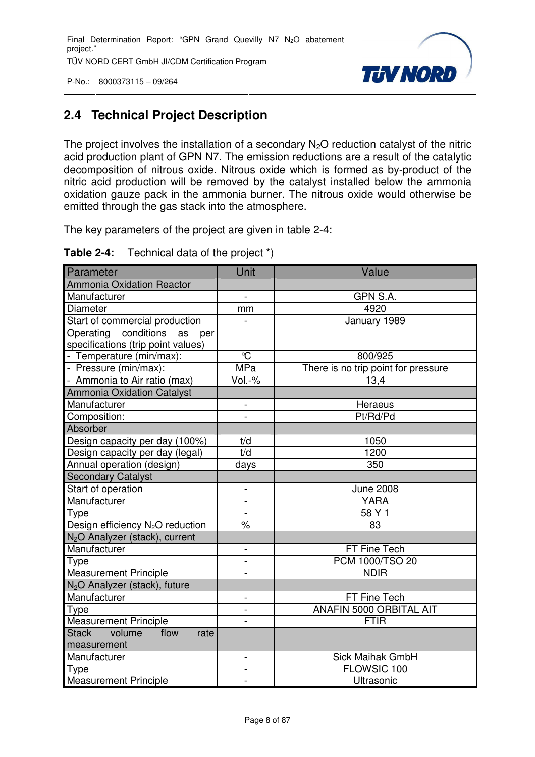

#### **2.4 Technical Project Description**

The project involves the installation of a secondary  $N_2O$  reduction catalyst of the nitric acid production plant of GPN N7. The emission reductions are a result of the catalytic decomposition of nitrous oxide. Nitrous oxide which is formed as by-product of the nitric acid production will be removed by the catalyst installed below the ammonia oxidation gauze pack in the ammonia burner. The nitrous oxide would otherwise be emitted through the gas stack into the atmosphere.

The key parameters of the project are given in table 2-4:

| Table 2-4: | Technical data of the project *) |  |  |  |  |
|------------|----------------------------------|--|--|--|--|
|------------|----------------------------------|--|--|--|--|

| Parameter                                    | Unit                     | Value                               |
|----------------------------------------------|--------------------------|-------------------------------------|
| <b>Ammonia Oxidation Reactor</b>             |                          |                                     |
| Manufacturer                                 | $\overline{a}$           | GPN S.A.                            |
| Diameter                                     | mm                       | 4920                                |
| Start of commercial production               |                          | January 1989                        |
| Operating conditions<br>as<br>per            |                          |                                     |
| specifications (trip point values)           |                          |                                     |
| - Temperature (min/max):                     | $\mathrm{C}$             | 800/925                             |
| - Pressure (min/max):                        | <b>MPa</b>               | There is no trip point for pressure |
| - Ammonia to Air ratio (max)                 | Vol.-%                   | 13,4                                |
| <b>Ammonia Oxidation Catalyst</b>            |                          |                                     |
| Manufacturer                                 | $\overline{\phantom{0}}$ | Heraeus                             |
| Composition:                                 |                          | Pt/Rd/Pd                            |
| Absorber                                     |                          |                                     |
| Design capacity per day (100%)               | t/d                      | 1050                                |
| Design capacity per day (legal)              | t/d                      | 1200                                |
| Annual operation (design)                    | days                     | 350                                 |
| <b>Secondary Catalyst</b>                    |                          |                                     |
| Start of operation                           | $\blacksquare$           | <b>June 2008</b>                    |
| Manufacturer                                 | $\overline{\phantom{a}}$ | <b>YARA</b>                         |
| <b>Type</b>                                  |                          | 58 Y 1                              |
| Design efficiency N <sub>2</sub> O reduction | $\frac{1}{\sqrt{2}}$     | 83                                  |
| N <sub>2</sub> O Analyzer (stack), current   |                          |                                     |
| Manufacturer                                 | $\overline{a}$           | FT Fine Tech                        |
| Type                                         | $\overline{\phantom{a}}$ | PCM 1000/TSO 20                     |
| Measurement Principle                        | $\overline{a}$           | <b>NDIR</b>                         |
| N <sub>2</sub> O Analyzer (stack), future    |                          |                                     |
| Manufacturer                                 | $\overline{\phantom{0}}$ | FT Fine Tech                        |
| Type                                         |                          | ANAFIN 5000 ORBITAL AIT             |
| <b>Measurement Principle</b>                 |                          | <b>FTIR</b>                         |
| Stack volume<br>flow<br>rate                 |                          |                                     |
| measurement                                  |                          |                                     |
| Manufacturer                                 | $\overline{a}$           | <b>Sick Maihak GmbH</b>             |
| Type                                         | $\overline{\phantom{0}}$ | FLOWSIC 100                         |
| <b>Measurement Principle</b>                 | $\overline{a}$           | Ultrasonic                          |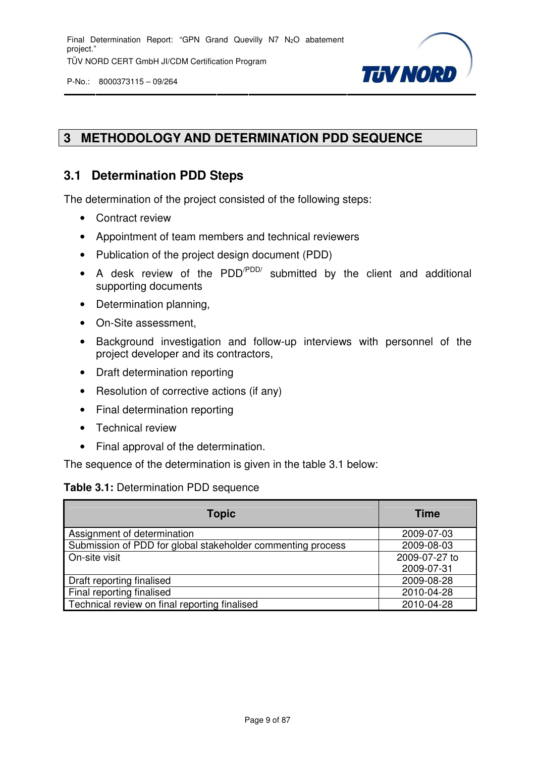



#### **3 METHODOLOGY AND DETERMINATION PDD SEQUENCE**

#### **3.1 Determination PDD Steps**

The determination of the project consisted of the following steps:

- Contract review
- Appointment of team members and technical reviewers
- Publication of the project design document (PDD)
- A desk review of the  $PDD'^{PDD'}$  submitted by the client and additional supporting documents
- Determination planning,
- On-Site assessment,
- Background investigation and follow-up interviews with personnel of the project developer and its contractors,
- Draft determination reporting
- Resolution of corrective actions (if any)
- Final determination reporting
- Technical review
- Final approval of the determination.

The sequence of the determination is given in the table 3.1 below:

#### **Table 3.1:** Determination PDD sequence

| <b>Topic</b>                                                | <b>Time</b>   |
|-------------------------------------------------------------|---------------|
| Assignment of determination                                 | 2009-07-03    |
| Submission of PDD for global stakeholder commenting process | 2009-08-03    |
| On-site visit                                               | 2009-07-27 to |
|                                                             | 2009-07-31    |
| Draft reporting finalised                                   | 2009-08-28    |
| Final reporting finalised                                   | 2010-04-28    |
| Technical review on final reporting finalised               | 2010-04-28    |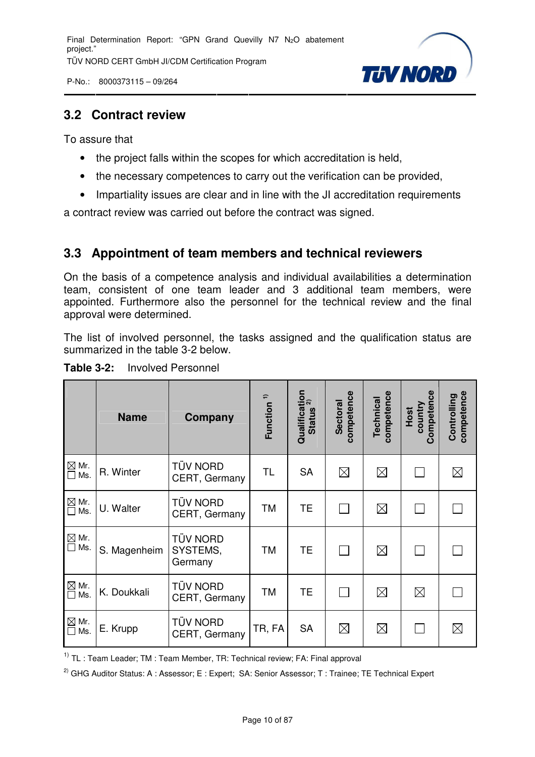P-No.: 8000373115 – 09/264



#### **3.2 Contract review**

To assure that

- the project falls within the scopes for which accreditation is held,
- the necessary competences to carry out the verification can be provided,
- Impartiality issues are clear and in line with the JI accreditation requirements

a contract review was carried out before the contract was signed.

#### **3.3 Appointment of team members and technical reviewers**

On the basis of a competence analysis and individual availabilities a determination team, consistent of one team leader and 3 additional team members, were appointed. Furthermore also the personnel for the technical review and the final approval were determined.

The list of involved personnel, the tasks assigned and the qualification status are summarized in the table 3-2 below.

|                               | <b>Name</b>  | Company                                | Function <sup>1)</sup> | Qualification<br>Ctating 2)<br><b>Status</b> | competence<br><b>Sectoral</b> | competence<br>Technical | Competence<br>country<br>Host | competence<br>Controlling |
|-------------------------------|--------------|----------------------------------------|------------------------|----------------------------------------------|-------------------------------|-------------------------|-------------------------------|---------------------------|
| $\boxtimes$ Mr.<br>$\Box$ Ms. | R. Winter    | <b>TÜV NORD</b><br>CERT, Germany       | <b>TL</b>              | <b>SA</b>                                    | $\boxtimes$                   | $\boxtimes$             |                               | $\boxtimes$               |
| $\boxtimes$ Mr.<br>Ms.<br>П   | U. Walter    | <b>TÜV NORD</b><br>CERT, Germany       | TM                     | <b>TE</b>                                    |                               | $\boxtimes$             |                               |                           |
| $\boxtimes$ Mr.<br>$\Box$ Ms. | S. Magenheim | <b>TÜV NORD</b><br>SYSTEMS,<br>Germany | TM                     | <b>TE</b>                                    |                               | $\boxtimes$             |                               |                           |
| $\boxtimes$ Mr.<br>$\Box$ Ms. | K. Doukkali  | <b>TÜV NORD</b><br>CERT, Germany       | TM                     | <b>TE</b>                                    |                               | $\boxtimes$             | $\boxtimes$                   |                           |
| $\boxtimes$ Mr.<br>$\Box$ Ms. | E. Krupp     | <b>TÜV NORD</b><br>CERT, Germany       | TR, FA                 | <b>SA</b>                                    | $\boxtimes$                   | $\boxtimes$             |                               | $\boxtimes$               |

**Table 3-2:** Involved Personnel

 $1)$  TL : Team Leader; TM : Team Member, TR: Technical review; FA: Final approval

<sup>2)</sup> GHG Auditor Status: A : Assessor; E : Expert; SA: Senior Assessor; T : Trainee; TE Technical Expert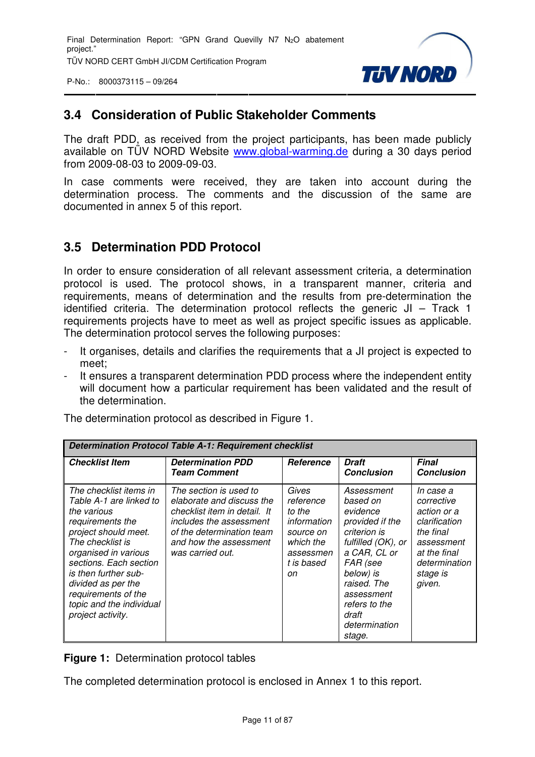P-No.: 8000373115 – 09/264



#### **3.4 Consideration of Public Stakeholder Comments**

The draft PDD, as received from the project participants, has been made publicly available on TÜV NORD Website www.global-warming.de during a 30 days period from 2009-08-03 to 2009-09-03.

In case comments were received, they are taken into account during the determination process. The comments and the discussion of the same are documented in annex 5 of this report.

#### **3.5 Determination PDD Protocol**

In order to ensure consideration of all relevant assessment criteria, a determination protocol is used. The protocol shows, in a transparent manner, criteria and requirements, means of determination and the results from pre-determination the identified criteria. The determination protocol reflects the generic JI – Track 1 requirements projects have to meet as well as project specific issues as applicable. The determination protocol serves the following purposes:

- It organises, details and clarifies the requirements that a JI project is expected to meet;
- It ensures a transparent determination PDD process where the independent entity will document how a particular requirement has been validated and the result of the determination.

| <b>Determination Protocol Table A-1: Requirement checklist</b>                                                                                                                                                                                                                                           |                                                                                                                                                                                           |                                                                                                        |                                                                                                                                                                                                                        |                                                                                                                                           |
|----------------------------------------------------------------------------------------------------------------------------------------------------------------------------------------------------------------------------------------------------------------------------------------------------------|-------------------------------------------------------------------------------------------------------------------------------------------------------------------------------------------|--------------------------------------------------------------------------------------------------------|------------------------------------------------------------------------------------------------------------------------------------------------------------------------------------------------------------------------|-------------------------------------------------------------------------------------------------------------------------------------------|
| <b>Checklist Item</b>                                                                                                                                                                                                                                                                                    | <b>Determination PDD</b><br><b>Team Comment</b>                                                                                                                                           | Reference                                                                                              | <b>Draft</b><br><b>Conclusion</b>                                                                                                                                                                                      | <b>Final</b><br><b>Conclusion</b>                                                                                                         |
| The checklist items in<br>Table A-1 are linked to<br>the various<br>requirements the<br>project should meet.<br>The checklist is<br>organised in various<br>sections. Each section<br>is then further sub-<br>divided as per the<br>requirements of the<br>topic and the individual<br>project activity. | The section is used to<br>elaborate and discuss the<br>checklist item in detail. It<br>includes the assessment<br>of the determination team<br>and how the assessment<br>was carried out. | Gives<br>reference<br>to the<br>information<br>source on<br>which the<br>assessmen<br>t is based<br>on | Assessment<br>based on<br>evidence<br>provided if the<br>criterion is<br>fulfilled (OK), or<br>a CAR, CL or<br>FAR (see<br>below) is<br>raised. The<br>assessment<br>refers to the<br>draft<br>determination<br>stage. | In case a<br>corrective<br>action or a<br>clarification<br>the final<br>assessment<br>at the final<br>determination<br>stage is<br>given. |

The determination protocol as described in Figure 1.

**Figure 1:** Determination protocol tables

The completed determination protocol is enclosed in Annex 1 to this report.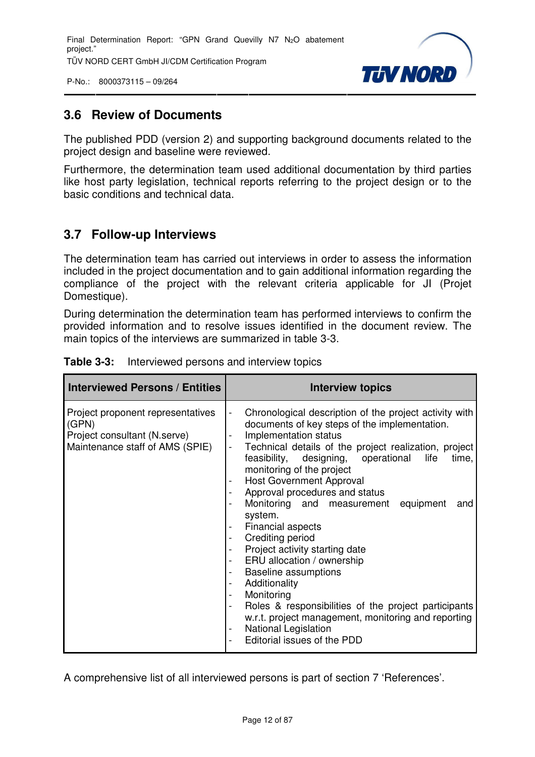P-No.: 8000373115 – 09/264



#### **3.6 Review of Documents**

The published PDD (version 2) and supporting background documents related to the project design and baseline were reviewed.

Furthermore, the determination team used additional documentation by third parties like host party legislation, technical reports referring to the project design or to the basic conditions and technical data.

#### **3.7 Follow-up Interviews**

The determination team has carried out interviews in order to assess the information included in the project documentation and to gain additional information regarding the compliance of the project with the relevant criteria applicable for JI (Projet Domestique).

During determination the determination team has performed interviews to confirm the provided information and to resolve issues identified in the document review. The main topics of the interviews are summarized in table 3-3.

| <b>Interviewed Persons / Entities</b>                                                                         | <b>Interview topics</b>                                                                                                                                                                                                                                                                                                                                                                                                                                                                                                                                                                                                                                                                                                                                                                                                                                                                                                                                                                                                                                               |
|---------------------------------------------------------------------------------------------------------------|-----------------------------------------------------------------------------------------------------------------------------------------------------------------------------------------------------------------------------------------------------------------------------------------------------------------------------------------------------------------------------------------------------------------------------------------------------------------------------------------------------------------------------------------------------------------------------------------------------------------------------------------------------------------------------------------------------------------------------------------------------------------------------------------------------------------------------------------------------------------------------------------------------------------------------------------------------------------------------------------------------------------------------------------------------------------------|
| Project proponent representatives<br>(GPN)<br>Project consultant (N.serve)<br>Maintenance staff of AMS (SPIE) | Chronological description of the project activity with<br>$\overline{a}$<br>documents of key steps of the implementation.<br>Implementation status<br>$\qquad \qquad \blacksquare$<br>Technical details of the project realization, project<br>$\frac{1}{2}$<br>feasibility, designing, operational life<br>time,<br>monitoring of the project<br><b>Host Government Approval</b><br>Approval procedures and status<br>$\overline{\phantom{a}}$<br>Monitoring and measurement equipment<br>and<br>system.<br>Financial aspects<br>Crediting period<br>$\overline{\phantom{a}}$<br>Project activity starting date<br>ERU allocation / ownership<br>$\qquad \qquad \blacksquare$<br><b>Baseline assumptions</b><br>$\overline{\phantom{a}}$<br>Additionality<br>$\overline{\phantom{a}}$<br>Monitoring<br>$\overline{\phantom{a}}$<br>Roles & responsibilities of the project participants<br>$\overline{\phantom{a}}$<br>w.r.t. project management, monitoring and reporting<br><b>National Legislation</b><br>$\overline{\phantom{a}}$<br>Editorial issues of the PDD |

|  | <b>Table 3-3:</b> Interviewed persons and interview topics |
|--|------------------------------------------------------------|
|  |                                                            |

A comprehensive list of all interviewed persons is part of section 7 'References'.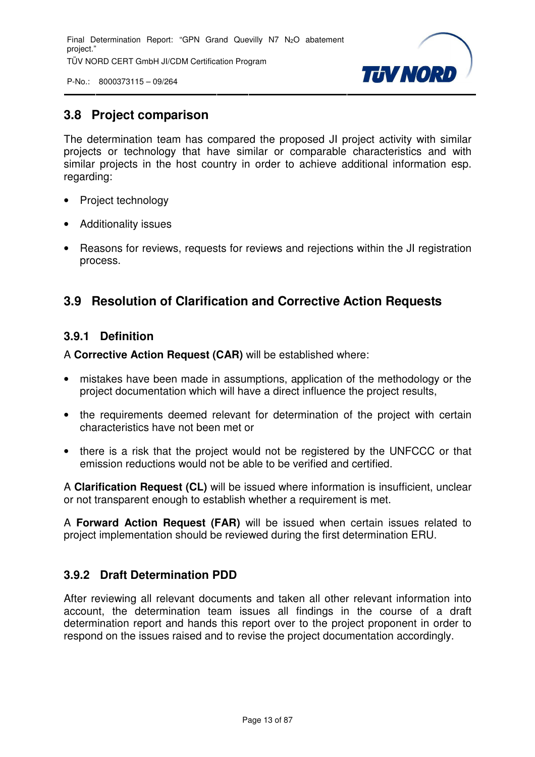

P-No.: 8000373115 – 09/264

#### **3.8 Project comparison**

The determination team has compared the proposed JI project activity with similar projects or technology that have similar or comparable characteristics and with similar projects in the host country in order to achieve additional information esp. regarding:

- Project technology
- Additionality issues
- Reasons for reviews, requests for reviews and rejections within the JI registration process.

#### **3.9 Resolution of Clarification and Corrective Action Requests**

#### **3.9.1 Definition**

A **Corrective Action Request (CAR)** will be established where:

- mistakes have been made in assumptions, application of the methodology or the project documentation which will have a direct influence the project results,
- the requirements deemed relevant for determination of the project with certain characteristics have not been met or
- there is a risk that the project would not be registered by the UNFCCC or that emission reductions would not be able to be verified and certified.

A **Clarification Request (CL)** will be issued where information is insufficient, unclear or not transparent enough to establish whether a requirement is met.

A **Forward Action Request (FAR)** will be issued when certain issues related to project implementation should be reviewed during the first determination ERU.

#### **3.9.2 Draft Determination PDD**

After reviewing all relevant documents and taken all other relevant information into account, the determination team issues all findings in the course of a draft determination report and hands this report over to the project proponent in order to respond on the issues raised and to revise the project documentation accordingly.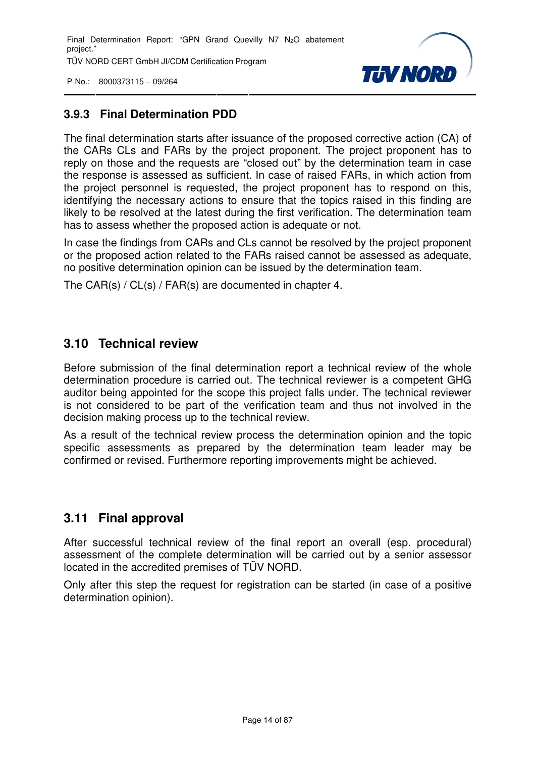

#### **3.9.3 Final Determination PDD**

The final determination starts after issuance of the proposed corrective action (CA) of the CARs CLs and FARs by the project proponent. The project proponent has to reply on those and the requests are "closed out" by the determination team in case the response is assessed as sufficient. In case of raised FARs, in which action from the project personnel is requested, the project proponent has to respond on this, identifying the necessary actions to ensure that the topics raised in this finding are likely to be resolved at the latest during the first verification. The determination team has to assess whether the proposed action is adequate or not.

In case the findings from CARs and CLs cannot be resolved by the project proponent or the proposed action related to the FARs raised cannot be assessed as adequate, no positive determination opinion can be issued by the determination team.

The CAR(s) / CL(s) / FAR(s) are documented in chapter 4.

#### **3.10 Technical review**

Before submission of the final determination report a technical review of the whole determination procedure is carried out. The technical reviewer is a competent GHG auditor being appointed for the scope this project falls under. The technical reviewer is not considered to be part of the verification team and thus not involved in the decision making process up to the technical review.

As a result of the technical review process the determination opinion and the topic specific assessments as prepared by the determination team leader may be confirmed or revised. Furthermore reporting improvements might be achieved.

#### **3.11 Final approval**

After successful technical review of the final report an overall (esp. procedural) assessment of the complete determination will be carried out by a senior assessor located in the accredited premises of TÜV NORD.

Only after this step the request for registration can be started (in case of a positive determination opinion).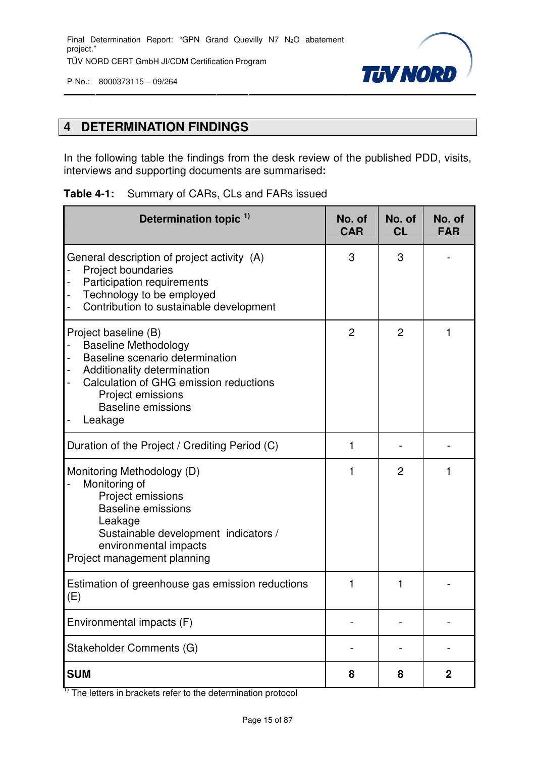

#### **4 DETERMINATION FINDINGS**

In the following table the findings from the desk review of the published PDD, visits, interviews and supporting documents are summarised**:**

#### **Table 4-1:** Summary of CARs, CLs and FARs issued

| Determination topic <sup>1)</sup>                                                                                                                                                                                            | No. of<br><b>CAR</b> | No. of<br><b>CL</b> | No. of<br><b>FAR</b> |
|------------------------------------------------------------------------------------------------------------------------------------------------------------------------------------------------------------------------------|----------------------|---------------------|----------------------|
| General description of project activity (A)<br>Project boundaries<br>Participation requirements<br>Technology to be employed<br>Contribution to sustainable development                                                      | 3                    | 3                   |                      |
| Project baseline (B)<br><b>Baseline Methodology</b><br>Baseline scenario determination<br>Additionality determination<br>Calculation of GHG emission reductions<br>Project emissions<br><b>Baseline emissions</b><br>Leakage | $\overline{2}$       | $\overline{2}$      |                      |
| Duration of the Project / Crediting Period (C)                                                                                                                                                                               | 1                    |                     |                      |
| Monitoring Methodology (D)<br>Monitoring of<br>Project emissions<br><b>Baseline emissions</b><br>Leakage<br>Sustainable development indicators /<br>environmental impacts<br>Project management planning                     |                      | $\overline{2}$      |                      |
| Estimation of greenhouse gas emission reductions<br>(E)                                                                                                                                                                      |                      | 1                   |                      |
| Environmental impacts (F)                                                                                                                                                                                                    |                      |                     |                      |
| Stakeholder Comments (G)                                                                                                                                                                                                     |                      |                     |                      |
| <b>SUM</b>                                                                                                                                                                                                                   | 8                    | 8                   | $\boldsymbol{2}$     |

 $\overline{1}$ ) The letters in brackets refer to the determination protocol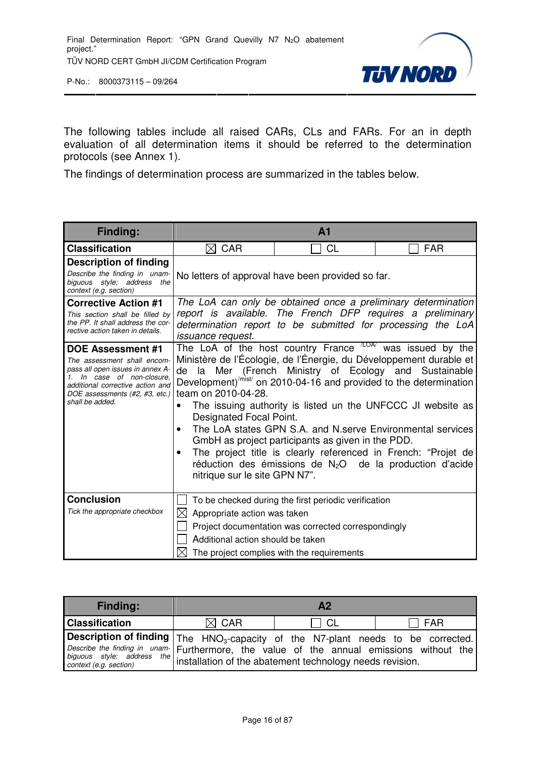

The following tables include all raised CARs, CLs and FARs. For an in depth evaluation of all determination items it should be referred to the determination protocols (see Annex 1).

The findings of determination process are summarized in the tables below.

| Finding:                                                                                                                                                                                                    |                                                                                       | A <sub>1</sub>                                                                                                                                                                                                                                                                                                                                                                                                                                                                                                                                                                                    |            |  |  |
|-------------------------------------------------------------------------------------------------------------------------------------------------------------------------------------------------------------|---------------------------------------------------------------------------------------|---------------------------------------------------------------------------------------------------------------------------------------------------------------------------------------------------------------------------------------------------------------------------------------------------------------------------------------------------------------------------------------------------------------------------------------------------------------------------------------------------------------------------------------------------------------------------------------------------|------------|--|--|
| <b>Classification</b>                                                                                                                                                                                       | <b>CAR</b><br>$\boxtimes$                                                             | CL                                                                                                                                                                                                                                                                                                                                                                                                                                                                                                                                                                                                | <b>FAR</b> |  |  |
| <b>Description of finding</b><br>Describe the finding in unam-<br>biguous style; address the<br>context (e.g. section)                                                                                      |                                                                                       | No letters of approval have been provided so far.                                                                                                                                                                                                                                                                                                                                                                                                                                                                                                                                                 |            |  |  |
| <b>Corrective Action #1</b><br>This section shall be filled by<br>the PP. It shall address the cor-<br>rective action taken in details.                                                                     | <i>issuance request.</i>                                                              | The LoA can only be obtained once a preliminary determination<br>report is available. The French DFP requires a preliminary<br>determination report to be submitted for processing the LoA                                                                                                                                                                                                                                                                                                                                                                                                        |            |  |  |
| DOE Assessment #1<br>The assessment shall encom-<br>pass all open issues in annex A-<br>1. In case of non-closure,<br>additional corrective action and<br>DOE assessments (#2, #3, etc.)<br>shall be added. | de<br>team on 2010-04-28.<br>Designated Focal Point.<br>nitrique sur le site GPN N7". | The LoA of the host country France $A_{L}^{LOM}$ was issued by the<br>Ministère de l'Écologie, de l'Énergie, du Développement durable et<br>la Mer (French Ministry of Ecology and Sustainable<br>Development) <sup>/mist/</sup> on 2010-04-16 and provided to the determination<br>The issuing authority is listed un the UNFCCC JI website as<br>The LoA states GPN S.A. and N.serve Environmental services<br>GmbH as project participants as given in the PDD.<br>The project title is clearly referenced in French: "Projet de<br>réduction des émissions de $N_2O$ de la production d'acide |            |  |  |
| <b>Conclusion</b><br>Tick the appropriate checkbox                                                                                                                                                          | Appropriate action was taken<br>IХI<br>Additional action should be taken              | To be checked during the first periodic verification<br>Project documentation was corrected correspondingly<br>The project complies with the requirements                                                                                                                                                                                                                                                                                                                                                                                                                                         |            |  |  |

| <b>Finding:</b>                                                                                                                                                                 |                 | Α2   |              |
|---------------------------------------------------------------------------------------------------------------------------------------------------------------------------------|-----------------|------|--------------|
| <b>Classification</b>                                                                                                                                                           | $\boxtimes$ CAR | - CL | $\sqcap$ FAR |
| <b>Description of finding</b> $\vert$ The $\vert$ HNO <sub>3</sub> -capacity of the N7-plant needs to be corrected.                                                             |                 |      |              |
| Describe the finding in unam- Furthermore, the value of the annual emissions without the<br>biguous style; address the installation of the abatement technology needs revision. |                 |      |              |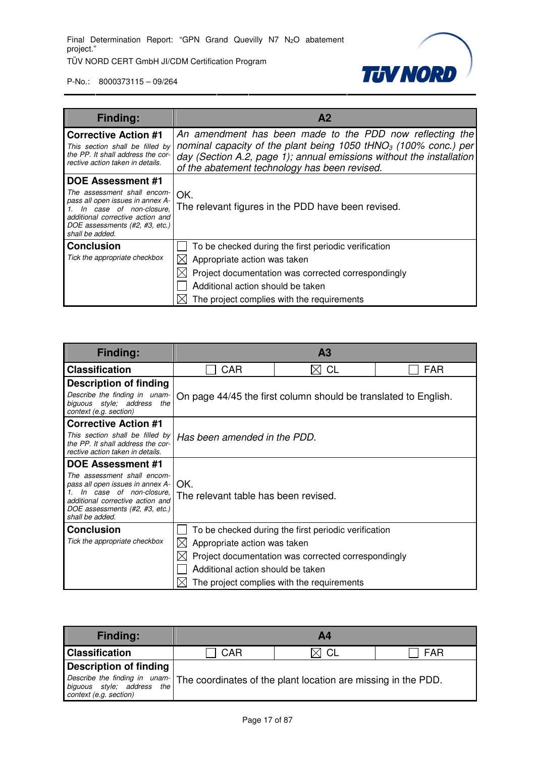

| <b>Finding:</b>                                                                                                                                                                                                 | A <sub>2</sub>                                                                                                                                                                                                                                                   |
|-----------------------------------------------------------------------------------------------------------------------------------------------------------------------------------------------------------------|------------------------------------------------------------------------------------------------------------------------------------------------------------------------------------------------------------------------------------------------------------------|
| <b>Corrective Action #1</b><br>This section shall be filled by<br>the PP. It shall address the cor-<br>rective action taken in details.                                                                         | An amendment has been made to the PDD now reflecting the<br>nominal capacity of the plant being 1050 tHNO <sub>3</sub> (100% conc.) per<br>day (Section A.2, page 1); annual emissions without the installation<br>of the abatement technology has been revised. |
| <b>DOE Assessment #1</b><br>The assessment shall encom-<br>pass all open issues in annex A-<br>In case of non-closure,<br>additional corrective action and<br>DOE assessments (#2, #3, etc.)<br>shall be added. | OK.<br>The relevant figures in the PDD have been revised.                                                                                                                                                                                                        |
| <b>Conclusion</b><br>Tick the appropriate checkbox                                                                                                                                                              | To be checked during the first periodic verification<br>Appropriate action was taken<br>Project documentation was corrected correspondingly<br>Additional action should be taken<br>The project complies with the requirements                                   |

| <b>Finding:</b>                                                                                                                                                                     |                                             | A <sub>3</sub>                                                  |     |  |  |  |
|-------------------------------------------------------------------------------------------------------------------------------------------------------------------------------------|---------------------------------------------|-----------------------------------------------------------------|-----|--|--|--|
| <b>Classification</b>                                                                                                                                                               | CAR                                         | CL                                                              | FAR |  |  |  |
| <b>Description of finding</b>                                                                                                                                                       |                                             |                                                                 |     |  |  |  |
| Describe the finding in unam-<br>biguous style; address<br>the<br>context (e.g. section)                                                                                            |                                             | On page 44/45 the first column should be translated to English. |     |  |  |  |
| <b>Corrective Action #1</b>                                                                                                                                                         |                                             |                                                                 |     |  |  |  |
| This section shall be filled by<br>the PP. It shall address the cor-<br>rective action taken in details.                                                                            | Has been amended in the PDD.                |                                                                 |     |  |  |  |
| <b>DOE Assessment #1</b>                                                                                                                                                            |                                             |                                                                 |     |  |  |  |
| The assessment shall encom-<br>pass all open issues in annex A-<br>In case of non-closure,<br>additional corrective action and<br>DOE assessments (#2, #3, etc.)<br>shall be added. | OK.<br>The relevant table has been revised. |                                                                 |     |  |  |  |
| <b>Conclusion</b>                                                                                                                                                                   |                                             | To be checked during the first periodic verification            |     |  |  |  |
| Tick the appropriate checkbox                                                                                                                                                       | IХI<br>Appropriate action was taken         |                                                                 |     |  |  |  |
|                                                                                                                                                                                     |                                             | Project documentation was corrected correspondingly             |     |  |  |  |
|                                                                                                                                                                                     | Additional action should be taken           |                                                                 |     |  |  |  |
|                                                                                                                                                                                     |                                             | The project complies with the requirements                      |     |  |  |  |

| <b>Finding:</b>                                                                                                                                                                                                           |     | <b>A4</b> |     |
|---------------------------------------------------------------------------------------------------------------------------------------------------------------------------------------------------------------------------|-----|-----------|-----|
| <b>Classification</b>                                                                                                                                                                                                     | CAR | - CL      | FAR |
| <b>Description of finding</b>                                                                                                                                                                                             |     |           |     |
| Describe the finding in unam- $\vert$ The coordinates of the plant location are missing in the PDD.<br>biguous style; address the The coordinates of the plant location are missing in the PDD.<br>context (e.g. section) |     |           |     |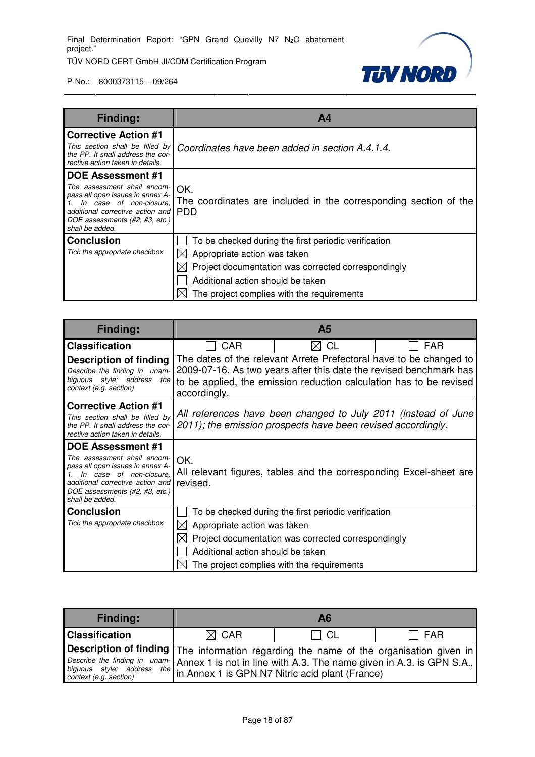

| <b>Finding:</b>                                                                                                                                                                           | Α4                                                                      |  |  |
|-------------------------------------------------------------------------------------------------------------------------------------------------------------------------------------------|-------------------------------------------------------------------------|--|--|
| <b>Corrective Action #1</b>                                                                                                                                                               |                                                                         |  |  |
| This section shall be filled by<br>the PP. It shall address the cor-<br>rective action taken in details.                                                                                  | Coordinates have been added in section A.4.1.4.                         |  |  |
| <b>DOE Assessment #1</b>                                                                                                                                                                  |                                                                         |  |  |
| The assessment shall encom-<br>pass all open issues in annex A-<br>In case of non-closure,<br>additional corrective action and   PDD<br>DOE assessments (#2, #3, etc.)<br>shall be added. | OK.<br>The coordinates are included in the corresponding section of the |  |  |
| <b>Conclusion</b>                                                                                                                                                                         | To be checked during the first periodic verification                    |  |  |
| Tick the appropriate checkbox                                                                                                                                                             | Appropriate action was taken                                            |  |  |
|                                                                                                                                                                                           | Project documentation was corrected correspondingly                     |  |  |
|                                                                                                                                                                                           | Additional action should be taken                                       |  |  |
|                                                                                                                                                                                           | The project complies with the requirements                              |  |  |

| <b>Finding:</b>                                                                                                                                                                                                 | A <sub>5</sub>                                                    |                                                                                                                                                           |                                                                                                                                                                                                                 |
|-----------------------------------------------------------------------------------------------------------------------------------------------------------------------------------------------------------------|-------------------------------------------------------------------|-----------------------------------------------------------------------------------------------------------------------------------------------------------|-----------------------------------------------------------------------------------------------------------------------------------------------------------------------------------------------------------------|
| <b>Classification</b>                                                                                                                                                                                           | CAR                                                               | CL                                                                                                                                                        | FAR                                                                                                                                                                                                             |
| <b>Description of finding</b><br>Describe the finding in unam-<br>biguous style; address<br>the<br>context (e.g. section)                                                                                       | accordingly.                                                      |                                                                                                                                                           | The dates of the relevant Arrete Prefectoral have to be changed to<br>2009-07-16. As two years after this date the revised benchmark has<br>to be applied, the emission reduction calculation has to be revised |
| <b>Corrective Action #1</b><br>This section shall be filled by<br>the PP. It shall address the cor-<br>rective action taken in details.                                                                         |                                                                   | 2011); the emission prospects have been revised accordingly.                                                                                              | All references have been changed to July 2011 (instead of June                                                                                                                                                  |
| <b>DOE Assessment #1</b><br>The assessment shall encom-<br>pass all open issues in annex A-<br>In case of non-closure.<br>additional corrective action and<br>DOE assessments (#2, #3, etc.)<br>shall be added. | OK.<br>revised.                                                   |                                                                                                                                                           | All relevant figures, tables and the corresponding Excel-sheet are                                                                                                                                              |
| <b>Conclusion</b><br>Tick the appropriate checkbox                                                                                                                                                              | Appropriate action was taken<br>Additional action should be taken | To be checked during the first periodic verification<br>Project documentation was corrected correspondingly<br>The project complies with the requirements |                                                                                                                                                                                                                 |

| <b>Finding:</b>                                                                                                                                                                                                                                                            |                 | A6   |     |
|----------------------------------------------------------------------------------------------------------------------------------------------------------------------------------------------------------------------------------------------------------------------------|-----------------|------|-----|
| <b>Classification</b>                                                                                                                                                                                                                                                      | $\boxtimes$ CAR | ' CL | FAR |
| Description of finding The information regarding the name of the organisation given in<br>Describe the finding in unam- Annex 1 is not in line with A.3. The name given in A.3. is GPN S.A.,<br>biguous style; address the in Annex 1 is GPN N7 Nitric acid plant (France) |                 |      |     |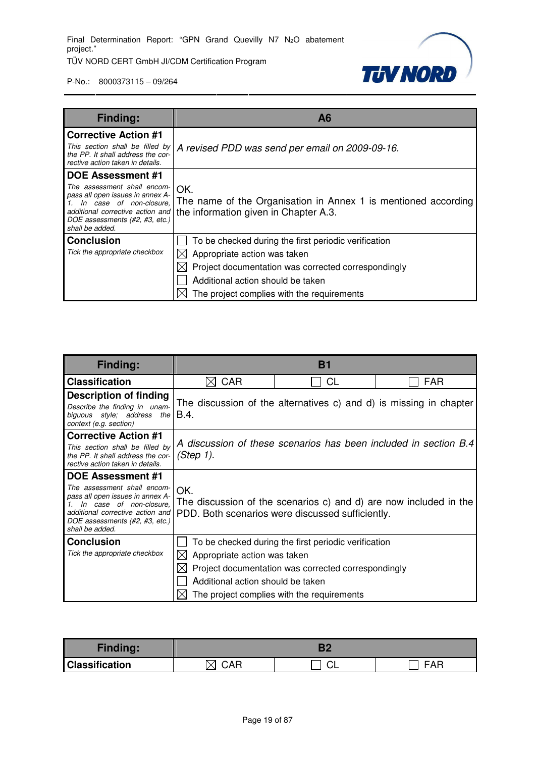**TUV NORD** 

| <b>Finding:</b>                                                                                                                                 | A <sub>6</sub>                                                                                                                                  |
|-------------------------------------------------------------------------------------------------------------------------------------------------|-------------------------------------------------------------------------------------------------------------------------------------------------|
| <b>Corrective Action #1</b>                                                                                                                     |                                                                                                                                                 |
| This section shall be filled by<br>the PP. It shall address the cor-<br>rective action taken in details.                                        | A revised PDD was send per email on 2009-09-16.                                                                                                 |
| <b>DOE Assessment #1</b>                                                                                                                        |                                                                                                                                                 |
| The assessment shall encom-<br>pass all open issues in annex A-<br>In case of non-closure,<br>DOE assessments (#2, #3, etc.)<br>shall be added. | OK.<br>The name of the Organisation in Annex 1 is mentioned according<br>additional corrective action and the information given in Chapter A.3. |
| <b>Conclusion</b>                                                                                                                               | To be checked during the first periodic verification                                                                                            |
| Tick the appropriate checkbox                                                                                                                   | Appropriate action was taken                                                                                                                    |
|                                                                                                                                                 | Project documentation was corrected correspondingly                                                                                             |
|                                                                                                                                                 | Additional action should be taken                                                                                                               |
|                                                                                                                                                 | The project complies with the requirements                                                                                                      |

| <b>Finding:</b>                                                                                                                                                                                          | B1                                                                |                                                                                                                                                           |                                                                    |
|----------------------------------------------------------------------------------------------------------------------------------------------------------------------------------------------------------|-------------------------------------------------------------------|-----------------------------------------------------------------------------------------------------------------------------------------------------------|--------------------------------------------------------------------|
| <b>Classification</b>                                                                                                                                                                                    | <b>CAR</b><br>$\times$                                            | <b>CL</b>                                                                                                                                                 | <b>FAR</b>                                                         |
| <b>Description of finding</b><br>Describe the finding in unam-<br>biguous style; address the<br>context (e.g. section)                                                                                   | B.4.                                                              |                                                                                                                                                           | The discussion of the alternatives c) and d) is missing in chapter |
| <b>Corrective Action #1</b><br>This section shall be filled by<br>the PP. It shall address the cor-<br>rective action taken in details.                                                                  | (Step 1).                                                         |                                                                                                                                                           | A discussion of these scenarios has been included in section B.4   |
| DOE Assessment #1<br>The assessment shall encom-<br>pass all open issues in annex A-<br>In case of non-closure,<br>additional corrective action and<br>DOE assessments (#2, #3, etc.)<br>shall be added. | OK.                                                               | PDD. Both scenarios were discussed sufficiently.                                                                                                          | The discussion of the scenarios c) and d) are now included in the  |
| <b>Conclusion</b><br>Tick the appropriate checkbox                                                                                                                                                       | Appropriate action was taken<br>Additional action should be taken | To be checked during the first periodic verification<br>Project documentation was corrected correspondingly<br>The project complies with the requirements |                                                                    |

| <b>Finding:</b>       |  |    |                           |
|-----------------------|--|----|---------------------------|
| <b>Classification</b> |  | ◡∟ | $\Lambda$ $\Gamma$<br>- ^ |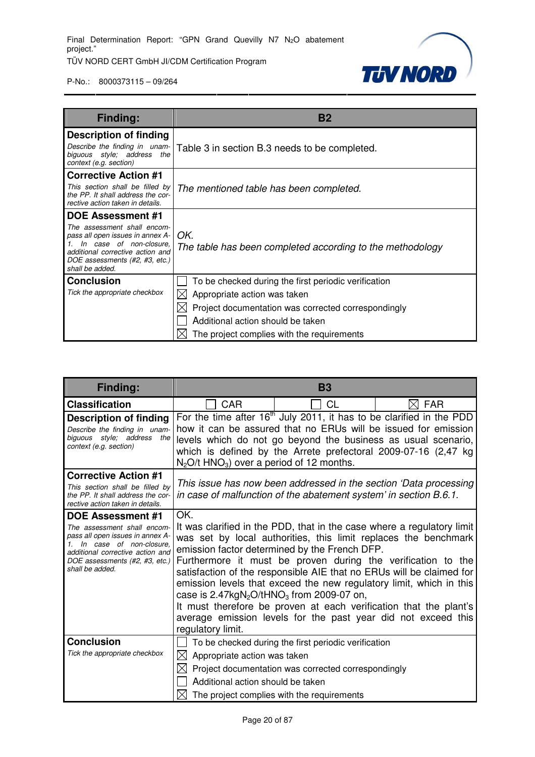

| <b>Finding:</b>                                                                                                                                                                           | <b>B2</b>                                                        |  |  |
|-------------------------------------------------------------------------------------------------------------------------------------------------------------------------------------------|------------------------------------------------------------------|--|--|
| <b>Description of finding</b>                                                                                                                                                             |                                                                  |  |  |
| Describe the finding in unam-<br>biguous style; address<br>the<br>context (e.g. section)                                                                                                  | Table 3 in section B.3 needs to be completed.                    |  |  |
| <b>Corrective Action #1</b>                                                                                                                                                               |                                                                  |  |  |
| This section shall be filled by<br>the PP. It shall address the cor-<br>rective action taken in details.                                                                                  | The mentioned table has been completed.                          |  |  |
| <b>DOE Assessment #1</b>                                                                                                                                                                  |                                                                  |  |  |
| The assessment shall encom-<br>pass all open issues in annex A-<br>In case of non-closure,<br>1.<br>additional corrective action and<br>DOE assessments (#2, #3, etc.)<br>shall be added. | OK.<br>The table has been completed according to the methodology |  |  |
| <b>Conclusion</b>                                                                                                                                                                         | To be checked during the first periodic verification             |  |  |
| Tick the appropriate checkbox                                                                                                                                                             | Appropriate action was taken                                     |  |  |
|                                                                                                                                                                                           | Project documentation was corrected correspondingly              |  |  |
|                                                                                                                                                                                           | Additional action should be taken                                |  |  |
|                                                                                                                                                                                           | The project complies with the requirements                       |  |  |

| <b>Finding:</b>                                                                                                                                                                                                    | <b>B3</b>                                                                                      |                                                                                                                                                                                                                                                                                                                                                                                                                                                                                                                                                 |                 |
|--------------------------------------------------------------------------------------------------------------------------------------------------------------------------------------------------------------------|------------------------------------------------------------------------------------------------|-------------------------------------------------------------------------------------------------------------------------------------------------------------------------------------------------------------------------------------------------------------------------------------------------------------------------------------------------------------------------------------------------------------------------------------------------------------------------------------------------------------------------------------------------|-----------------|
| <b>Classification</b>                                                                                                                                                                                              | CAR                                                                                            | СL                                                                                                                                                                                                                                                                                                                                                                                                                                                                                                                                              | $\boxtimes$ far |
| <b>Description of finding</b><br>Describe the finding in unam-<br>biguous style; address the<br>context (e.g. section)                                                                                             | $N_2O/t$ HNO <sub>3</sub> ) over a period of 12 months.                                        | For the time after $16th$ July 2011, it has to be clarified in the PDD<br>how it can be assured that no ERUs will be issued for emission<br>levels which do not go beyond the business as usual scenario,<br>which is defined by the Arrete prefectoral 2009-07-16 (2,47 kg                                                                                                                                                                                                                                                                     |                 |
| <b>Corrective Action #1</b><br>This section shall be filled by<br>the PP. It shall address the cor-<br>rective action taken in details.                                                                            |                                                                                                | This issue has now been addressed in the section 'Data processing<br>in case of malfunction of the abatement system' in section B.6.1.                                                                                                                                                                                                                                                                                                                                                                                                          |                 |
| <b>DOE Assessment #1</b><br>The assessment shall encom-<br>pass all open issues in annex A-<br>1. In case of non-closure.<br>additional corrective action and<br>DOE assessments (#2, #3, etc.)<br>shall be added. | OK.<br>case is $2.47 \text{kgN}_2\text{O}/\text{tHNO}_3$ from 2009-07 on,<br>regulatory limit. | It was clarified in the PDD, that in the case where a regulatory limit<br>was set by local authorities, this limit replaces the benchmark<br>emission factor determined by the French DFP.<br>Furthermore it must be proven during the verification to the<br>satisfaction of the responsible AIE that no ERUs will be claimed for<br>emission levels that exceed the new regulatory limit, which in this<br>It must therefore be proven at each verification that the plant's<br>average emission levels for the past year did not exceed this |                 |
| <b>Conclusion</b><br>Tick the appropriate checkbox                                                                                                                                                                 | $\boxtimes$ Appropriate action was taken<br>IХI<br>Additional action should be taken           | To be checked during the first periodic verification<br>Project documentation was corrected correspondingly<br>The project complies with the requirements                                                                                                                                                                                                                                                                                                                                                                                       |                 |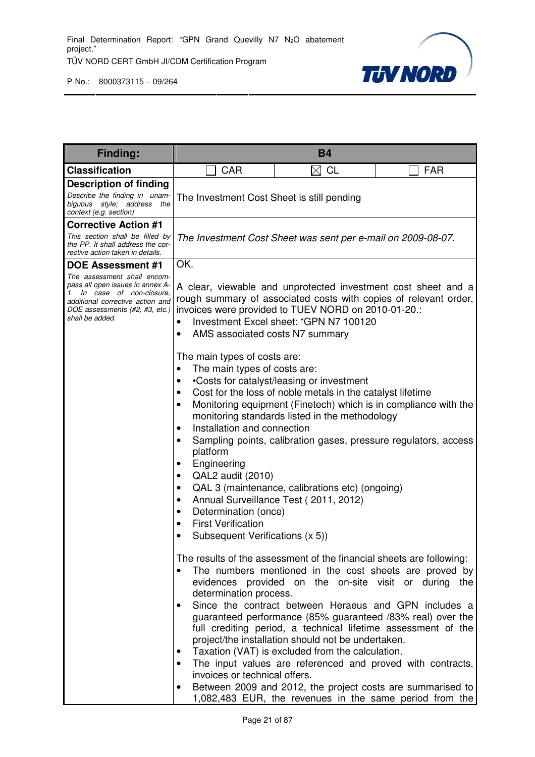

| <b>Finding:</b>                                                                                                                                                                                                    | <b>B4</b>                                                                                                                                                                                                                                                                                                                                                                                                                                                                                                                   |                                                                                                                                                                                                                                                                                                                                                                                                                                                                                                                                                                                                             |                                                                                                                                                                                                                                                                                                                                                                                                                                                                                                                                                                                                                                             |  |
|--------------------------------------------------------------------------------------------------------------------------------------------------------------------------------------------------------------------|-----------------------------------------------------------------------------------------------------------------------------------------------------------------------------------------------------------------------------------------------------------------------------------------------------------------------------------------------------------------------------------------------------------------------------------------------------------------------------------------------------------------------------|-------------------------------------------------------------------------------------------------------------------------------------------------------------------------------------------------------------------------------------------------------------------------------------------------------------------------------------------------------------------------------------------------------------------------------------------------------------------------------------------------------------------------------------------------------------------------------------------------------------|---------------------------------------------------------------------------------------------------------------------------------------------------------------------------------------------------------------------------------------------------------------------------------------------------------------------------------------------------------------------------------------------------------------------------------------------------------------------------------------------------------------------------------------------------------------------------------------------------------------------------------------------|--|
| <b>Classification</b>                                                                                                                                                                                              | CAR<br>$\boxtimes$ CL<br><b>FAR</b>                                                                                                                                                                                                                                                                                                                                                                                                                                                                                         |                                                                                                                                                                                                                                                                                                                                                                                                                                                                                                                                                                                                             |                                                                                                                                                                                                                                                                                                                                                                                                                                                                                                                                                                                                                                             |  |
| <b>Description of finding</b><br>Describe the finding in unam-<br>biguous style; address the<br>context (e.g. section)                                                                                             | The Investment Cost Sheet is still pending                                                                                                                                                                                                                                                                                                                                                                                                                                                                                  |                                                                                                                                                                                                                                                                                                                                                                                                                                                                                                                                                                                                             |                                                                                                                                                                                                                                                                                                                                                                                                                                                                                                                                                                                                                                             |  |
| <b>Corrective Action #1</b>                                                                                                                                                                                        |                                                                                                                                                                                                                                                                                                                                                                                                                                                                                                                             |                                                                                                                                                                                                                                                                                                                                                                                                                                                                                                                                                                                                             |                                                                                                                                                                                                                                                                                                                                                                                                                                                                                                                                                                                                                                             |  |
| This section shall be filled by<br>the PP. It shall address the cor-<br>rective action taken in details.                                                                                                           |                                                                                                                                                                                                                                                                                                                                                                                                                                                                                                                             | The Investment Cost Sheet was sent per e-mail on 2009-08-07.                                                                                                                                                                                                                                                                                                                                                                                                                                                                                                                                                |                                                                                                                                                                                                                                                                                                                                                                                                                                                                                                                                                                                                                                             |  |
| <b>DOE Assessment #1</b><br>The assessment shall encom-<br>pass all open issues in annex A-<br>1. In case of non-closure,<br>additional corrective action and<br>DOE assessments (#2, #3, etc.)<br>shall be added. | OK.<br>AMS associated costs N7 summary<br>$\bullet$<br>The main types of costs are:<br>The main types of costs are:<br>٠<br>٠<br>$\bullet$<br>$\bullet$<br>Installation and connection<br>$\bullet$<br>$\bullet$<br>platform<br>Engineering<br>$\bullet$<br>QAL2 audit (2010)<br>$\bullet$<br>$\bullet$<br>$\bullet$<br>Determination (once)<br>$\bullet$<br><b>First Verification</b><br>$\bullet$<br>Subsequent Verifications (x 5))<br>determination process.<br>$\bullet$<br>$\bullet$<br>invoices or technical offers. | invoices were provided to TUEV NORD on 2010-01-20.:<br>Investment Excel sheet: "GPN N7 100120<br>•Costs for catalyst/leasing or investment<br>Cost for the loss of noble metals in the catalyst lifetime<br>monitoring standards listed in the methodology<br>Sampling points, calibration gases, pressure regulators, access<br>QAL 3 (maintenance, calibrations etc) (ongoing)<br>Annual Surveillance Test (2011, 2012)<br>The results of the assessment of the financial sheets are following:<br>project/the installation should not be undertaken.<br>Taxation (VAT) is excluded from the calculation. | A clear, viewable and unprotected investment cost sheet and a<br>rough summary of associated costs with copies of relevant order,<br>Monitoring equipment (Finetech) which is in compliance with the<br>The numbers mentioned in the cost sheets are proved by<br>evidences provided on the on-site visit or during the<br>Since the contract between Heraeus and GPN includes a<br>guaranteed performance (85% guaranteed /83% real) over the<br>full crediting period, a technical lifetime assessment of the<br>The input values are referenced and proved with contracts,<br>Between 2009 and 2012, the project costs are summarised to |  |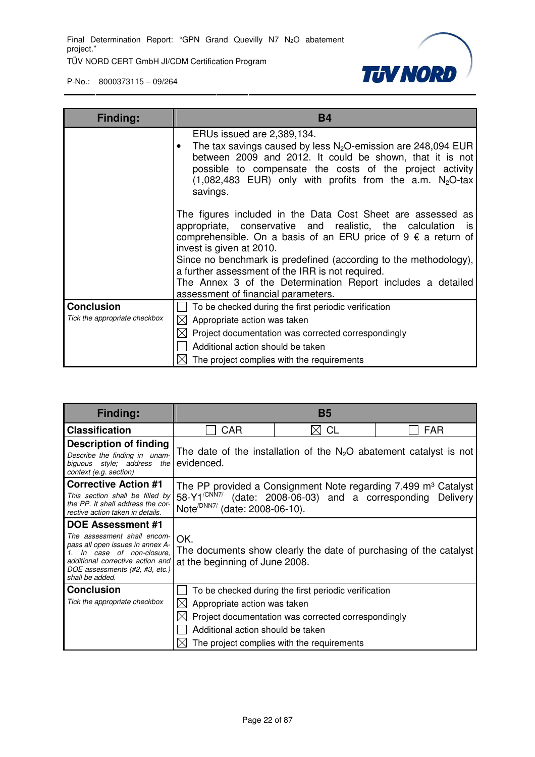**TUV NORD** 

| Finding:                      | <b>B4</b>                                                                                                                                                                                                                                                                                                                                                                                                                                                        |  |  |
|-------------------------------|------------------------------------------------------------------------------------------------------------------------------------------------------------------------------------------------------------------------------------------------------------------------------------------------------------------------------------------------------------------------------------------------------------------------------------------------------------------|--|--|
|                               | ERUs issued are 2,389,134.<br>The tax savings caused by less $N_2O$ -emission are 248,094 EUR<br>between 2009 and 2012. It could be shown, that it is not<br>possible to compensate the costs of the project activity<br>$(1,082,483$ EUR) only with profits from the a.m. N <sub>2</sub> O-tax<br>savings.                                                                                                                                                      |  |  |
|                               | The figures included in the Data Cost Sheet are assessed as<br>appropriate, conservative and realistic, the calculation<br>is.<br>comprehensible. On a basis of an ERU price of $9 \notin a$ return of<br>invest is given at 2010.<br>Since no benchmark is predefined (according to the methodology),<br>a further assessment of the IRR is not required.<br>The Annex 3 of the Determination Report includes a detailed<br>assessment of financial parameters. |  |  |
| <b>Conclusion</b>             | To be checked during the first periodic verification                                                                                                                                                                                                                                                                                                                                                                                                             |  |  |
| Tick the appropriate checkbox | $\boxtimes$ Appropriate action was taken                                                                                                                                                                                                                                                                                                                                                                                                                         |  |  |
|                               | Project documentation was corrected correspondingly                                                                                                                                                                                                                                                                                                                                                                                                              |  |  |
|                               | Additional action should be taken                                                                                                                                                                                                                                                                                                                                                                                                                                |  |  |
|                               | $\boxtimes$ The project complies with the requirements                                                                                                                                                                                                                                                                                                                                                                                                           |  |  |

| <b>Finding:</b>                                                                                                                                                                                                 | <b>B5</b>                                                             |                                                                                                                                                           |                                                                                                                               |
|-----------------------------------------------------------------------------------------------------------------------------------------------------------------------------------------------------------------|-----------------------------------------------------------------------|-----------------------------------------------------------------------------------------------------------------------------------------------------------|-------------------------------------------------------------------------------------------------------------------------------|
| <b>Classification</b>                                                                                                                                                                                           | CAR                                                                   | <b>CL</b><br>ΙXΙ                                                                                                                                          | <b>FAR</b>                                                                                                                    |
| <b>Description of finding</b><br>Describe the finding in unam-<br>biguous style; address the<br>context (e.g. section)                                                                                          | evidenced.                                                            |                                                                                                                                                           | The date of the installation of the $N_2O$ abatement catalyst is not                                                          |
| <b>Corrective Action #1</b><br>This section shall be filled by<br>the PP. It shall address the cor-<br>rective action taken in details.                                                                         | 58-Y1 <sup>/CNN7/</sup><br>Note <sup>/DNN7/</sup> (date: 2008-06-10). |                                                                                                                                                           | The PP provided a Consignment Note regarding 7.499 m <sup>3</sup> Catalyst<br>(date: 2008-06-03) and a corresponding Delivery |
| <b>DOE Assessment #1</b><br>The assessment shall encom-<br>pass all open issues in annex A-<br>In case of non-closure,<br>additional corrective action and<br>DOE assessments (#2, #3, etc.)<br>shall be added. | OK.<br>at the beginning of June 2008.                                 |                                                                                                                                                           | The documents show clearly the date of purchasing of the catalyst                                                             |
| <b>Conclusion</b><br>Tick the appropriate checkbox                                                                                                                                                              | Appropriate action was taken<br>Additional action should be taken     | To be checked during the first periodic verification<br>Project documentation was corrected correspondingly<br>The project complies with the requirements |                                                                                                                               |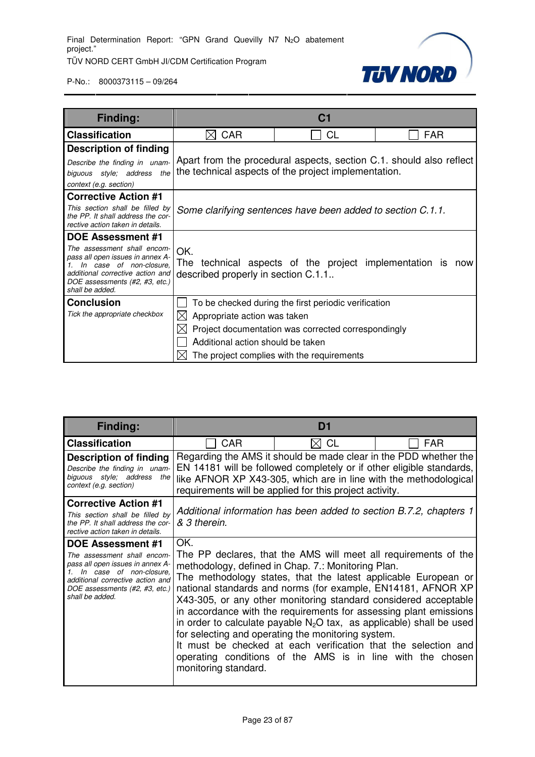TÜV NORD CERT GmbH JI/CDM Certification Program



| Finding:                                                                                                                                                                                                           |                                                                        | C <sub>1</sub>                                                                                                                                            |                                                                     |
|--------------------------------------------------------------------------------------------------------------------------------------------------------------------------------------------------------------------|------------------------------------------------------------------------|-----------------------------------------------------------------------------------------------------------------------------------------------------------|---------------------------------------------------------------------|
| <b>Classification</b>                                                                                                                                                                                              | <b>CAR</b>                                                             | CL                                                                                                                                                        | <b>FAR</b>                                                          |
| <b>Description of finding</b><br>Describe the finding in unam-<br>biguous style; address<br>the<br>context (e.g. section)                                                                                          |                                                                        | the technical aspects of the project implementation.                                                                                                      | Apart from the procedural aspects, section C.1. should also reflect |
| <b>Corrective Action #1</b><br>This section shall be filled by<br>the PP. It shall address the cor-<br>rective action taken in details.                                                                            |                                                                        | Some clarifying sentences have been added to section C.1.1.                                                                                               |                                                                     |
| <b>DOE Assessment #1</b><br>The assessment shall encom-<br>pass all open issues in annex A-<br>1. In case of non-closure.<br>additional corrective action and<br>DOE assessments (#2, #3, etc.)<br>shall be added. | OK.<br>described properly in section C.1.1                             | The technical aspects of the project implementation is                                                                                                    | now                                                                 |
| <b>Conclusion</b><br>Tick the appropriate checkbox                                                                                                                                                                 | Appropriate action was taken<br>⊠<br>Additional action should be taken | To be checked during the first periodic verification<br>Project documentation was corrected correspondingly<br>The project complies with the requirements |                                                                     |

| <b>Finding:</b>                                                                                                                                                                                                 | D1                                                                                                                                                                                                                                                                      |                                                                                                                                                                                                                                                                                                                                                                                                                                                                                                                                                                                              |                                                                 |  |
|-----------------------------------------------------------------------------------------------------------------------------------------------------------------------------------------------------------------|-------------------------------------------------------------------------------------------------------------------------------------------------------------------------------------------------------------------------------------------------------------------------|----------------------------------------------------------------------------------------------------------------------------------------------------------------------------------------------------------------------------------------------------------------------------------------------------------------------------------------------------------------------------------------------------------------------------------------------------------------------------------------------------------------------------------------------------------------------------------------------|-----------------------------------------------------------------|--|
| <b>Classification</b>                                                                                                                                                                                           | CAR                                                                                                                                                                                                                                                                     | $\bowtie$ CL                                                                                                                                                                                                                                                                                                                                                                                                                                                                                                                                                                                 | <b>FAR</b>                                                      |  |
| <b>Description of finding</b><br>Describe the finding in unam-<br>biguous style; address the<br>context (e.g. section)                                                                                          | Regarding the AMS it should be made clear in the PDD whether the<br>EN 14181 will be followed completely or if other eligible standards,<br>like AFNOR XP X43-305, which are in line with the methodological<br>requirements will be applied for this project activity. |                                                                                                                                                                                                                                                                                                                                                                                                                                                                                                                                                                                              |                                                                 |  |
| <b>Corrective Action #1</b><br>This section shall be filled by<br>the PP. It shall address the cor-<br>rective action taken in details.                                                                         | Additional information has been added to section B.7.2, chapters 1<br>& 3 therein.                                                                                                                                                                                      |                                                                                                                                                                                                                                                                                                                                                                                                                                                                                                                                                                                              |                                                                 |  |
| <b>DOE Assessment #1</b><br>The assessment shall encom-<br>pass all open issues in annex A-<br>In case of non-closure,<br>additional corrective action and<br>DOE assessments (#2, #3, etc.)<br>shall be added. | OK.<br>monitoring standard.                                                                                                                                                                                                                                             | methodology, defined in Chap. 7.: Monitoring Plan.<br>The methodology states, that the latest applicable European or<br>national standards and norms (for example, EN14181, AFNOR XP<br>X43-305, or any other monitoring standard considered acceptable<br>in accordance with the requirements for assessing plant emissions<br>in order to calculate payable $N_2O$ tax, as applicable) shall be used<br>for selecting and operating the monitoring system.<br>It must be checked at each verification that the selection and<br>operating conditions of the AMS is in line with the chosen | The PP declares, that the AMS will meet all requirements of the |  |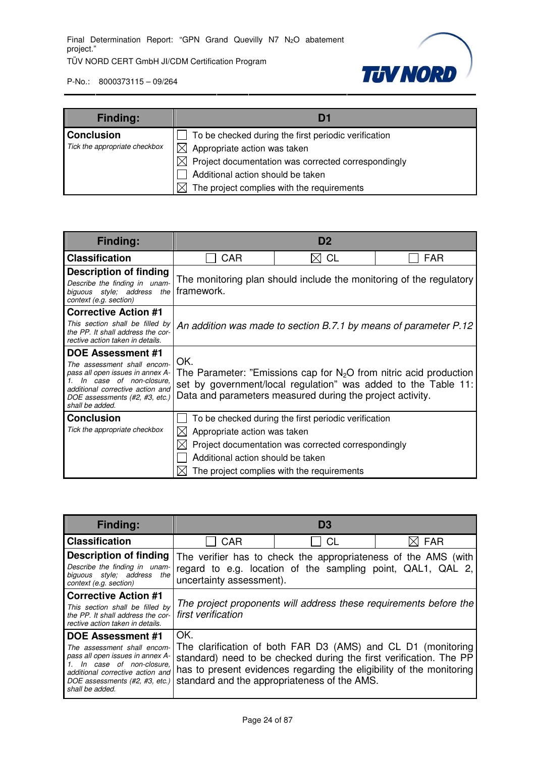

| <b>Finding:</b>               | Df                                                         |
|-------------------------------|------------------------------------------------------------|
| <b>Conclusion</b>             | To be checked during the first periodic verification       |
| Tick the appropriate checkbox | $\boxtimes$<br>Appropriate action was taken                |
|                               | Project documentation was corrected correspondingly<br>ΙXΙ |
|                               | Additional action should be taken                          |
|                               | The project complies with the requirements                 |

| <b>Finding:</b>                                                                                                                                                                                          | D <sub>2</sub>                                                                                                                                                                                             |                                                                                                                                                           |                                                                     |  |  |
|----------------------------------------------------------------------------------------------------------------------------------------------------------------------------------------------------------|------------------------------------------------------------------------------------------------------------------------------------------------------------------------------------------------------------|-----------------------------------------------------------------------------------------------------------------------------------------------------------|---------------------------------------------------------------------|--|--|
| <b>Classification</b>                                                                                                                                                                                    | <b>CAR</b>                                                                                                                                                                                                 | <b>CL</b><br>IХI                                                                                                                                          | <b>FAR</b>                                                          |  |  |
| <b>Description of finding</b><br>Describe the finding in unam-<br>biguous style; address the<br>context (e.g. section)                                                                                   | framework.                                                                                                                                                                                                 |                                                                                                                                                           | The monitoring plan should include the monitoring of the regulatory |  |  |
| <b>Corrective Action #1</b>                                                                                                                                                                              |                                                                                                                                                                                                            |                                                                                                                                                           |                                                                     |  |  |
| This section shall be filled by<br>the PP. It shall address the cor-<br>rective action taken in details.                                                                                                 | An addition was made to section B.7.1 by means of parameter P.12                                                                                                                                           |                                                                                                                                                           |                                                                     |  |  |
| DOE Assessment #1<br>The assessment shall encom-<br>pass all open issues in annex A-<br>In case of non-closure.<br>additional corrective action and<br>DOE assessments (#2, #3, etc.)<br>shall be added. | OK.<br>The Parameter: "Emissions cap for $N_2O$ from nitric acid production<br>set by government/local regulation" was added to the Table 11:<br>Data and parameters measured during the project activity. |                                                                                                                                                           |                                                                     |  |  |
| <b>Conclusion</b><br>Tick the appropriate checkbox                                                                                                                                                       | Appropriate action was taken<br>Additional action should be taken                                                                                                                                          | To be checked during the first periodic verification<br>Project documentation was corrected correspondingly<br>The project complies with the requirements |                                                                     |  |  |

| <b>Finding:</b>                                                                                                                                                                                                    | D <sub>3</sub>                                                                                                                                                                                                                                                    |           |     |  |
|--------------------------------------------------------------------------------------------------------------------------------------------------------------------------------------------------------------------|-------------------------------------------------------------------------------------------------------------------------------------------------------------------------------------------------------------------------------------------------------------------|-----------|-----|--|
| <b>Classification</b>                                                                                                                                                                                              | <b>CAR</b>                                                                                                                                                                                                                                                        | <b>CL</b> | FAR |  |
| <b>Description of finding</b><br>Describe the finding in unam-<br>biguous style; address<br>the I<br>context (e.g. section)                                                                                        | The verifier has to check the appropriateness of the AMS (with<br>regard to e.g. location of the sampling point, QAL1, QAL 2,<br>uncertainty assessment).                                                                                                         |           |     |  |
| <b>Corrective Action #1</b><br>This section shall be filled by<br>the PP. It shall address the cor-<br>rective action taken in details.                                                                            | The project proponents will address these requirements before the<br>first verification                                                                                                                                                                           |           |     |  |
| <b>DOE Assessment #1</b><br>The assessment shall encom-<br>pass all open issues in annex A-<br>1. In case of non-closure,<br>additional corrective action and<br>DOE assessments (#2, #3, etc.)<br>shall be added. | OK.<br>The clarification of both FAR D3 (AMS) and CL D1 (monitoring<br>standard) need to be checked during the first verification. The PP<br>has to present evidences regarding the eligibility of the monitoring<br>standard and the appropriateness of the AMS. |           |     |  |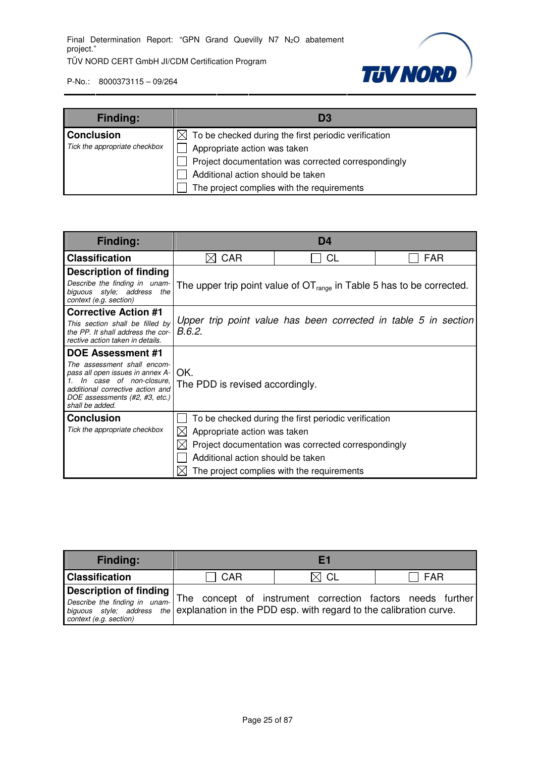

| <b>Finding:</b>               | DЖ                                                               |
|-------------------------------|------------------------------------------------------------------|
| <b>Conclusion</b>             | $\boxtimes$ To be checked during the first periodic verification |
| Tick the appropriate checkbox | Appropriate action was taken                                     |
|                               | Project documentation was corrected correspondingly              |
|                               | Additional action should be taken                                |
|                               | The project complies with the requirements                       |

| <b>Finding:</b>                                                                                                                                                                     | D <sub>4</sub>                                                             |           |            |  |  |
|-------------------------------------------------------------------------------------------------------------------------------------------------------------------------------------|----------------------------------------------------------------------------|-----------|------------|--|--|
| <b>Classification</b>                                                                                                                                                               | CAR<br>IХI                                                                 | <b>CL</b> | <b>FAR</b> |  |  |
| <b>Description of finding</b>                                                                                                                                                       |                                                                            |           |            |  |  |
| Describe the finding in unam-<br>biguous style; address<br>the<br>context (e.g. section)                                                                                            | The upper trip point value of $OT_{range}$ in Table 5 has to be corrected. |           |            |  |  |
| <b>Corrective Action #1</b>                                                                                                                                                         |                                                                            |           |            |  |  |
| This section shall be filled by<br>the PP. It shall address the cor-<br>rective action taken in details.                                                                            | Upper trip point value has been corrected in table 5 in section<br>B.6.2.  |           |            |  |  |
| <b>DOE Assessment #1</b>                                                                                                                                                            |                                                                            |           |            |  |  |
| The assessment shall encom-<br>pass all open issues in annex A-<br>In case of non-closure,<br>additional corrective action and<br>DOE assessments (#2, #3, etc.)<br>shall be added. | OK.<br>The PDD is revised accordingly.                                     |           |            |  |  |
| <b>Conclusion</b>                                                                                                                                                                   | To be checked during the first periodic verification                       |           |            |  |  |
| Tick the appropriate checkbox                                                                                                                                                       | Appropriate action was taken<br>IХ                                         |           |            |  |  |
|                                                                                                                                                                                     | Project documentation was corrected correspondingly                        |           |            |  |  |
|                                                                                                                                                                                     | Additional action should be taken                                          |           |            |  |  |
|                                                                                                                                                                                     | The project complies with the requirements                                 |           |            |  |  |

| <b>Finding:</b>                                                                                                                                                                          |            |      |                                                            |
|------------------------------------------------------------------------------------------------------------------------------------------------------------------------------------------|------------|------|------------------------------------------------------------|
| <b>Classification</b>                                                                                                                                                                    | <b>CAR</b> | CL C | FAR                                                        |
| <b>Description of finding</b><br>Describe the finding in unam-<br>biguous style; address the explanation in the PDD esp. with regard to the calibration curve.<br>context (e.g. section) |            |      | The concept of instrument correction factors needs further |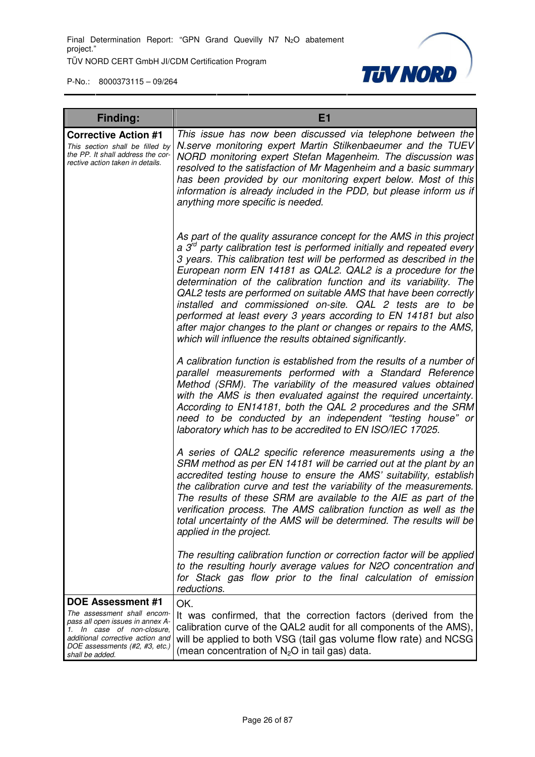

| <b>Finding:</b>                                                                                                                                                                                                    | E1                                                                                                                                                                                                                                                                                                                                                                                                                                                                                                                                                                                                                                                                                                   |
|--------------------------------------------------------------------------------------------------------------------------------------------------------------------------------------------------------------------|------------------------------------------------------------------------------------------------------------------------------------------------------------------------------------------------------------------------------------------------------------------------------------------------------------------------------------------------------------------------------------------------------------------------------------------------------------------------------------------------------------------------------------------------------------------------------------------------------------------------------------------------------------------------------------------------------|
| <b>Corrective Action #1</b><br>This section shall be filled by<br>the PP. It shall address the cor-<br>rective action taken in details.                                                                            | This issue has now been discussed via telephone between the<br>N.serve monitoring expert Martin Stilkenbaeumer and the TUEV<br>NORD monitoring expert Stefan Magenheim. The discussion was<br>resolved to the satisfaction of Mr Magenheim and a basic summary<br>has been provided by our monitoring expert below. Most of this<br>information is already included in the PDD, but please inform us if<br>anything more specific is needed.                                                                                                                                                                                                                                                         |
|                                                                                                                                                                                                                    | As part of the quality assurance concept for the AMS in this project<br>a $3rd$ party calibration test is performed initially and repeated every<br>3 years. This calibration test will be performed as described in the<br>European norm EN 14181 as QAL2. QAL2 is a procedure for the<br>determination of the calibration function and its variability. The<br>QAL2 tests are performed on suitable AMS that have been correctly<br>installed and commissioned on-site. QAL 2 tests are to be<br>performed at least every 3 years according to EN 14181 but also<br>after major changes to the plant or changes or repairs to the AMS,<br>which will influence the results obtained significantly. |
|                                                                                                                                                                                                                    | A calibration function is established from the results of a number of<br>parallel measurements performed with a Standard Reference<br>Method (SRM). The variability of the measured values obtained<br>with the AMS is then evaluated against the required uncertainty.<br>According to EN14181, both the QAL 2 procedures and the SRM<br>need to be conducted by an independent "testing house" or<br>laboratory which has to be accredited to EN ISO/IEC 17025.                                                                                                                                                                                                                                    |
|                                                                                                                                                                                                                    | A series of QAL2 specific reference measurements using a the<br>SRM method as per EN 14181 will be carried out at the plant by an<br>accredited testing house to ensure the AMS' suitability, establish<br>the calibration curve and test the variability of the measurements.<br>The results of these SRM are available to the AIE as part of the<br>verification process. The AMS calibration function as well as the<br>total uncertainty of the AMS will be determined. The results will be<br>applied in the project.                                                                                                                                                                           |
|                                                                                                                                                                                                                    | The resulting calibration function or correction factor will be applied<br>to the resulting hourly average values for N2O concentration and<br>for Stack gas flow prior to the final calculation of emission<br>reductions.                                                                                                                                                                                                                                                                                                                                                                                                                                                                          |
| <b>DOE Assessment #1</b><br>The assessment shall encom-<br>pass all open issues in annex A-<br>1. In case of non-closure,<br>additional corrective action and<br>DOE assessments (#2, #3, etc.)<br>shall be added. | OK.<br>It was confirmed, that the correction factors (derived from the<br>calibration curve of the QAL2 audit for all components of the AMS),<br>will be applied to both VSG (tail gas volume flow rate) and NCSG<br>(mean concentration of $N_2O$ in tail gas) data.                                                                                                                                                                                                                                                                                                                                                                                                                                |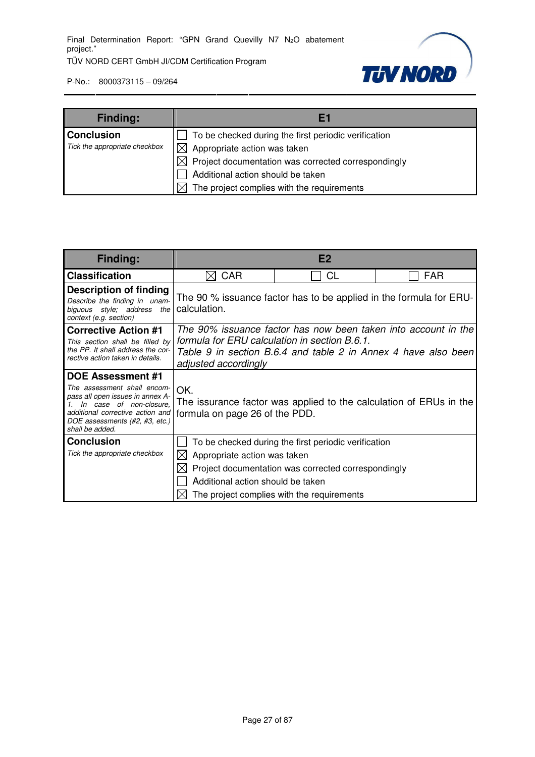

| <b>Finding:</b>               | Eí                                                         |
|-------------------------------|------------------------------------------------------------|
| <b>Conclusion</b>             | To be checked during the first periodic verification       |
| Tick the appropriate checkbox | Appropriate action was taken<br>$\times$ l                 |
|                               | Project documentation was corrected correspondingly<br>IXI |
|                               | Additional action should be taken                          |
|                               | The project complies with the requirements                 |

| Finding:                                                                                                                                                                            | E2                                                                                                                                                                                                        |                                                                    |  |  |  |  |
|-------------------------------------------------------------------------------------------------------------------------------------------------------------------------------------|-----------------------------------------------------------------------------------------------------------------------------------------------------------------------------------------------------------|--------------------------------------------------------------------|--|--|--|--|
| <b>Classification</b>                                                                                                                                                               | <b>CAR</b><br>CL<br><b>FAR</b>                                                                                                                                                                            |                                                                    |  |  |  |  |
| <b>Description of finding</b><br>Describe the finding in unam-<br>biguous style; address the<br>context (e.g. section)                                                              | calculation.                                                                                                                                                                                              | The 90 % issuance factor has to be applied in the formula for ERU- |  |  |  |  |
| <b>Corrective Action #1</b><br>This section shall be filled by<br>the PP. It shall address the cor-<br>rective action taken in details.                                             | The 90% issuance factor has now been taken into account in the<br>formula for ERU calculation in section B.6.1.<br>Table 9 in section B.6.4 and table 2 in Annex 4 have also been<br>adjusted accordingly |                                                                    |  |  |  |  |
| <b>DOE Assessment #1</b>                                                                                                                                                            |                                                                                                                                                                                                           |                                                                    |  |  |  |  |
| The assessment shall encom-<br>pass all open issues in annex A-<br>In case of non-closure,<br>additional corrective action and<br>DOE assessments (#2, #3, etc.)<br>shall be added. | OK.<br>formula on page 26 of the PDD.                                                                                                                                                                     | The issurance factor was applied to the calculation of ERUs in the |  |  |  |  |
| <b>Conclusion</b>                                                                                                                                                                   |                                                                                                                                                                                                           | To be checked during the first periodic verification               |  |  |  |  |
| Tick the appropriate checkbox                                                                                                                                                       | Appropriate action was taken                                                                                                                                                                              |                                                                    |  |  |  |  |
|                                                                                                                                                                                     |                                                                                                                                                                                                           | Project documentation was corrected correspondingly                |  |  |  |  |
|                                                                                                                                                                                     | Additional action should be taken                                                                                                                                                                         |                                                                    |  |  |  |  |
|                                                                                                                                                                                     |                                                                                                                                                                                                           | The project complies with the requirements                         |  |  |  |  |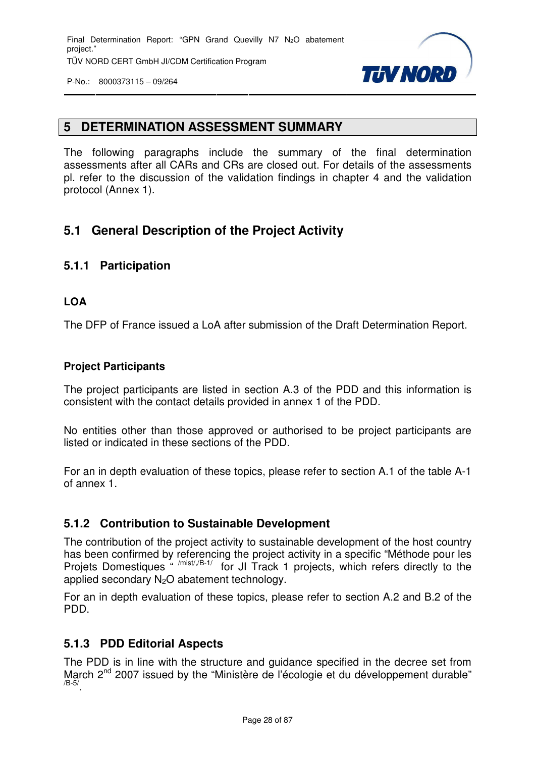

#### **5 DETERMINATION ASSESSMENT SUMMARY**

The following paragraphs include the summary of the final determination assessments after all CARs and CRs are closed out. For details of the assessments pl. refer to the discussion of the validation findings in chapter 4 and the validation protocol (Annex 1).

#### **5.1 General Description of the Project Activity**

#### **5.1.1 Participation**

#### **LOA**

The DFP of France issued a LoA after submission of the Draft Determination Report.

#### **Project Participants**

The project participants are listed in section A.3 of the PDD and this information is consistent with the contact details provided in annex 1 of the PDD.

No entities other than those approved or authorised to be project participants are listed or indicated in these sections of the PDD.

For an in depth evaluation of these topics, please refer to section A.1 of the table A-1 of annex 1.

#### **5.1.2 Contribution to Sustainable Development**

The contribution of the project activity to sustainable development of the host country has been confirmed by referencing the project activity in a specific "Méthode pour les Projets Domestiques " /mist/,/B-1/ for JI Track 1 projects, which refers directly to the applied secondary  $N<sub>2</sub>O$  abatement technology.

For an in depth evaluation of these topics, please refer to section A.2 and B.2 of the PDD.

#### **5.1.3 PDD Editorial Aspects**

The PDD is in line with the structure and guidance specified in the decree set from March 2<sup>nd</sup> 2007 issued by the "Ministère de l'écologie et du développement durable" /B-5/ .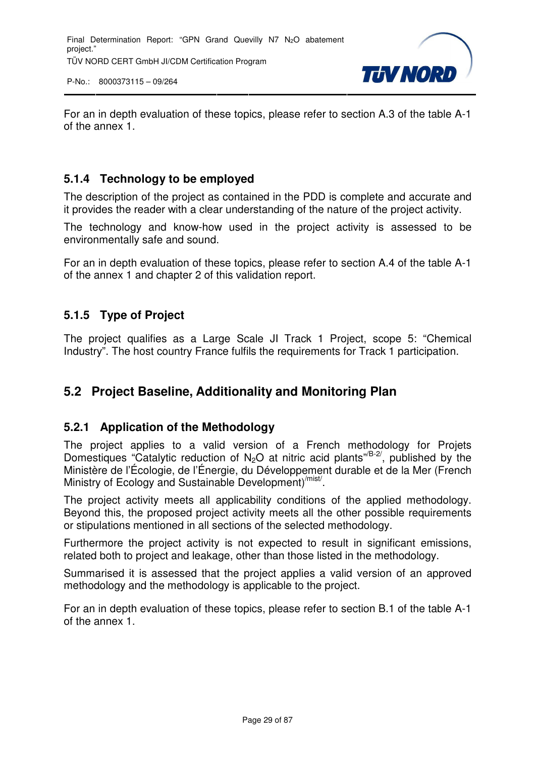

For an in depth evaluation of these topics, please refer to section A.3 of the table A-1 of the annex 1.

#### **5.1.4 Technology to be employed**

The description of the project as contained in the PDD is complete and accurate and it provides the reader with a clear understanding of the nature of the project activity.

The technology and know-how used in the project activity is assessed to be environmentally safe and sound.

For an in depth evaluation of these topics, please refer to section A.4 of the table A-1 of the annex 1 and chapter 2 of this validation report.

#### **5.1.5 Type of Project**

The project qualifies as a Large Scale JI Track 1 Project, scope 5: "Chemical Industry". The host country France fulfils the requirements for Track 1 participation.

#### **5.2 Project Baseline, Additionality and Monitoring Plan**

#### **5.2.1 Application of the Methodology**

The project applies to a valid version of a French methodology for Projets Domestiques "Catalytic reduction of  $N_2O$  at nitric acid plants" $B^{-2/2}$ , published by the Ministère de l'Écologie, de l'Énergie, du Développement durable et de la Mer (French Ministry of Ecology and Sustainable Development)<sup>/mist/</sup>.

The project activity meets all applicability conditions of the applied methodology. Beyond this, the proposed project activity meets all the other possible requirements or stipulations mentioned in all sections of the selected methodology.

Furthermore the project activity is not expected to result in significant emissions, related both to project and leakage, other than those listed in the methodology.

Summarised it is assessed that the project applies a valid version of an approved methodology and the methodology is applicable to the project.

For an in depth evaluation of these topics, please refer to section B.1 of the table A-1 of the annex 1.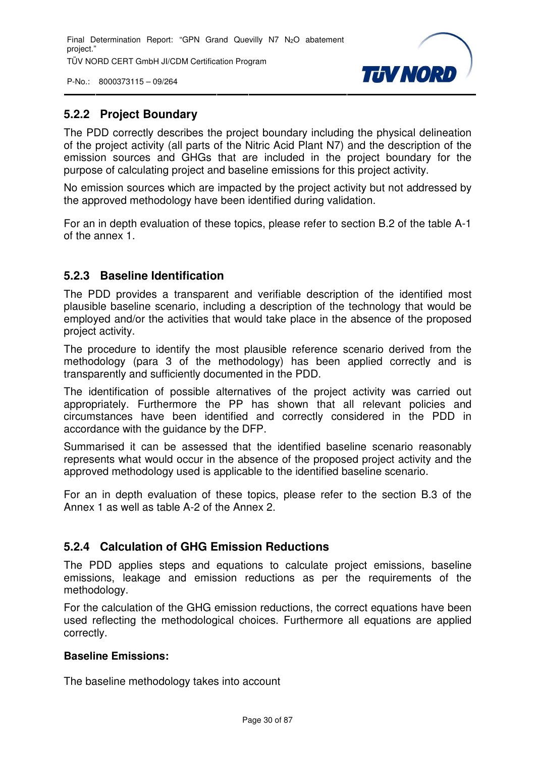P-No.: 8000373115 – 09/264



#### **5.2.2 Project Boundary**

The PDD correctly describes the project boundary including the physical delineation of the project activity (all parts of the Nitric Acid Plant N7) and the description of the emission sources and GHGs that are included in the project boundary for the purpose of calculating project and baseline emissions for this project activity.

No emission sources which are impacted by the project activity but not addressed by the approved methodology have been identified during validation.

For an in depth evaluation of these topics, please refer to section B.2 of the table A-1 of the annex 1.

#### **5.2.3 Baseline Identification**

The PDD provides a transparent and verifiable description of the identified most plausible baseline scenario, including a description of the technology that would be employed and/or the activities that would take place in the absence of the proposed project activity.

The procedure to identify the most plausible reference scenario derived from the methodology (para 3 of the methodology) has been applied correctly and is transparently and sufficiently documented in the PDD.

The identification of possible alternatives of the project activity was carried out appropriately. Furthermore the PP has shown that all relevant policies and circumstances have been identified and correctly considered in the PDD in accordance with the guidance by the DFP.

Summarised it can be assessed that the identified baseline scenario reasonably represents what would occur in the absence of the proposed project activity and the approved methodology used is applicable to the identified baseline scenario.

For an in depth evaluation of these topics, please refer to the section B.3 of the Annex 1 as well as table A-2 of the Annex 2.

#### **5.2.4 Calculation of GHG Emission Reductions**

The PDD applies steps and equations to calculate project emissions, baseline emissions, leakage and emission reductions as per the requirements of the methodology.

For the calculation of the GHG emission reductions, the correct equations have been used reflecting the methodological choices. Furthermore all equations are applied correctly.

#### **Baseline Emissions:**

The baseline methodology takes into account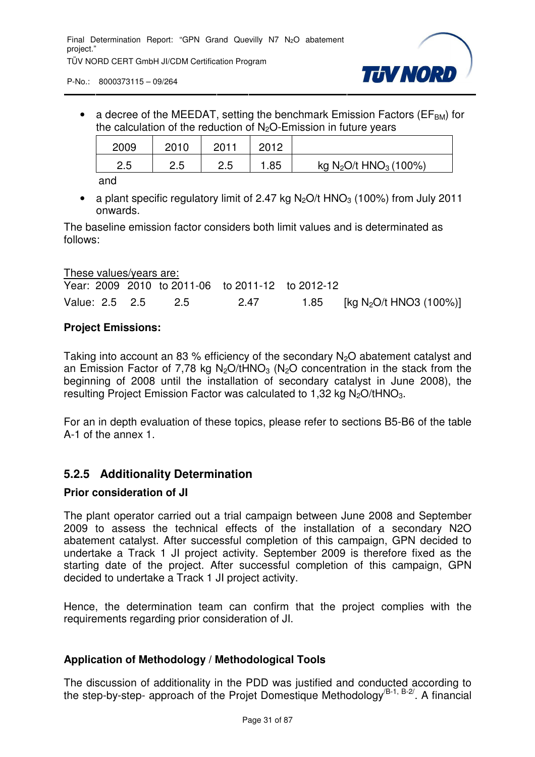

• a decree of the MEEDAT, setting the benchmark Emission Factors ( $EF<sub>BM</sub>$ ) for the calculation of the reduction of  $N<sub>2</sub>O$ -Emission in future years

| 2009      | 2010  | 2011      | 2012 |                                               |
|-----------|-------|-----------|------|-----------------------------------------------|
| っょ<br>ن.ء | ں ۔ ک | っに<br>ں.ے | .85  | kg N <sub>2</sub> O/t HNO <sub>3</sub> (100%) |

and

• a plant specific regulatory limit of 2.47 kg  $N_2O/t$  HNO<sub>3</sub> (100%) from July 2011 onwards.

The baseline emission factor considers both limit values and is determinated as follows:

| <u>These values/years are:</u> |     |                                                  |                                          |
|--------------------------------|-----|--------------------------------------------------|------------------------------------------|
|                                |     | Year: 2009 2010 to 2011-06 to 2011-12 to 2012-12 |                                          |
| Value: 2.5 2.5                 | 2.5 | 2.47                                             | 1.85 [kg N <sub>2</sub> O/t HNO3 (100%)] |

#### **Project Emissions:**

Taking into account an 83 % efficiency of the secondary  $N_2O$  abatement catalyst and an Emission Factor of 7,78 kg N<sub>2</sub>O/tHNO<sub>3</sub> (N<sub>2</sub>O concentration in the stack from the beginning of 2008 until the installation of secondary catalyst in June 2008), the resulting Project Emission Factor was calculated to 1.32 kg N<sub>2</sub>O/tHNO<sub>3</sub>.

For an in depth evaluation of these topics, please refer to sections B5-B6 of the table A-1 of the annex 1.

#### **5.2.5 Additionality Determination**

#### **Prior consideration of JI**

The plant operator carried out a trial campaign between June 2008 and September 2009 to assess the technical effects of the installation of a secondary N2O abatement catalyst. After successful completion of this campaign, GPN decided to undertake a Track 1 JI project activity. September 2009 is therefore fixed as the starting date of the project. After successful completion of this campaign, GPN decided to undertake a Track 1 JI project activity.

Hence, the determination team can confirm that the project complies with the requirements regarding prior consideration of JI.

#### **Application of Methodology / Methodological Tools**

The discussion of additionality in the PDD was justified and conducted according to the step-by-step- approach of the Projet Domestique Methodology<sup>(B-1, B-2/</sup>. A financial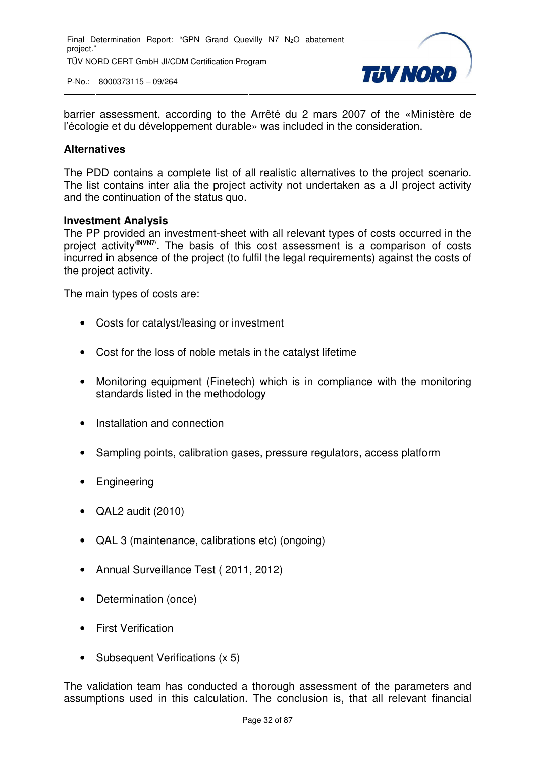

barrier assessment, according to the Arrêté du 2 mars 2007 of the «Ministère de l'écologie et du développement durable» was included in the consideration.

#### **Alternatives**

The PDD contains a complete list of all realistic alternatives to the project scenario. The list contains inter alia the project activity not undertaken as a JI project activity and the continuation of the status quo.

#### **Investment Analysis**

The PP provided an investment-sheet with all relevant types of costs occurred in the project activity**/INVN7/ .** The basis of this cost assessment is a comparison of costs incurred in absence of the project (to fulfil the legal requirements) against the costs of the project activity.

The main types of costs are:

- Costs for catalyst/leasing or investment
- Cost for the loss of noble metals in the catalyst lifetime
- Monitoring equipment (Finetech) which is in compliance with the monitoring standards listed in the methodology
- Installation and connection
- Sampling points, calibration gases, pressure regulators, access platform
- **Engineering**
- QAL2 audit (2010)
- QAL 3 (maintenance, calibrations etc) (ongoing)
- Annual Surveillance Test ( 2011, 2012)
- Determination (once)
- First Verification
- Subsequent Verifications (x 5)

The validation team has conducted a thorough assessment of the parameters and assumptions used in this calculation. The conclusion is, that all relevant financial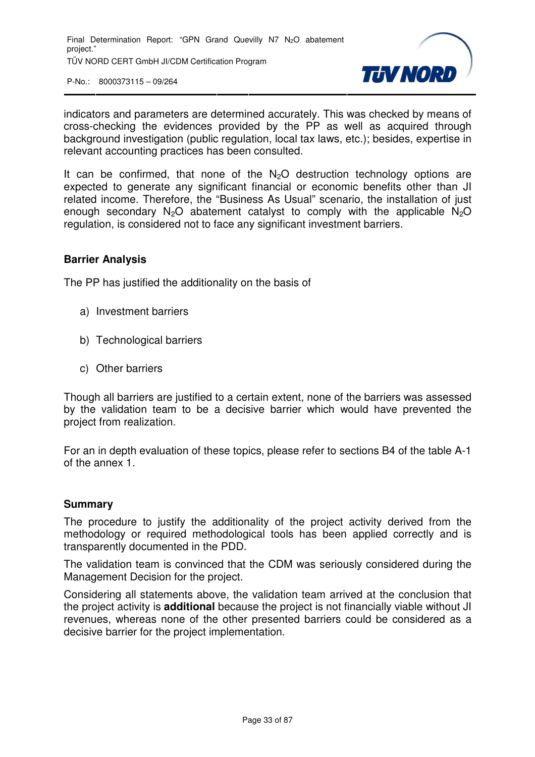

indicators and parameters are determined accurately. This was checked by means of cross-checking the evidences provided by the PP as well as acquired through background investigation (public regulation, local tax laws, etc.); besides, expertise in relevant accounting practices has been consulted.

It can be confirmed, that none of the  $N<sub>2</sub>O$  destruction technology options are expected to generate any significant financial or economic benefits other than JI related income. Therefore, the "Business As Usual" scenario, the installation of just enough secondary  $N_2O$  abatement catalyst to comply with the applicable  $N_2O$ regulation, is considered not to face any significant investment barriers.

#### **Barrier Analysis**

The PP has justified the additionality on the basis of

- a) Investment barriers
- b) Technological barriers
- c) Other barriers

Though all barriers are justified to a certain extent, none of the barriers was assessed by the validation team to be a decisive barrier which would have prevented the project from realization.

For an in depth evaluation of these topics, please refer to sections B4 of the table A-1 of the annex 1.

#### **Summary**

The procedure to justify the additionality of the project activity derived from the methodology or required methodological tools has been applied correctly and is transparently documented in the PDD.

The validation team is convinced that the CDM was seriously considered during the Management Decision for the project.

Considering all statements above, the validation team arrived at the conclusion that the project activity is **additional** because the project is not financially viable without JI revenues, whereas none of the other presented barriers could be considered as a decisive barrier for the project implementation.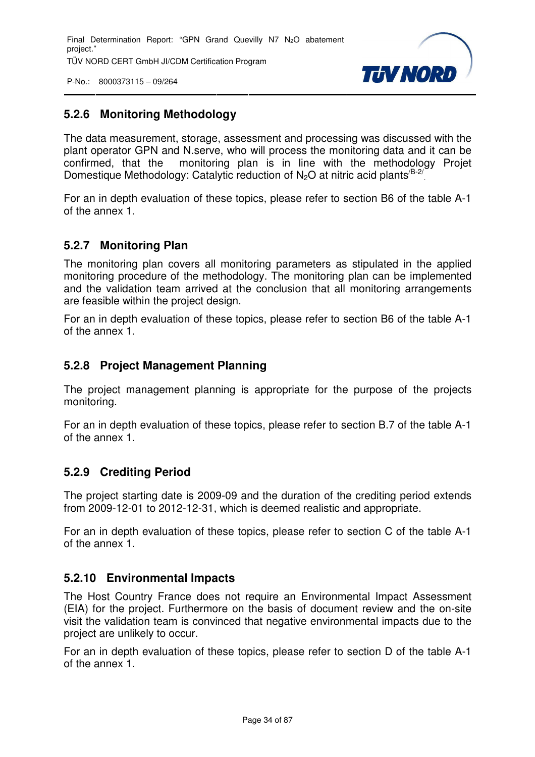

#### **5.2.6 Monitoring Methodology**

The data measurement, storage, assessment and processing was discussed with the plant operator GPN and N.serve, who will process the monitoring data and it can be confirmed, that the monitoring plan is in line with the methodology Projet Domestique Methodology: Catalytic reduction of  $N_2O$  at nitric acid plants<sup>/B-2</sup>/ .

For an in depth evaluation of these topics, please refer to section B6 of the table A-1 of the annex 1.

#### **5.2.7 Monitoring Plan**

The monitoring plan covers all monitoring parameters as stipulated in the applied monitoring procedure of the methodology. The monitoring plan can be implemented and the validation team arrived at the conclusion that all monitoring arrangements are feasible within the project design.

For an in depth evaluation of these topics, please refer to section B6 of the table A-1 of the annex 1.

#### **5.2.8 Project Management Planning**

The project management planning is appropriate for the purpose of the projects monitoring.

For an in depth evaluation of these topics, please refer to section B.7 of the table A-1 of the annex 1.

#### **5.2.9 Crediting Period**

The project starting date is 2009-09 and the duration of the crediting period extends from 2009-12-01 to 2012-12-31, which is deemed realistic and appropriate.

For an in depth evaluation of these topics, please refer to section C of the table A-1 of the annex 1.

#### **5.2.10 Environmental Impacts**

The Host Country France does not require an Environmental Impact Assessment (EIA) for the project. Furthermore on the basis of document review and the on-site visit the validation team is convinced that negative environmental impacts due to the project are unlikely to occur.

For an in depth evaluation of these topics, please refer to section D of the table A-1 of the annex 1.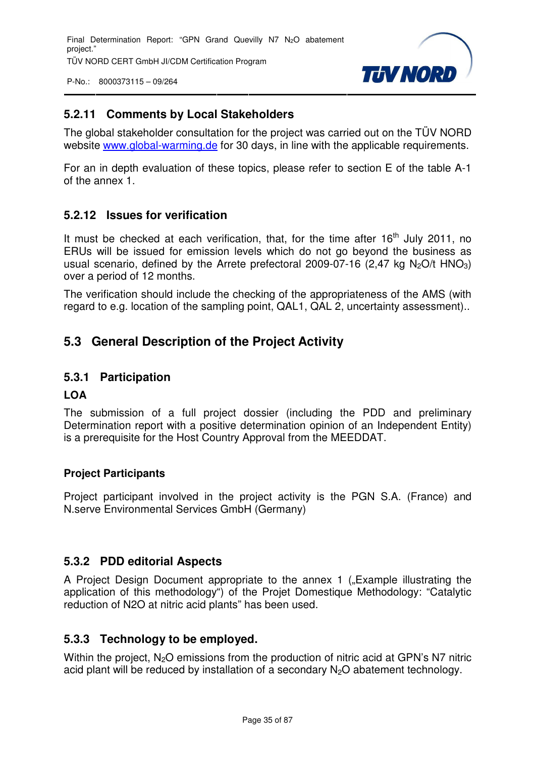P-No.: 8000373115 – 09/264



#### **5.2.11 Comments by Local Stakeholders**

The global stakeholder consultation for the project was carried out on the TÜV NORD website www.global-warming.de for 30 days, in line with the applicable requirements.

For an in depth evaluation of these topics, please refer to section E of the table A-1 of the annex 1.

#### **5.2.12 Issues for verification**

It must be checked at each verification, that, for the time after  $16<sup>th</sup>$  July 2011. no ERUs will be issued for emission levels which do not go beyond the business as usual scenario, defined by the Arrete prefectoral 2009-07-16  $(2.47 \text{ kg N}_2\text{O/t HNO}_3)$ over a period of 12 months.

The verification should include the checking of the appropriateness of the AMS (with regard to e.g. location of the sampling point, QAL1, QAL 2, uncertainty assessment)..

#### **5.3 General Description of the Project Activity**

#### **5.3.1 Participation**

#### **LOA**

The submission of a full project dossier (including the PDD and preliminary Determination report with a positive determination opinion of an Independent Entity) is a prerequisite for the Host Country Approval from the MEEDDAT.

#### **Project Participants**

Project participant involved in the project activity is the PGN S.A. (France) and N.serve Environmental Services GmbH (Germany)

#### **5.3.2 PDD editorial Aspects**

A Project Design Document appropriate to the annex 1 ("Example illustrating the application of this methodology") of the Projet Domestique Methodology: "Catalytic reduction of N2O at nitric acid plants" has been used.

#### **5.3.3 Technology to be employed.**

Within the project,  $N_2O$  emissions from the production of nitric acid at GPN's N7 nitric acid plant will be reduced by installation of a secondary  $N<sub>2</sub>O$  abatement technology.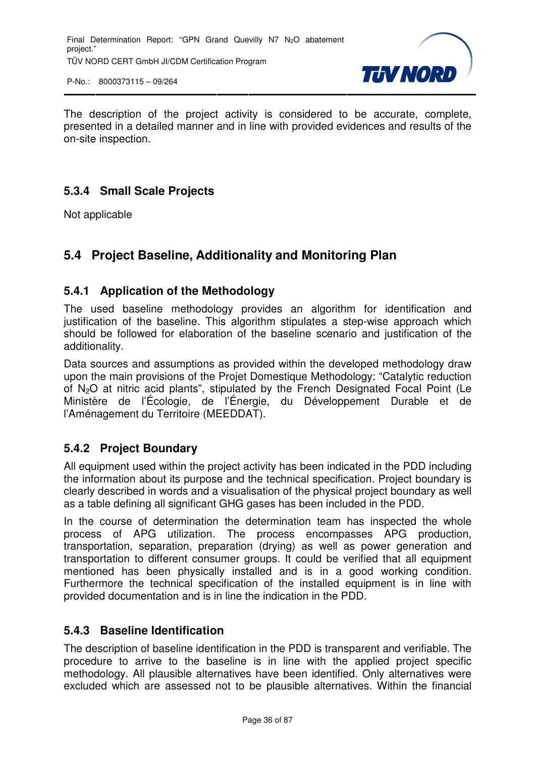

The description of the project activity is considered to be accurate, complete, presented in a detailed manner and in line with provided evidences and results of the on-site inspection.

#### **5.3.4 Small Scale Projects**

Not applicable

#### **5.4 Project Baseline, Additionality and Monitoring Plan**

#### **5.4.1 Application of the Methodology**

The used baseline methodology provides an algorithm for identification and justification of the baseline. This algorithm stipulates a step-wise approach which should be followed for elaboration of the baseline scenario and justification of the additionality.

Data sources and assumptions as provided within the developed methodology draw upon the main provisions of the Projet Domestique Methodology: "Catalytic reduction of N2O at nitric acid plants", stipulated by the French Designated Focal Point (Le Ministère de l'Écologie, de l'Énergie, du Développement Durable et de l'Aménagement du Territoire (MEEDDAT).

#### **5.4.2 Project Boundary**

All equipment used within the project activity has been indicated in the PDD including the information about its purpose and the technical specification. Project boundary is clearly described in words and a visualisation of the physical project boundary as well as a table defining all significant GHG gases has been included in the PDD.

In the course of determination the determination team has inspected the whole process of APG utilization. The process encompasses APG production, transportation, separation, preparation (drying) as well as power generation and transportation to different consumer groups. It could be verified that all equipment mentioned has been physically installed and is in a good working condition. Furthermore the technical specification of the installed equipment is in line with provided documentation and is in line the indication in the PDD.

#### **5.4.3 Baseline Identification**

The description of baseline identification in the PDD is transparent and verifiable. The procedure to arrive to the baseline is in line with the applied project specific methodology. All plausible alternatives have been identified. Only alternatives were excluded which are assessed not to be plausible alternatives. Within the financial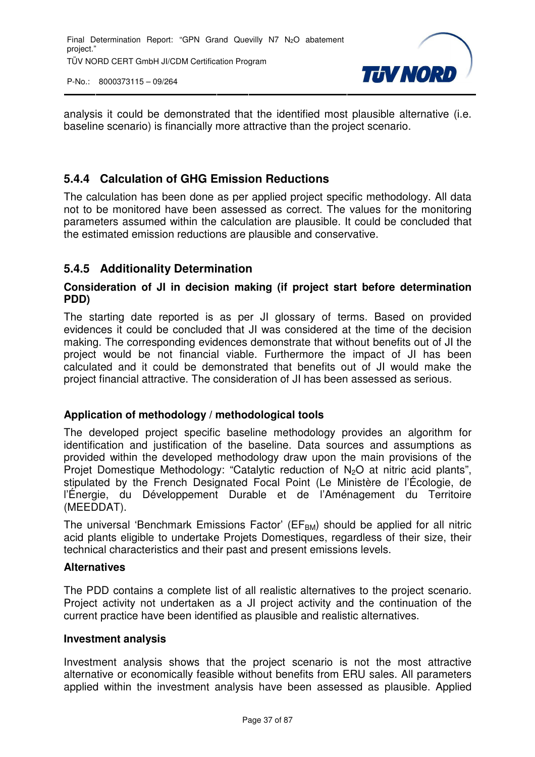

analysis it could be demonstrated that the identified most plausible alternative (i.e. baseline scenario) is financially more attractive than the project scenario.

## **5.4.4 Calculation of GHG Emission Reductions**

The calculation has been done as per applied project specific methodology. All data not to be monitored have been assessed as correct. The values for the monitoring parameters assumed within the calculation are plausible. It could be concluded that the estimated emission reductions are plausible and conservative.

#### **5.4.5 Additionality Determination**

#### **Consideration of JI in decision making (if project start before determination PDD)**

The starting date reported is as per JI glossary of terms. Based on provided evidences it could be concluded that JI was considered at the time of the decision making. The corresponding evidences demonstrate that without benefits out of JI the project would be not financial viable. Furthermore the impact of JI has been calculated and it could be demonstrated that benefits out of JI would make the project financial attractive. The consideration of JI has been assessed as serious.

#### **Application of methodology / methodological tools**

The developed project specific baseline methodology provides an algorithm for identification and justification of the baseline. Data sources and assumptions as provided within the developed methodology draw upon the main provisions of the Projet Domestique Methodology: "Catalytic reduction of N<sub>2</sub>O at nitric acid plants", stipulated by the French Designated Focal Point (Le Ministère de l'Écologie, de l'Énergie, du Développement Durable et de l'Aménagement du Territoire (MEEDDAT).

The universal 'Benchmark Emissions Factor' ( $EF_{BM}$ ) should be applied for all nitric acid plants eligible to undertake Projets Domestiques, regardless of their size, their technical characteristics and their past and present emissions levels.

#### **Alternatives**

The PDD contains a complete list of all realistic alternatives to the project scenario. Project activity not undertaken as a JI project activity and the continuation of the current practice have been identified as plausible and realistic alternatives.

#### **Investment analysis**

Investment analysis shows that the project scenario is not the most attractive alternative or economically feasible without benefits from ERU sales. All parameters applied within the investment analysis have been assessed as plausible. Applied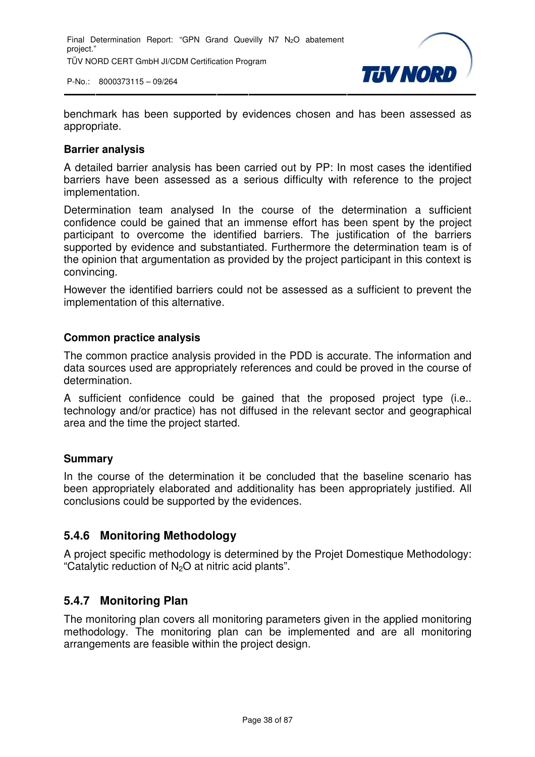

benchmark has been supported by evidences chosen and has been assessed as appropriate.

#### **Barrier analysis**

A detailed barrier analysis has been carried out by PP: In most cases the identified barriers have been assessed as a serious difficulty with reference to the project implementation.

Determination team analysed In the course of the determination a sufficient confidence could be gained that an immense effort has been spent by the project participant to overcome the identified barriers. The justification of the barriers supported by evidence and substantiated. Furthermore the determination team is of the opinion that argumentation as provided by the project participant in this context is convincing.

However the identified barriers could not be assessed as a sufficient to prevent the implementation of this alternative.

#### **Common practice analysis**

The common practice analysis provided in the PDD is accurate. The information and data sources used are appropriately references and could be proved in the course of determination.

A sufficient confidence could be gained that the proposed project type (i.e.. technology and/or practice) has not diffused in the relevant sector and geographical area and the time the project started.

#### **Summary**

In the course of the determination it be concluded that the baseline scenario has been appropriately elaborated and additionality has been appropriately justified. All conclusions could be supported by the evidences.

#### **5.4.6 Monitoring Methodology**

A project specific methodology is determined by the Projet Domestique Methodology: "Catalytic reduction of N<sub>2</sub>O at nitric acid plants".

#### **5.4.7 Monitoring Plan**

The monitoring plan covers all monitoring parameters given in the applied monitoring methodology. The monitoring plan can be implemented and are all monitoring arrangements are feasible within the project design.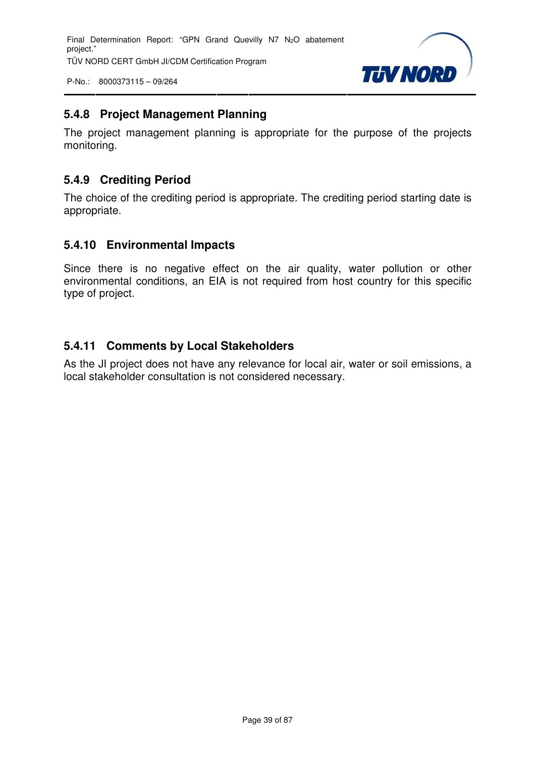Final Determination Report: "GPN Grand Quevilly N7 N<sub>2</sub>O abatement project." TÜV NORD CERT GmbH JI/CDM Certification Program

P-No.: 8000373115 – 09/264



## **5.4.8 Project Management Planning**

The project management planning is appropriate for the purpose of the projects monitoring.

## **5.4.9 Crediting Period**

The choice of the crediting period is appropriate. The crediting period starting date is appropriate.

#### **5.4.10 Environmental Impacts**

Since there is no negative effect on the air quality, water pollution or other environmental conditions, an EIA is not required from host country for this specific type of project.

## **5.4.11 Comments by Local Stakeholders**

As the JI project does not have any relevance for local air, water or soil emissions, a local stakeholder consultation is not considered necessary.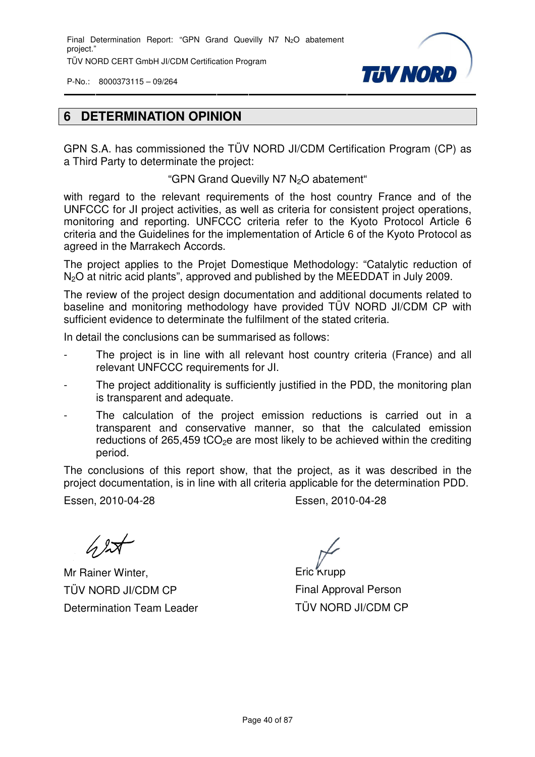Final Determination Report: "GPN Grand Quevilly N7 N<sub>2</sub>O abatement project." TÜV NORD CERT GmbH JI/CDM Certification Program

P-No.: 8000373115 – 09/264



## **6 DETERMINATION OPINION**

GPN S.A. has commissioned the TÜV NORD JI/CDM Certification Program (CP) as a Third Party to determinate the project:

"GPN Grand Quevilly N7 N<sub>2</sub>O abatement"

with regard to the relevant requirements of the host country France and of the UNFCCC for JI project activities, as well as criteria for consistent project operations, monitoring and reporting. UNFCCC criteria refer to the Kyoto Protocol Article 6 criteria and the Guidelines for the implementation of Article 6 of the Kyoto Protocol as agreed in the Marrakech Accords.

The project applies to the Projet Domestique Methodology: "Catalytic reduction of N<sub>2</sub>O at nitric acid plants", approved and published by the MEEDDAT in July 2009.

The review of the project design documentation and additional documents related to baseline and monitoring methodology have provided TÜV NORD JI/CDM CP with sufficient evidence to determinate the fulfilment of the stated criteria.

In detail the conclusions can be summarised as follows:

- The project is in line with all relevant host country criteria (France) and all relevant UNFCCC requirements for JI.
- The project additionality is sufficiently justified in the PDD, the monitoring plan is transparent and adequate.
- The calculation of the project emission reductions is carried out in a transparent and conservative manner, so that the calculated emission reductions of 265,459 tCO<sub>2</sub>e are most likely to be achieved within the crediting period.

The conclusions of this report show, that the project, as it was described in the project documentation, is in line with all criteria applicable for the determination PDD.

Essen, 2010-04-28 Essen, 2010-04-28

 $\sqrt{2}$ 

Mr Rainer Winter, TÜV NORD JI/CDM CP Determination Team Leader

Eric<sup>k</sup>rupp Final Approval Person TÜV NORD JI/CDM CP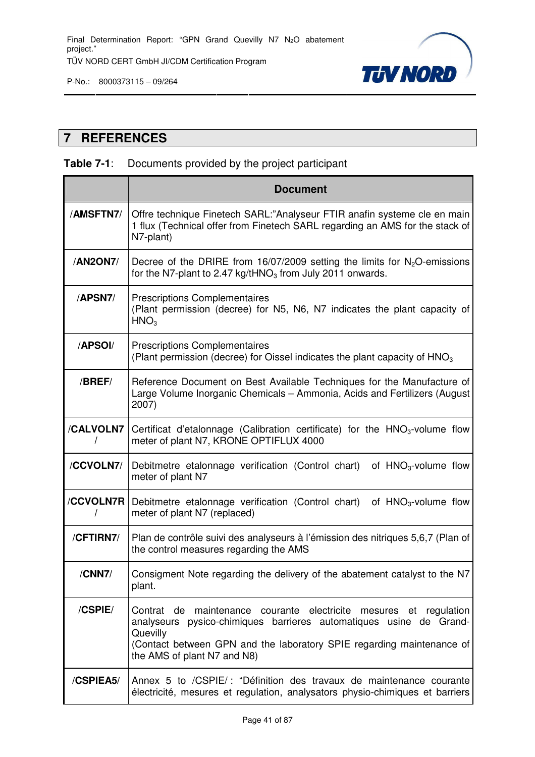

# **7 REFERENCES**

## **Table 7-1**: Documents provided by the project participant

|           | <b>Document</b>                                                                                                                                                                                                                                             |
|-----------|-------------------------------------------------------------------------------------------------------------------------------------------------------------------------------------------------------------------------------------------------------------|
| /AMSFTN7/ | Offre technique Finetech SARL:"Analyseur FTIR anafin systeme cle en main<br>1 flux (Technical offer from Finetech SARL regarding an AMS for the stack of<br>N7-plant)                                                                                       |
| /AN2ON7/  | Decree of the DRIRE from 16/07/2009 setting the limits for $N_zO$ -emissions<br>for the N7-plant to 2.47 kg/tHNO <sub>3</sub> from July 2011 onwards.                                                                                                       |
| /APSN7/   | <b>Prescriptions Complementaires</b><br>(Plant permission (decree) for N5, N6, N7 indicates the plant capacity of<br>HNO <sub>3</sub>                                                                                                                       |
| /APSOI/   | <b>Prescriptions Complementaires</b><br>(Plant permission (decree) for Oissel indicates the plant capacity of $HNO3$                                                                                                                                        |
| /BREF/    | Reference Document on Best Available Techniques for the Manufacture of<br>Large Volume Inorganic Chemicals - Ammonia, Acids and Fertilizers (August<br>2007)                                                                                                |
| /CALVOLN7 | Certificat d'etalonnage (Calibration certificate) for the HNO <sub>3</sub> -volume flow<br>meter of plant N7, KRONE OPTIFLUX 4000                                                                                                                           |
| /CCVOLN7/ | Debitmetre etalonnage verification (Control chart)<br>of $HNO3$ -volume flow<br>meter of plant N7                                                                                                                                                           |
| /CCVOLN7R | Debitmetre etalonnage verification (Control chart)<br>of HNO <sub>3</sub> -volume flow<br>meter of plant N7 (replaced)                                                                                                                                      |
| /CFTIRN7/ | Plan de contrôle suivi des analyseurs à l'émission des nitriques 5,6,7 (Plan of<br>the control measures regarding the AMS                                                                                                                                   |
| /CNN7/    | Consigment Note regarding the delivery of the abatement catalyst to the N7<br>plant.                                                                                                                                                                        |
| /CSPIE/   | Contrat de maintenance courante electricite mesures et regulation<br>analyseurs pysico-chimiques barrieres automatiques usine de Grand-<br>Quevilly<br>(Contact between GPN and the laboratory SPIE regarding maintenance of<br>the AMS of plant N7 and N8) |
| /CSPIEA5/ | Annex 5 to /CSPIE/: "Définition des travaux de maintenance courante<br>électricité, mesures et regulation, analysators physio-chimiques et barriers                                                                                                         |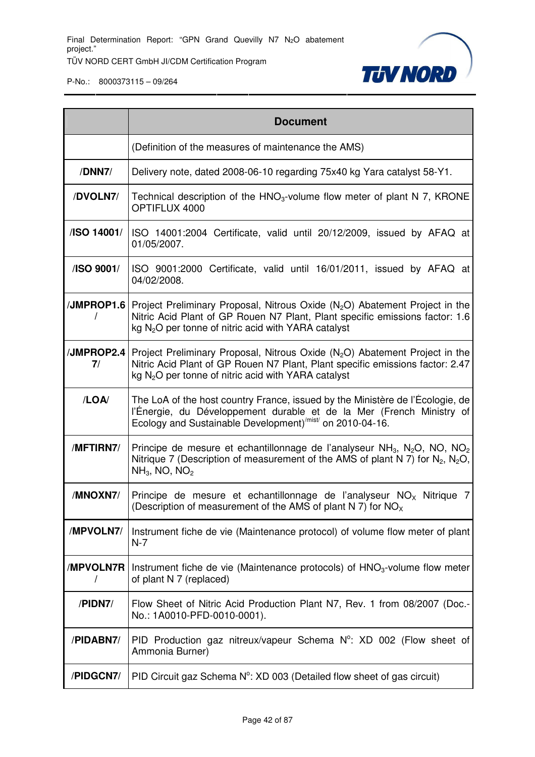

|                  | <b>Document</b>                                                                                                                                                                                                                                       |
|------------------|-------------------------------------------------------------------------------------------------------------------------------------------------------------------------------------------------------------------------------------------------------|
|                  | (Definition of the measures of maintenance the AMS)                                                                                                                                                                                                   |
| /DNN7/           | Delivery note, dated 2008-06-10 regarding 75x40 kg Yara catalyst 58-Y1.                                                                                                                                                                               |
| /DVOLN7/         | Technical description of the $HNO3$ -volume flow meter of plant N 7, KRONE<br>OPTIFLUX 4000                                                                                                                                                           |
| /ISO 14001/      | ISO 14001:2004 Certificate, valid until 20/12/2009, issued by AFAQ at<br>01/05/2007.                                                                                                                                                                  |
| /ISO 9001/       | ISO 9001:2000 Certificate, valid until 16/01/2011, issued by AFAQ at<br>04/02/2008.                                                                                                                                                                   |
|                  | /JMPROP1.6 Project Preliminary Proposal, Nitrous Oxide (N <sub>2</sub> O) Abatement Project in the<br>Nitric Acid Plant of GP Rouen N7 Plant, Plant specific emissions factor: 1.6<br>kg N <sub>2</sub> O per tonne of nitric acid with YARA catalyst |
| /JMPROP2.4<br>7/ | Project Preliminary Proposal, Nitrous Oxide $(N_2O)$ Abatement Project in the<br>Nitric Acid Plant of GP Rouen N7 Plant, Plant specific emissions factor: 2.47<br>kg $N2O$ per tonne of nitric acid with YARA catalyst                                |
| /LOA/            | The LoA of the host country France, issued by the Ministère de l'Écologie, de<br>l'Énergie, du Développement durable et de la Mer (French Ministry of<br>Ecology and Sustainable Development) <sup>/mist/</sup> on 2010-04-16.                        |
| /MFTIRN7/        | Principe de mesure et echantillonnage de l'analyseur NH <sub>3</sub> , N <sub>2</sub> O, NO, NO <sub>2</sub><br>Nitrique 7 (Description of measurement of the AMS of plant N 7) for $N_2$ , $N_2O$ ,<br>$NH3$ , NO, NO <sub>2</sub>                   |
| /MNOXN7/         | Principe de mesure et echantillonnage de l'analyseur $NOx$ Nitrique 7<br>(Description of measurement of the AMS of plant N 7) for NO <sub>x</sub>                                                                                                     |
| /MPVOLN7/        | Instrument fiche de vie (Maintenance protocol) of volume flow meter of plant<br>$N-7$                                                                                                                                                                 |
| /MPVOLN7R        | Instrument fiche de vie (Maintenance protocols) of HNO <sub>3</sub> -volume flow meter<br>of plant N 7 (replaced)                                                                                                                                     |
| /PIDN7/          | Flow Sheet of Nitric Acid Production Plant N7, Rev. 1 from 08/2007 (Doc.-<br>No.: 1A0010-PFD-0010-0001).                                                                                                                                              |
| /PIDABN7/        | PID Production gaz nitreux/vapeur Schema $N^{\circ}$ : XD 002 (Flow sheet of<br>Ammonia Burner)                                                                                                                                                       |
| /PIDGCN7/        | PID Circuit gaz Schema N°: XD 003 (Detailed flow sheet of gas circuit)                                                                                                                                                                                |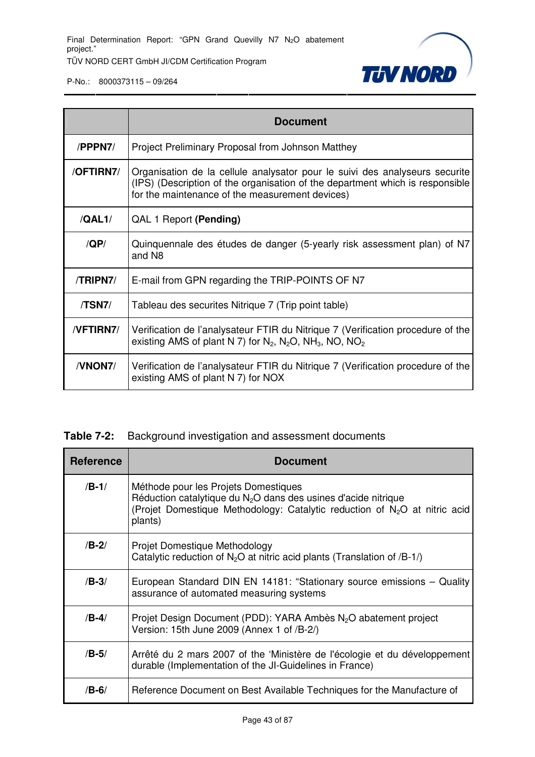

|             | <b>Document</b>                                                                                                                                                                                                 |
|-------------|-----------------------------------------------------------------------------------------------------------------------------------------------------------------------------------------------------------------|
| /PPPN7/     | Project Preliminary Proposal from Johnson Matthey                                                                                                                                                               |
| /OFTIRN7/   | Organisation de la cellule analysator pour le suivi des analyseurs securite<br>(IPS) (Description of the organisation of the department which is responsible<br>for the maintenance of the measurement devices) |
| /QAL1/      | QAL 1 Report (Pending)                                                                                                                                                                                          |
| $\sqrt{QP}$ | Quinquennale des études de danger (5-yearly risk assessment plan) of N7<br>and N <sub>8</sub>                                                                                                                   |
| /TRIPN7/    | E-mail from GPN regarding the TRIP-POINTS OF N7                                                                                                                                                                 |
| /TSN7/      | Tableau des securites Nitrique 7 (Trip point table)                                                                                                                                                             |
| /VFTIRN7/   | Verification de l'analysateur FTIR du Nitrique 7 (Verification procedure of the<br>existing AMS of plant N 7) for $N_2$ , $N_2O$ , NH <sub>3</sub> , NO, NO <sub>2</sub>                                        |
| /VNON7/     | Verification de l'analysateur FTIR du Nitrique 7 (Verification procedure of the<br>existing AMS of plant N 7) for NOX                                                                                           |

## **Table 7-2:** Background investigation and assessment documents

| <b>Reference</b> | <b>Document</b>                                                                                                                                                                                    |
|------------------|----------------------------------------------------------------------------------------------------------------------------------------------------------------------------------------------------|
| $/B-1/$          | Méthode pour les Projets Domestiques<br>Réduction catalytique du $N2O$ dans des usines d'acide nitrique<br>(Projet Domestique Methodology: Catalytic reduction of $N_2O$ at nitric acid<br>plants) |
| $/B-2/$          | Projet Domestique Methodology<br>Catalytic reduction of $N_2O$ at nitric acid plants (Translation of /B-1/)                                                                                        |
| $/B-3/$          | European Standard DIN EN 14181: "Stationary source emissions – Quality<br>assurance of automated measuring systems                                                                                 |
| $/B-4/$          | Projet Design Document (PDD): YARA Ambès N <sub>2</sub> O abatement project<br>Version: 15th June 2009 (Annex 1 of /B-2/)                                                                          |
| $/B-5/$          | Arrêté du 2 mars 2007 of the 'Ministère de l'écologie et du développement<br>durable (Implementation of the JI-Guidelines in France)                                                               |
| $/B-6/$          | Reference Document on Best Available Techniques for the Manufacture of                                                                                                                             |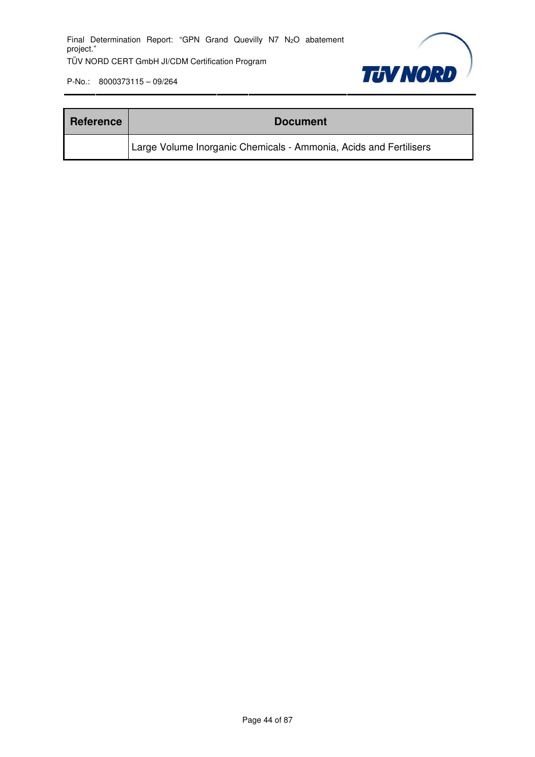

| <b>Reference</b> | <b>Document</b>                                                   |
|------------------|-------------------------------------------------------------------|
|                  | Large Volume Inorganic Chemicals - Ammonia, Acids and Fertilisers |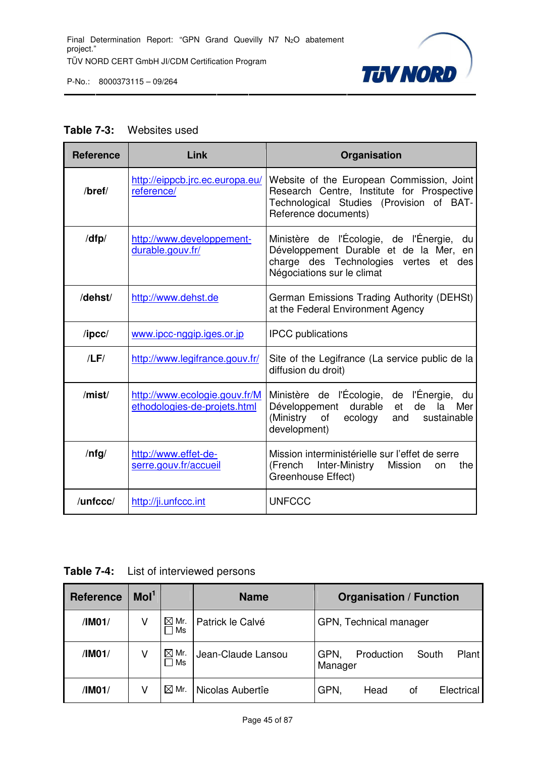

#### **Table 7-3:** Websites used

| <b>Reference</b> | Link                                                          | Organisation                                                                                                                                                        |  |  |  |
|------------------|---------------------------------------------------------------|---------------------------------------------------------------------------------------------------------------------------------------------------------------------|--|--|--|
| /bref/           | http://eippcb.jrc.ec.europa.eu/<br>reference/                 | Website of the European Commission, Joint<br>Research Centre, Institute for Prospective<br>Technological Studies (Provision of BAT-<br>Reference documents)         |  |  |  |
| /dfp/            | http://www.developpement-<br>durable.gouv.fr/                 | Ministère de l'Écologie, de l'Énergie,<br>du<br>Développement Durable et de la Mer, en<br>charge des Technologies vertes<br>et<br>des<br>Négociations sur le climat |  |  |  |
| /dehst/          | http://www.dehst.de                                           | German Emissions Trading Authority (DEHSt)<br>at the Federal Environment Agency                                                                                     |  |  |  |
| $\sqrt{I}$       | www.ipcc-nggip.iges.or.jp                                     | <b>IPCC</b> publications                                                                                                                                            |  |  |  |
| /LF/             | http://www.legifrance.gouv.fr/                                | Site of the Legifrance (La service public de la<br>diffusion du droit)                                                                                              |  |  |  |
| /mist/           | http://www.ecologie.gouv.fr/M<br>ethodologies-de-projets.html | Ministère de l'Écologie, de l'Énergie, du<br>durable<br>Développement<br>de<br>Mer<br>et<br>la<br>(Ministry<br>of<br>ecology<br>sustainable<br>and<br>development)  |  |  |  |
| /nfg/            | http://www.effet-de-<br>serre.gouv.fr/accueil                 | Mission interministérielle sur l'effet de serre<br>(French<br>Inter-Ministry Mission<br>the<br><b>on</b><br>Greenhouse Effect)                                      |  |  |  |
| /unfccc/         | http://ji.unfccc.int                                          | <b>UNFCCC</b>                                                                                                                                                       |  |  |  |

**Table 7-4:** List of interviewed persons

| <b>Reference</b> | Mol <sup>1</sup> |                         | <b>Name</b>        | <b>Organisation / Function</b>                  |  |  |  |
|------------------|------------------|-------------------------|--------------------|-------------------------------------------------|--|--|--|
| /IM01/           | V                | $\boxtimes$ Mr.<br>Ms   | Patrick le Calvé   | GPN, Technical manager                          |  |  |  |
| /IM01/           | V                | $\boxtimes$ Mr.<br>l Ms | Jean-Claude Lansou | Plant<br>GPN,<br>Production<br>South<br>Manager |  |  |  |
| /IM01/           | V                | $\boxtimes$ Mr.         | Nicolas Aubertîe   | GPN.<br>Electrical<br>Head<br>οf                |  |  |  |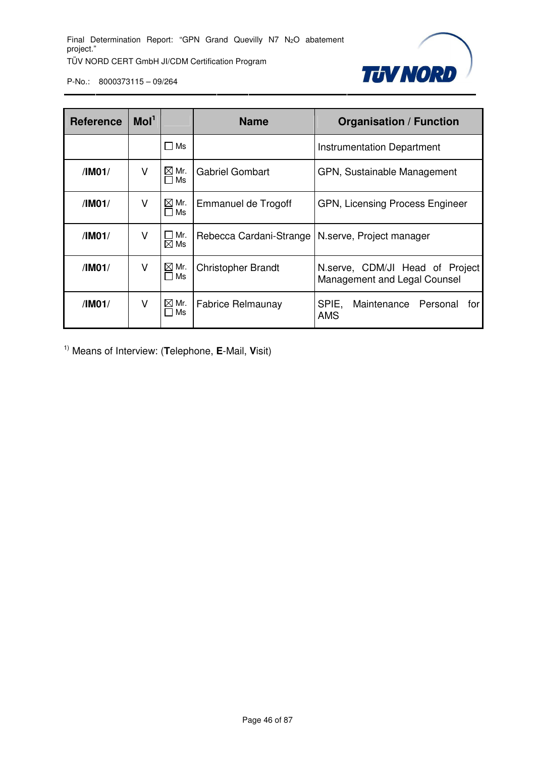

| <b>Reference</b> | Mol <sup>1</sup> |                              | <b>Name</b>               | <b>Organisation / Function</b>                                  |  |  |
|------------------|------------------|------------------------------|---------------------------|-----------------------------------------------------------------|--|--|
|                  |                  | ∏ Ms                         |                           | Instrumentation Department                                      |  |  |
| /IM01/           | ٧                | $\boxtimes$ Mr.<br>$\Box$ Ms | <b>Gabriel Gombart</b>    | GPN, Sustainable Management                                     |  |  |
| /IM01/           | v                | $\boxtimes$ Mr.<br>$\Box$ Ms | Emmanuel de Trogoff       | GPN, Licensing Process Engineer                                 |  |  |
| /IM01/           | v                | Mr.<br>$\boxtimes$ Ms        | Rebecca Cardani-Strange   | N.serve, Project manager                                        |  |  |
| /IM01/           | v                | $\boxtimes$ Mr.<br>Ms        | <b>Christopher Brandt</b> | N.serve, CDM/JI Head of Project<br>Management and Legal Counsel |  |  |
| /IM01/           | V                | $\boxtimes$ Mr.<br>Ms        | <b>Fabrice Relmaunay</b>  | SPIE,<br>Maintenance Personal<br>forl<br><b>AMS</b>             |  |  |

1) Means of Interview: (**T**elephone, **E**-Mail, **V**isit)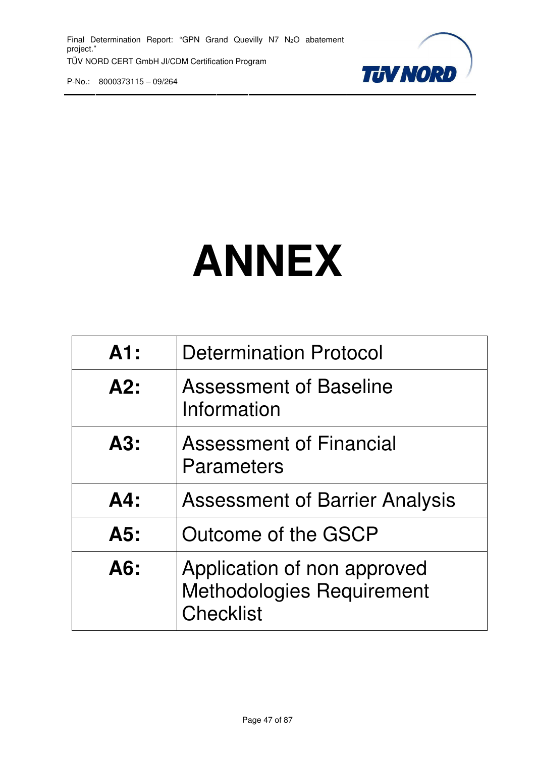

# **ANNEX**

| A1:    | <b>Determination Protocol</b>                                                       |
|--------|-------------------------------------------------------------------------------------|
| A2:    | <b>Assessment of Baseline</b><br>Information                                        |
| A3:    | <b>Assessment of Financial</b><br>Parameters                                        |
| $AA$ : | <b>Assessment of Barrier Analysis</b>                                               |
| A5:    | Outcome of the GSCP                                                                 |
| A6:    | Application of non approved<br><b>Methodologies Requirement</b><br><b>Checklist</b> |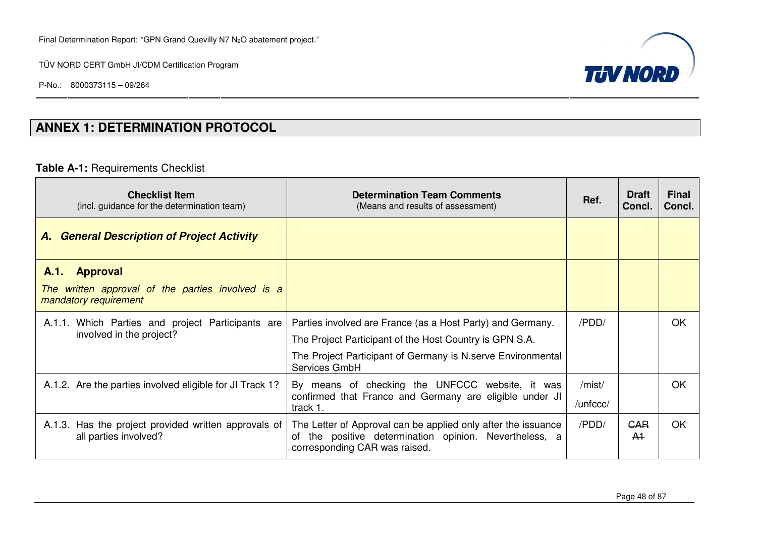P-No.: 8000373115 – 09/264



# **ANNEX 1: DETERMINATION PROTOCOL**

## **Table A-1:** Requirements Checklist

| <b>Checklist Item</b><br>(incl. guidance for the determination team)                                     | <b>Determination Team Comments</b><br>(Means and results of assessment)                                                                                                                                | Ref.               | <b>Draft</b><br>Concl.       | Final<br>Concl. |
|----------------------------------------------------------------------------------------------------------|--------------------------------------------------------------------------------------------------------------------------------------------------------------------------------------------------------|--------------------|------------------------------|-----------------|
| <b>A. General Description of Project Activity</b>                                                        |                                                                                                                                                                                                        |                    |                              |                 |
| <b>Approval</b><br>A.1.<br>written approval of the parties involved is a<br>The<br>mandatory requirement |                                                                                                                                                                                                        |                    |                              |                 |
| A.1.1. Which Parties and project Participants are<br>involved in the project?                            | Parties involved are France (as a Host Party) and Germany.<br>The Project Participant of the Host Country is GPN S.A.<br>The Project Participant of Germany is N. serve Environmental<br>Services GmbH | /PDD/              |                              | <b>OK</b>       |
| A.1.2. Are the parties involved eligible for JI Track 1?                                                 | By means of checking the UNFCCC website, it was<br>confirmed that France and Germany are eligible under JI<br>track 1.                                                                                 | /mist/<br>/unfccc/ |                              | OK              |
| A.1.3. Has the project provided written approvals of<br>all parties involved?                            | The Letter of Approval can be applied only after the issuance<br>the positive determination opinion. Nevertheless, a<br>of<br>corresponding CAR was raised.                                            | /PDD/              | <b>GAR</b><br>A <sup>1</sup> | OK              |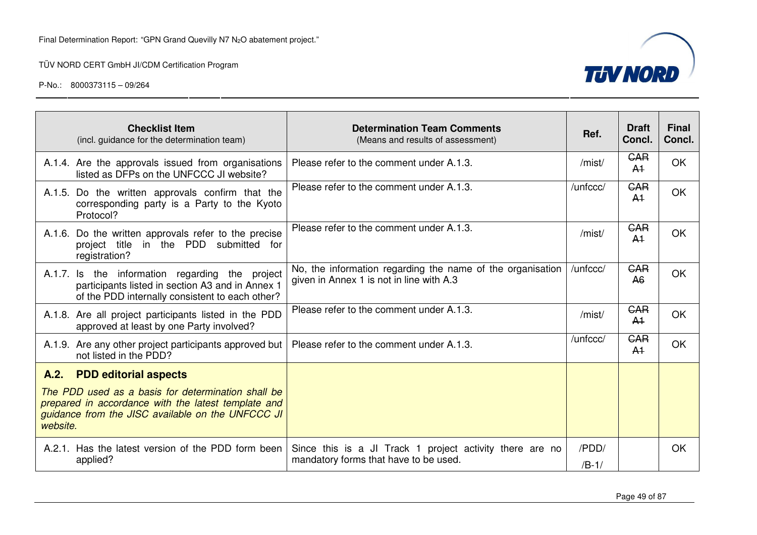



|          | <b>Checklist Item</b><br>(incl. guidance for the determination team)                                                                                           | <b>Determination Team Comments</b><br>(Means and results of assessment)                                | Ref.             | <b>Draft</b><br>Concl.       | <b>Final</b><br>Concl. |
|----------|----------------------------------------------------------------------------------------------------------------------------------------------------------------|--------------------------------------------------------------------------------------------------------|------------------|------------------------------|------------------------|
|          | A.1.4. Are the approvals issued from organisations<br>listed as DFPs on the UNFCCC JI website?                                                                 | Please refer to the comment under A.1.3.                                                               | /mist/           | <b>GAR</b><br>A <sup>1</sup> | <b>OK</b>              |
|          | A.1.5. Do the written approvals confirm that the<br>corresponding party is a Party to the Kyoto<br>Protocol?                                                   | Please refer to the comment under A.1.3.                                                               | /unfccc/         | <b>GAR</b><br>A <sup>1</sup> | <b>OK</b>              |
|          | A.1.6. Do the written approvals refer to the precise<br>project title<br>in the PDD<br>submitted<br>for<br>registration?                                       | Please refer to the comment under A.1.3.                                                               | /mist/           | <b>GAR</b><br>A <sup>1</sup> | <b>OK</b>              |
|          | A.1.7. Is the information regarding the project<br>participants listed in section A3 and in Annex 1<br>of the PDD internally consistent to each other?         | No, the information regarding the name of the organisation<br>given in Annex 1 is not in line with A.3 | /unfccc/         | <b>GAR</b><br>A <sub>6</sub> | <b>OK</b>              |
|          | A.1.8. Are all project participants listed in the PDD<br>approved at least by one Party involved?                                                              | Please refer to the comment under A.1.3.                                                               | /mist/           | <b>GAR</b><br>A <sup>1</sup> | <b>OK</b>              |
|          | A.1.9. Are any other project participants approved but<br>not listed in the PDD?                                                                               | Please refer to the comment under A.1.3.                                                               | /unfccc/         | <b>GAR</b><br>A <sup>1</sup> | <b>OK</b>              |
| A.2.     | <b>PDD editorial aspects</b>                                                                                                                                   |                                                                                                        |                  |                              |                        |
| website. | The PDD used as a basis for determination shall be<br>prepared in accordance with the latest template and<br>guidance from the JISC available on the UNFCCC JI |                                                                                                        |                  |                              |                        |
|          | A.2.1. Has the latest version of the PDD form been<br>applied?                                                                                                 | Since this is a JI Track 1 project activity there are no<br>mandatory forms that have to be used.      | /PDD/<br>$/B-1/$ |                              | <b>OK</b>              |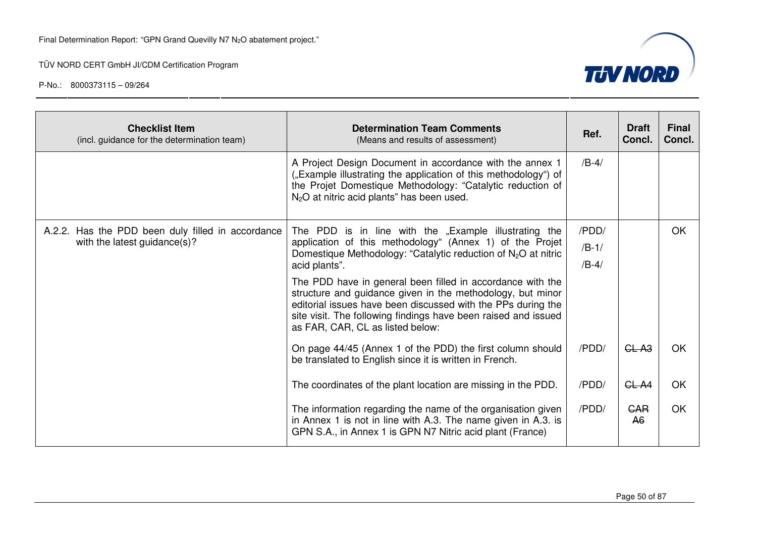

| <b>Checklist Item</b><br>(incl. guidance for the determination team)              | <b>Determination Team Comments</b><br>(Means and results of assessment)                                                                                                                                                                                                                                                                                                                                                                                                        | Ref.                        | <b>Draft</b><br>Concl.       | <b>Final</b><br>Concl. |
|-----------------------------------------------------------------------------------|--------------------------------------------------------------------------------------------------------------------------------------------------------------------------------------------------------------------------------------------------------------------------------------------------------------------------------------------------------------------------------------------------------------------------------------------------------------------------------|-----------------------------|------------------------------|------------------------|
|                                                                                   | A Project Design Document in accordance with the annex 1<br>("Example illustrating the application of this methodology") of<br>the Projet Domestique Methodology: "Catalytic reduction of<br>$N_2O$ at nitric acid plants" has been used.                                                                                                                                                                                                                                      | $/B-4/$                     |                              |                        |
| A.2.2. Has the PDD been duly filled in accordance<br>with the latest guidance(s)? | The PDD is in line with the "Example illustrating the<br>application of this methodology" (Annex 1) of the Projet<br>Domestique Methodology: "Catalytic reduction of N <sub>2</sub> O at nitric<br>acid plants".<br>The PDD have in general been filled in accordance with the<br>structure and guidance given in the methodology, but minor<br>editorial issues have been discussed with the PPs during the<br>site visit. The following findings have been raised and issued | /PDD/<br>$/B-1/$<br>$/B-4/$ |                              | OK.                    |
|                                                                                   | as FAR, CAR, CL as listed below:<br>On page 44/45 (Annex 1 of the PDD) the first column should<br>be translated to English since it is written in French.<br>The coordinates of the plant location are missing in the PDD.                                                                                                                                                                                                                                                     | /PDD/<br>/PDD/              | GL A <sub>3</sub><br>CL A4   | OK<br>OK               |
|                                                                                   | The information regarding the name of the organisation given<br>in Annex 1 is not in line with A.3. The name given in A.3. is<br>GPN S.A., in Annex 1 is GPN N7 Nitric acid plant (France)                                                                                                                                                                                                                                                                                     | /PDD/                       | <b>GAR</b><br>A <sub>6</sub> | OK                     |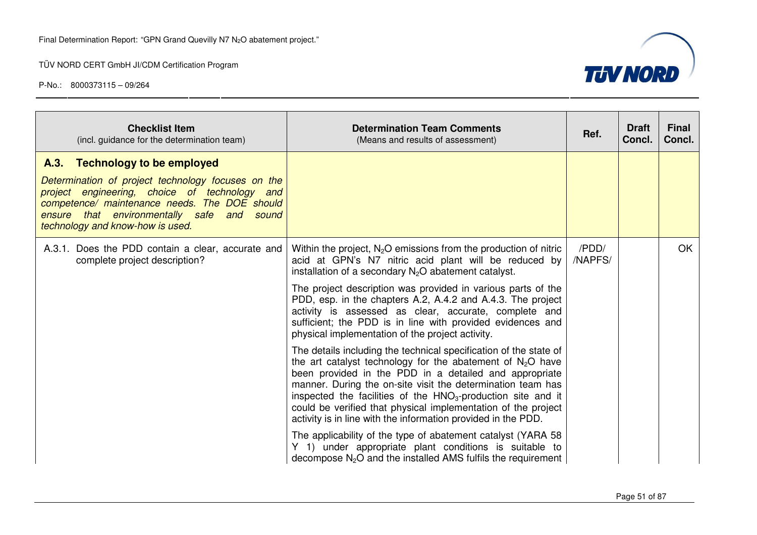

| <b>Checklist Item</b><br>(incl. guidance for the determination team)                                                                                                                                                                                                     | <b>Determination Team Comments</b><br>(Means and results of assessment)                                                                                                                                                                                                                                                                                                                                                                                                                                                                                                                                                                                                                                                                                                                                                                                                                                                                                                                                                                                                                                                                                       | Ref.             | <b>Draft</b><br>Concl. | <b>Final</b><br>Concl. |
|--------------------------------------------------------------------------------------------------------------------------------------------------------------------------------------------------------------------------------------------------------------------------|---------------------------------------------------------------------------------------------------------------------------------------------------------------------------------------------------------------------------------------------------------------------------------------------------------------------------------------------------------------------------------------------------------------------------------------------------------------------------------------------------------------------------------------------------------------------------------------------------------------------------------------------------------------------------------------------------------------------------------------------------------------------------------------------------------------------------------------------------------------------------------------------------------------------------------------------------------------------------------------------------------------------------------------------------------------------------------------------------------------------------------------------------------------|------------------|------------------------|------------------------|
| A.3. Technology to be employed<br>Determination of project technology focuses on the<br>project engineering, choice of technology and<br>competence/ maintenance needs. The DOE should<br>ensure that environmentally safe and sound<br>technology and know-how is used. |                                                                                                                                                                                                                                                                                                                                                                                                                                                                                                                                                                                                                                                                                                                                                                                                                                                                                                                                                                                                                                                                                                                                                               |                  |                        |                        |
| A.3.1. Does the PDD contain a clear, accurate and<br>complete project description?                                                                                                                                                                                       | Within the project, $N_2O$ emissions from the production of nitric<br>acid at GPN's N7 nitric acid plant will be reduced by<br>installation of a secondary $N_2O$ abatement catalyst.<br>The project description was provided in various parts of the<br>PDD, esp. in the chapters A.2, A.4.2 and A.4.3. The project<br>activity is assessed as clear, accurate, complete and<br>sufficient; the PDD is in line with provided evidences and<br>physical implementation of the project activity.<br>The details including the technical specification of the state of<br>the art catalyst technology for the abatement of $N_2O$ have<br>been provided in the PDD in a detailed and appropriate<br>manner. During the on-site visit the determination team has<br>inspected the facilities of the $HNO3$ -production site and it<br>could be verified that physical implementation of the project<br>activity is in line with the information provided in the PDD.<br>The applicability of the type of abatement catalyst (YARA 58<br>Y 1) under appropriate plant conditions is suitable to<br>decompose $N_2O$ and the installed AMS fulfils the requirement | /PDD/<br>/NAPFS/ |                        | OK.                    |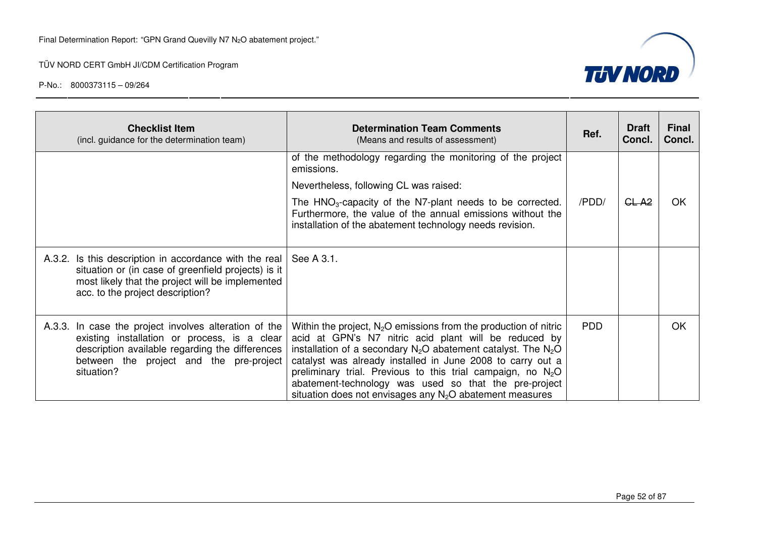

|            | <b>Checklist Item</b><br>(incl. guidance for the determination team)                                                                                                                                  | <b>Determination Team Comments</b><br>(Means and results of assessment)                                                                                                                                                                                                                                                                                                                                                                                | Ref.       | <b>Draft</b><br>Concl. | <b>Final</b><br>Concl. |
|------------|-------------------------------------------------------------------------------------------------------------------------------------------------------------------------------------------------------|--------------------------------------------------------------------------------------------------------------------------------------------------------------------------------------------------------------------------------------------------------------------------------------------------------------------------------------------------------------------------------------------------------------------------------------------------------|------------|------------------------|------------------------|
|            |                                                                                                                                                                                                       | of the methodology regarding the monitoring of the project<br>emissions.                                                                                                                                                                                                                                                                                                                                                                               |            |                        |                        |
|            |                                                                                                                                                                                                       | Nevertheless, following CL was raised:                                                                                                                                                                                                                                                                                                                                                                                                                 |            |                        |                        |
|            |                                                                                                                                                                                                       | The HNO <sub>3</sub> -capacity of the N7-plant needs to be corrected.<br>Furthermore, the value of the annual emissions without the<br>installation of the abatement technology needs revision.                                                                                                                                                                                                                                                        | /PDD/      | GL-A <sub>2</sub>      | OK                     |
|            | A.3.2. Is this description in accordance with the real<br>situation or (in case of greenfield projects) is it<br>most likely that the project will be implemented<br>acc. to the project description? | See A 3.1.                                                                                                                                                                                                                                                                                                                                                                                                                                             |            |                        |                        |
| situation? | A.3.3. In case the project involves alteration of the<br>existing installation or process, is a clear<br>description available regarding the differences<br>between the project and the pre-project   | Within the project, $N_2O$ emissions from the production of nitric<br>acid at GPN's N7 nitric acid plant will be reduced by<br>installation of a secondary $N_2O$ abatement catalyst. The $N_2O$<br>catalyst was already installed in June 2008 to carry out a<br>preliminary trial. Previous to this trial campaign, no $N_2O$<br>abatement-technology was used so that the pre-project<br>situation does not envisages any $N_2O$ abatement measures | <b>PDD</b> |                        | <b>OK</b>              |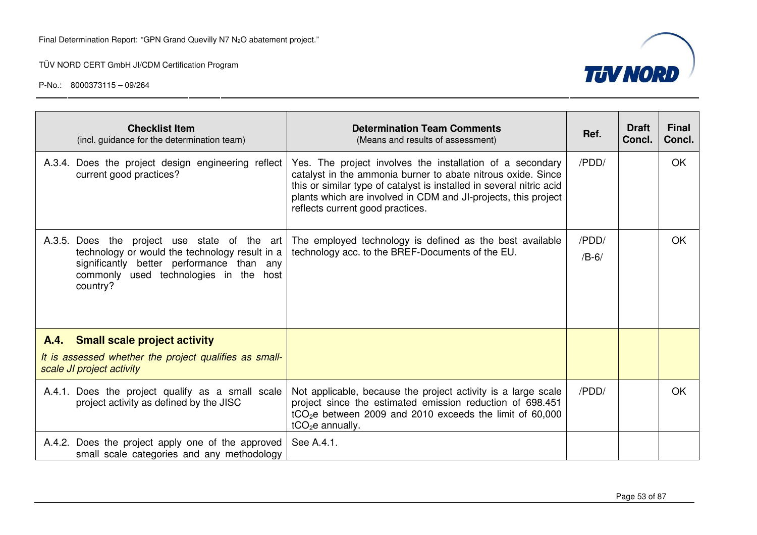

| <b>Checklist Item</b><br>(incl. guidance for the determination team)                                                                                                                                 | <b>Determination Team Comments</b><br>(Means and results of assessment)                                                                                                                                                                                                                                 | Ref.             | <b>Draft</b><br>Concl. | <b>Final</b><br>Concl. |
|------------------------------------------------------------------------------------------------------------------------------------------------------------------------------------------------------|---------------------------------------------------------------------------------------------------------------------------------------------------------------------------------------------------------------------------------------------------------------------------------------------------------|------------------|------------------------|------------------------|
| A.3.4. Does the project design engineering reflect<br>current good practices?                                                                                                                        | Yes. The project involves the installation of a secondary<br>catalyst in the ammonia burner to abate nitrous oxide. Since<br>this or similar type of catalyst is installed in several nitric acid<br>plants which are involved in CDM and JI-projects, this project<br>reflects current good practices. | /PDD/            |                        | OK                     |
| A.3.5. Does the<br>project use state of the art<br>technology or would the technology result in a<br>significantly better performance than any<br>commonly used technologies in the host<br>country? | The employed technology is defined as the best available<br>technology acc. to the BREF-Documents of the EU.                                                                                                                                                                                            | /PDD/<br>$/B-6/$ |                        | <b>OK</b>              |
| A.4. Small scale project activity<br>It is assessed whether the project qualifies as small-<br>scale JI project activity                                                                             |                                                                                                                                                                                                                                                                                                         |                  |                        |                        |
| A.4.1. Does the project qualify as a small scale<br>project activity as defined by the JISC                                                                                                          | Not applicable, because the project activity is a large scale<br>project since the estimated emission reduction of 698.451<br>tCO <sub>2</sub> e between 2009 and 2010 exceeds the limit of 60,000<br>$tCO2e$ annually.                                                                                 | /PDD/            |                        | <b>OK</b>              |
| A.4.2. Does the project apply one of the approved<br>small scale categories and any methodology                                                                                                      | See A.4.1.                                                                                                                                                                                                                                                                                              |                  |                        |                        |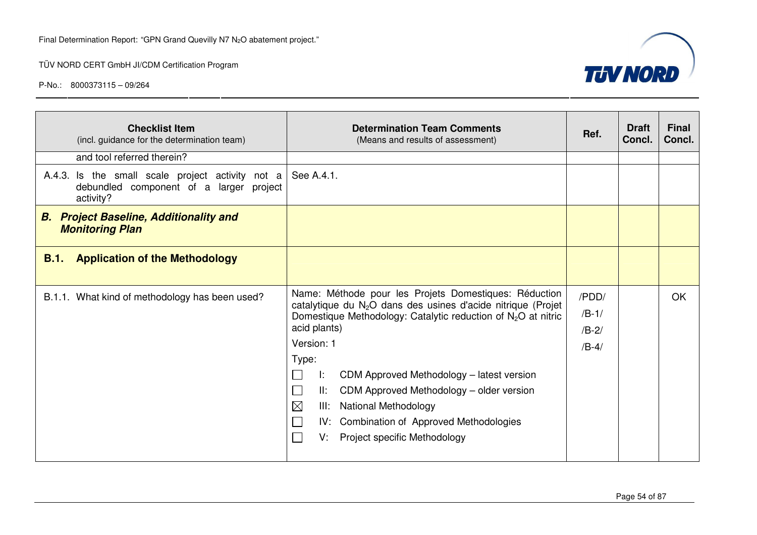

| <b>Checklist Item</b><br>(incl. guidance for the determination team)                                     | <b>Determination Team Comments</b><br>(Means and results of assessment)                                                                                                                                                                                                                                                                                                                                                                                                                              | Ref.                                   | <b>Draft</b><br>Concl. | <b>Final</b><br>Concl. |
|----------------------------------------------------------------------------------------------------------|------------------------------------------------------------------------------------------------------------------------------------------------------------------------------------------------------------------------------------------------------------------------------------------------------------------------------------------------------------------------------------------------------------------------------------------------------------------------------------------------------|----------------------------------------|------------------------|------------------------|
| and tool referred therein?                                                                               |                                                                                                                                                                                                                                                                                                                                                                                                                                                                                                      |                                        |                        |                        |
| A.4.3. Is the small scale project activity not a<br>debundled component of a larger project<br>activity? | See A.4.1.                                                                                                                                                                                                                                                                                                                                                                                                                                                                                           |                                        |                        |                        |
| <b>B.</b> Project Baseline, Additionality and<br><b>Monitoring Plan</b>                                  |                                                                                                                                                                                                                                                                                                                                                                                                                                                                                                      |                                        |                        |                        |
| <b>Application of the Methodology</b><br>B.1.                                                            |                                                                                                                                                                                                                                                                                                                                                                                                                                                                                                      |                                        |                        |                        |
| B.1.1. What kind of methodology has been used?                                                           | Name: Méthode pour les Projets Domestiques: Réduction<br>catalytique du N <sub>2</sub> O dans des usines d'acide nitrique (Projet<br>Domestique Methodology: Catalytic reduction of N <sub>2</sub> O at nitric<br>acid plants)<br>Version: 1<br>Type:<br>Ŀ.<br>CDM Approved Methodology - latest version<br>CDM Approved Methodology - older version<br>II:<br>$\boxtimes$<br><b>National Methodology</b><br>III:<br>IV: Combination of Approved Methodologies<br>Project specific Methodology<br>V. | /PDD/<br>$/B-1/$<br>$/B-2/$<br>$/B-4/$ |                        | <b>OK</b>              |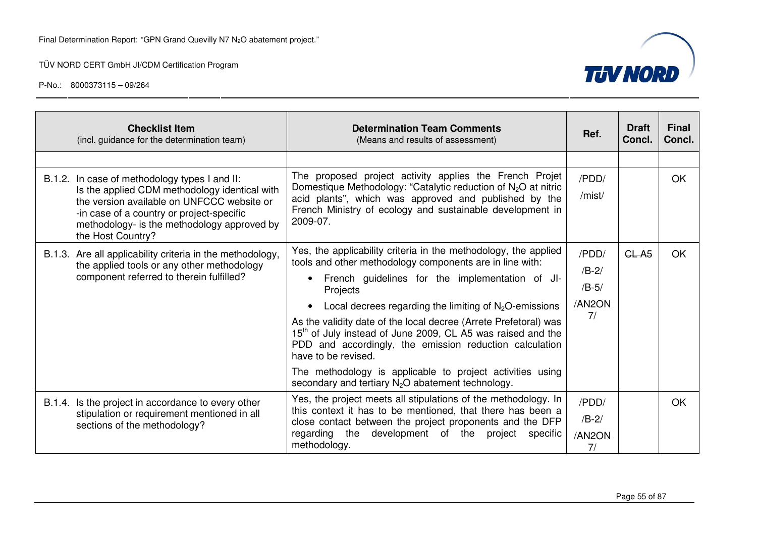

| <b>Checklist Item</b><br>(incl. guidance for the determination team)                                                                                                                                                                                          | <b>Determination Team Comments</b><br>(Means and results of assessment)                                                                                                                                                                                                                                                                                                                                                                                                                                                                                                                                                | Ref.                                        | <b>Draft</b><br>Concl. | <b>Final</b><br>Concl. |
|---------------------------------------------------------------------------------------------------------------------------------------------------------------------------------------------------------------------------------------------------------------|------------------------------------------------------------------------------------------------------------------------------------------------------------------------------------------------------------------------------------------------------------------------------------------------------------------------------------------------------------------------------------------------------------------------------------------------------------------------------------------------------------------------------------------------------------------------------------------------------------------------|---------------------------------------------|------------------------|------------------------|
|                                                                                                                                                                                                                                                               |                                                                                                                                                                                                                                                                                                                                                                                                                                                                                                                                                                                                                        |                                             |                        |                        |
| B.1.2. In case of methodology types I and II:<br>Is the applied CDM methodology identical with<br>the version available on UNFCCC website or<br>-in case of a country or project-specific<br>methodology- is the methodology approved by<br>the Host Country? | The proposed project activity applies the French Projet<br>Domestique Methodology: "Catalytic reduction of $N_2O$ at nitric<br>acid plants", which was approved and published by the<br>French Ministry of ecology and sustainable development in<br>2009-07.                                                                                                                                                                                                                                                                                                                                                          | /PDD/<br>/mist/                             |                        | OK                     |
| B.1.3. Are all applicability criteria in the methodology,<br>the applied tools or any other methodology<br>component referred to therein fulfilled?                                                                                                           | Yes, the applicability criteria in the methodology, the applied<br>tools and other methodology components are in line with:<br>French guidelines for the implementation of JI-<br>Projects<br>Local decrees regarding the limiting of $N_2O$ -emissions<br>As the validity date of the local decree (Arrete Prefetoral) was<br>15 <sup>th</sup> of July instead of June 2009, CL A5 was raised and the<br>PDD and accordingly, the emission reduction calculation<br>have to be revised.<br>The methodology is applicable to project activities using<br>secondary and tertiary N <sub>2</sub> O abatement technology. | /PDD/<br>$/B-2/$<br>$/B-5/$<br>/AN2ON<br>7/ | GL <sub>A5</sub>       | <b>OK</b>              |
| B.1.4. Is the project in accordance to every other<br>stipulation or requirement mentioned in all<br>sections of the methodology?                                                                                                                             | Yes, the project meets all stipulations of the methodology. In<br>this context it has to be mentioned, that there has been a<br>close contact between the project proponents and the DFP<br>regarding the<br>development of the project<br>specific<br>methodology.                                                                                                                                                                                                                                                                                                                                                    | /PDD/<br>$/B-2/$<br>/AN2ON<br>7/            |                        | <b>OK</b>              |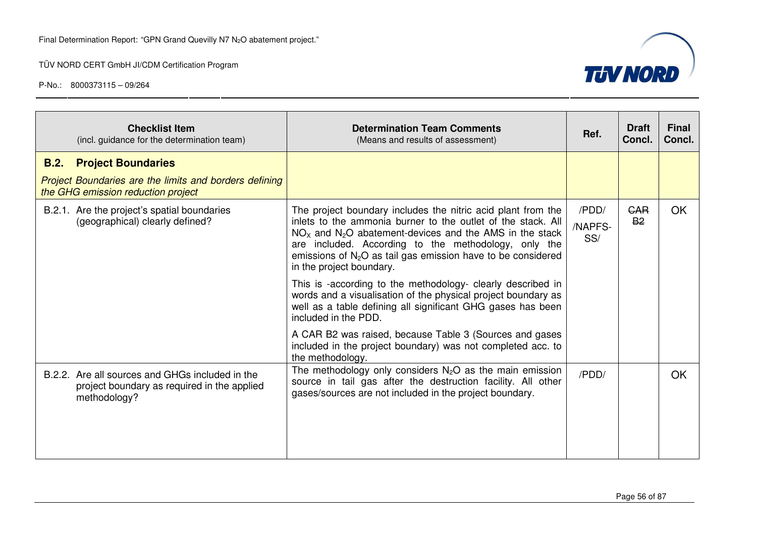

| <b>Checklist Item</b><br>(incl. guidance for the determination team)                                           | <b>Determination Team Comments</b><br>(Means and results of assessment)                                                                                                                                                                                                                                                                         | Ref.                    | <b>Draft</b><br>Concl.  | <b>Final</b><br>Concl. |
|----------------------------------------------------------------------------------------------------------------|-------------------------------------------------------------------------------------------------------------------------------------------------------------------------------------------------------------------------------------------------------------------------------------------------------------------------------------------------|-------------------------|-------------------------|------------------------|
| B.2.<br><b>Project Boundaries</b>                                                                              |                                                                                                                                                                                                                                                                                                                                                 |                         |                         |                        |
| Project Boundaries are the limits and borders defining<br>the GHG emission reduction project                   |                                                                                                                                                                                                                                                                                                                                                 |                         |                         |                        |
| B.2.1. Are the project's spatial boundaries<br>(geographical) clearly defined?                                 | The project boundary includes the nitric acid plant from the<br>inlets to the ammonia burner to the outlet of the stack. All<br>$NOx$ and $N2O$ abatement-devices and the AMS in the stack<br>are included. According to the methodology, only the<br>emissions of $N2O$ as tail gas emission have to be considered<br>in the project boundary. | /PDD/<br>/NAPFS-<br>SS/ | <b>GAR</b><br><b>B2</b> | <b>OK</b>              |
|                                                                                                                | This is -according to the methodology- clearly described in<br>words and a visualisation of the physical project boundary as<br>well as a table defining all significant GHG gases has been<br>included in the PDD.                                                                                                                             |                         |                         |                        |
|                                                                                                                | A CAR B2 was raised, because Table 3 (Sources and gases<br>included in the project boundary) was not completed acc. to<br>the methodology.                                                                                                                                                                                                      |                         |                         |                        |
| B.2.2. Are all sources and GHGs included in the<br>project boundary as required in the applied<br>methodology? | The methodology only considers $N_2O$ as the main emission<br>source in tail gas after the destruction facility. All other<br>gases/sources are not included in the project boundary.                                                                                                                                                           | /PDD/                   |                         | <b>OK</b>              |
|                                                                                                                |                                                                                                                                                                                                                                                                                                                                                 |                         |                         |                        |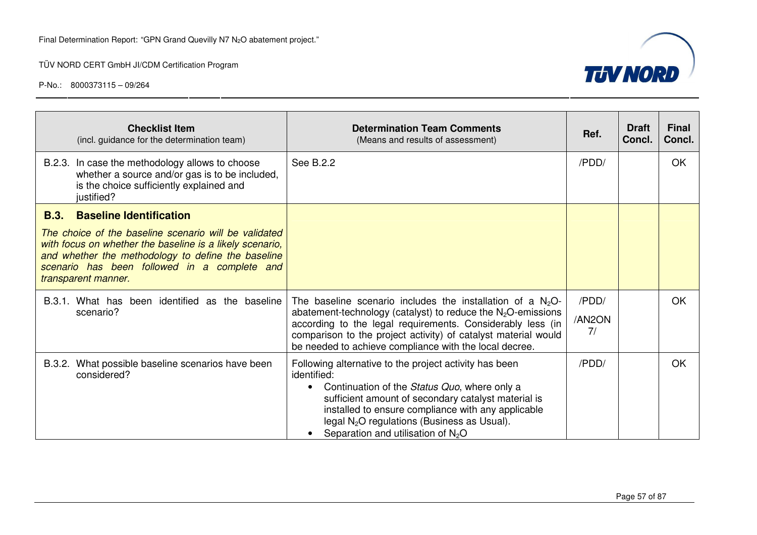

| <b>Checklist Item</b><br>(incl. guidance for the determination team)                                                                                                                                                                           | <b>Determination Team Comments</b><br>(Means and results of assessment)                                                                                                                                                                                                                                                                 | Ref.                  | <b>Draft</b><br>Concl. | <b>Final</b><br>Concl. |
|------------------------------------------------------------------------------------------------------------------------------------------------------------------------------------------------------------------------------------------------|-----------------------------------------------------------------------------------------------------------------------------------------------------------------------------------------------------------------------------------------------------------------------------------------------------------------------------------------|-----------------------|------------------------|------------------------|
| B.2.3. In case the methodology allows to choose<br>whether a source and/or gas is to be included,<br>is the choice sufficiently explained and<br>justified?                                                                                    | See B.2.2                                                                                                                                                                                                                                                                                                                               | /PDD/                 |                        | <b>OK</b>              |
| <b>Baseline Identification</b><br><b>B.3.</b>                                                                                                                                                                                                  |                                                                                                                                                                                                                                                                                                                                         |                       |                        |                        |
| The choice of the baseline scenario will be validated<br>with focus on whether the baseline is a likely scenario,<br>and whether the methodology to define the baseline<br>scenario has been followed in a complete and<br>transparent manner. |                                                                                                                                                                                                                                                                                                                                         |                       |                        |                        |
| B.3.1. What has been identified as the baseline<br>scenario?                                                                                                                                                                                   | The baseline scenario includes the installation of a $N_2O$ -<br>abatement-technology (catalyst) to reduce the $N_2O$ -emissions<br>according to the legal requirements. Considerably less (in<br>comparison to the project activity) of catalyst material would<br>be needed to achieve compliance with the local decree.              | /PDD/<br>/AN2ON<br>7/ |                        | <b>OK</b>              |
| B.3.2. What possible baseline scenarios have been<br>considered?                                                                                                                                                                               | Following alternative to the project activity has been<br>identified:<br>Continuation of the Status Quo, where only a<br>$\bullet$<br>sufficient amount of secondary catalyst material is<br>installed to ensure compliance with any applicable<br>legal $N_2O$ regulations (Business as Usual).<br>Separation and utilisation of $N2O$ | /PDD/                 |                        | OK.                    |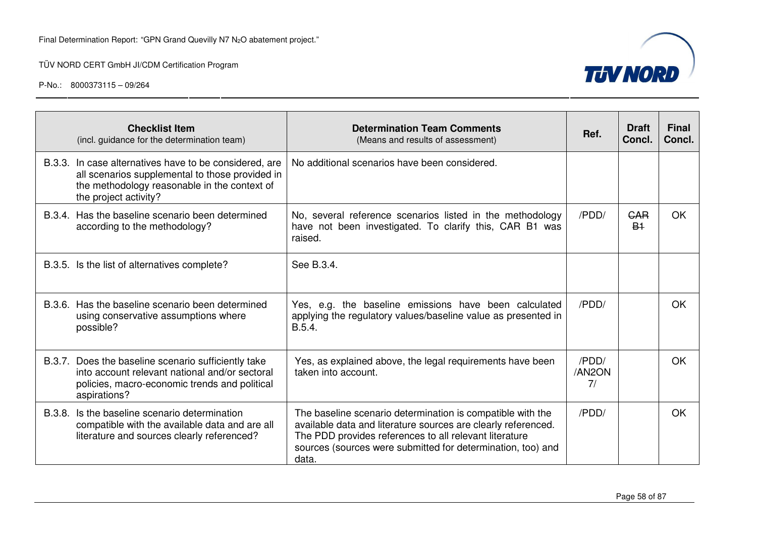|        | <b>Checklist Item</b><br>(incl. guidance for the determination team)                                                                                                               | <b>Determination Team Comments</b><br>(Means and results of assessment)                                                                                                                                                                                       | Ref.                  | <b>Draft</b><br>Concl. | <b>Final</b><br>Concl. |
|--------|------------------------------------------------------------------------------------------------------------------------------------------------------------------------------------|---------------------------------------------------------------------------------------------------------------------------------------------------------------------------------------------------------------------------------------------------------------|-----------------------|------------------------|------------------------|
|        | B.3.3. In case alternatives have to be considered, are<br>all scenarios supplemental to those provided in<br>the methodology reasonable in the context of<br>the project activity? | No additional scenarios have been considered.                                                                                                                                                                                                                 |                       |                        |                        |
|        | B.3.4. Has the baseline scenario been determined<br>according to the methodology?                                                                                                  | No, several reference scenarios listed in the methodology<br>have not been investigated. To clarify this, CAR B1 was<br>raised.                                                                                                                               | /PDD/                 | CAR<br>B <sub>1</sub>  | <b>OK</b>              |
|        | B.3.5. Is the list of alternatives complete?                                                                                                                                       | See B.3.4.                                                                                                                                                                                                                                                    |                       |                        |                        |
|        | B.3.6. Has the baseline scenario been determined<br>using conservative assumptions where<br>possible?                                                                              | Yes, e.g. the baseline emissions have been calculated<br>applying the regulatory values/baseline value as presented in<br>B.5.4.                                                                                                                              | /PDD/                 |                        | <b>OK</b>              |
|        | B.3.7. Does the baseline scenario sufficiently take<br>into account relevant national and/or sectoral<br>policies, macro-economic trends and political<br>aspirations?             | Yes, as explained above, the legal requirements have been<br>taken into account.                                                                                                                                                                              | /PDD/<br>/AN2ON<br>7/ |                        | <b>OK</b>              |
| B.3.8. | Is the baseline scenario determination<br>compatible with the available data and are all<br>literature and sources clearly referenced?                                             | The baseline scenario determination is compatible with the<br>available data and literature sources are clearly referenced.<br>The PDD provides references to all relevant literature<br>sources (sources were submitted for determination, too) and<br>data. | /PDD/                 |                        | <b>OK</b>              |

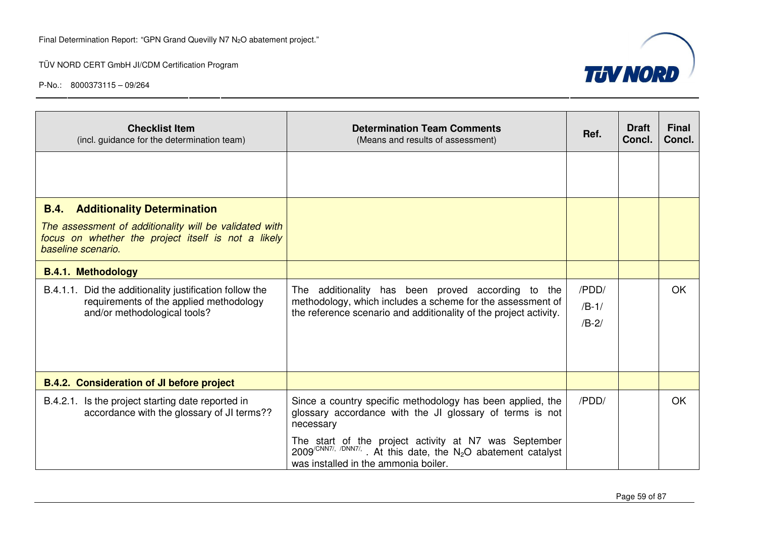

| <b>Checklist Item</b><br>(incl. guidance for the determination team)                                                                                                                     | <b>Determination Team Comments</b><br>(Means and results of assessment)                                                                                                                                                                                                                                                                | Ref.                        | <b>Draft</b><br>Concl. | <b>Final</b><br>Concl. |
|------------------------------------------------------------------------------------------------------------------------------------------------------------------------------------------|----------------------------------------------------------------------------------------------------------------------------------------------------------------------------------------------------------------------------------------------------------------------------------------------------------------------------------------|-----------------------------|------------------------|------------------------|
|                                                                                                                                                                                          |                                                                                                                                                                                                                                                                                                                                        |                             |                        |                        |
| <b>B.4.</b><br><b>Additionality Determination</b><br>The assessment of additionality will be validated with<br>focus on whether the project itself is not a likely<br>baseline scenario. |                                                                                                                                                                                                                                                                                                                                        |                             |                        |                        |
| <b>B.4.1. Methodology</b>                                                                                                                                                                |                                                                                                                                                                                                                                                                                                                                        |                             |                        |                        |
| B.4.1.1. Did the additionality justification follow the<br>requirements of the applied methodology<br>and/or methodological tools?                                                       | The additionality has been proved according to the<br>methodology, which includes a scheme for the assessment of<br>the reference scenario and additionality of the project activity.                                                                                                                                                  | /PDD/<br>$/B-1/$<br>$/B-2/$ |                        | OK.                    |
| <b>B.4.2. Consideration of JI before project</b>                                                                                                                                         |                                                                                                                                                                                                                                                                                                                                        |                             |                        |                        |
| B.4.2.1. Is the project starting date reported in<br>accordance with the glossary of JI terms??                                                                                          | Since a country specific methodology has been applied, the<br>glossary accordance with the JI glossary of terms is not<br>necessary<br>The start of the project activity at N7 was September<br>$2009^{\sqrt{CNN77}}$ , $\sqrt{DNN77}$ . At this date, the N <sub>2</sub> O abatement catalyst<br>was installed in the ammonia boiler. | /PDD/                       |                        | OK                     |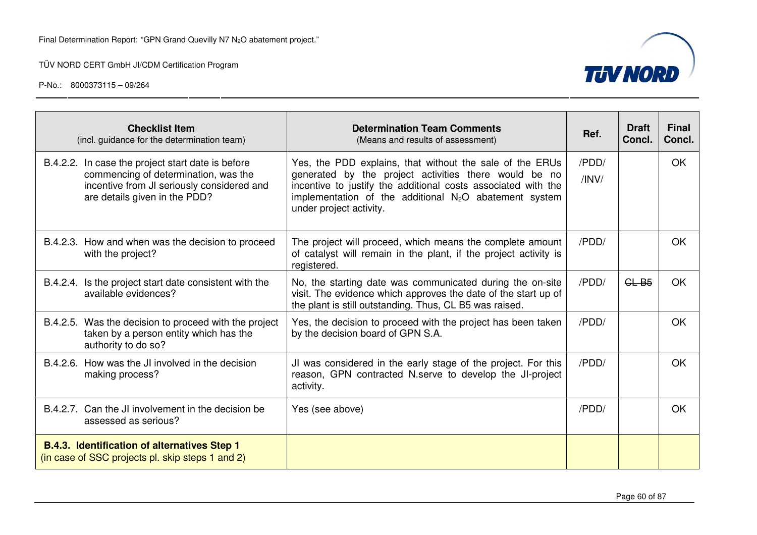

| <b>Checklist Item</b><br>(incl. guidance for the determination team)                                                                                                     | <b>Determination Team Comments</b><br>(Means and results of assessment)                                                                                                                                                                                                             | Ref.           | <b>Draft</b><br>Concl. | <b>Final</b><br>Concl. |
|--------------------------------------------------------------------------------------------------------------------------------------------------------------------------|-------------------------------------------------------------------------------------------------------------------------------------------------------------------------------------------------------------------------------------------------------------------------------------|----------------|------------------------|------------------------|
| B.4.2.2. In case the project start date is before<br>commencing of determination, was the<br>incentive from JI seriously considered and<br>are details given in the PDD? | Yes, the PDD explains, that without the sale of the ERUs<br>generated by the project activities there would be no<br>incentive to justify the additional costs associated with the<br>implementation of the additional N <sub>2</sub> O abatement system<br>under project activity. | /PDD/<br>/INV/ |                        | <b>OK</b>              |
| B.4.2.3. How and when was the decision to proceed<br>with the project?                                                                                                   | The project will proceed, which means the complete amount<br>of catalyst will remain in the plant, if the project activity is<br>registered.                                                                                                                                        | /PDD/          |                        | OK                     |
| B.4.2.4. Is the project start date consistent with the<br>available evidences?                                                                                           | No, the starting date was communicated during the on-site<br>visit. The evidence which approves the date of the start up of<br>the plant is still outstanding. Thus, CL B5 was raised.                                                                                              | /PDD/          | CLB5                   | <b>OK</b>              |
| B.4.2.5. Was the decision to proceed with the project<br>taken by a person entity which has the<br>authority to do so?                                                   | Yes, the decision to proceed with the project has been taken<br>by the decision board of GPN S.A.                                                                                                                                                                                   | /PDD/          |                        | <b>OK</b>              |
| B.4.2.6. How was the JI involved in the decision<br>making process?                                                                                                      | JI was considered in the early stage of the project. For this<br>reason, GPN contracted N.serve to develop the JI-project<br>activity.                                                                                                                                              | /PDD/          |                        | OK                     |
| B.4.2.7. Can the JI involvement in the decision be<br>assessed as serious?                                                                                               | Yes (see above)                                                                                                                                                                                                                                                                     | /PDD/          |                        | OK.                    |
| <b>B.4.3. Identification of alternatives Step 1</b><br>(in case of SSC projects pl. skip steps 1 and 2)                                                                  |                                                                                                                                                                                                                                                                                     |                |                        |                        |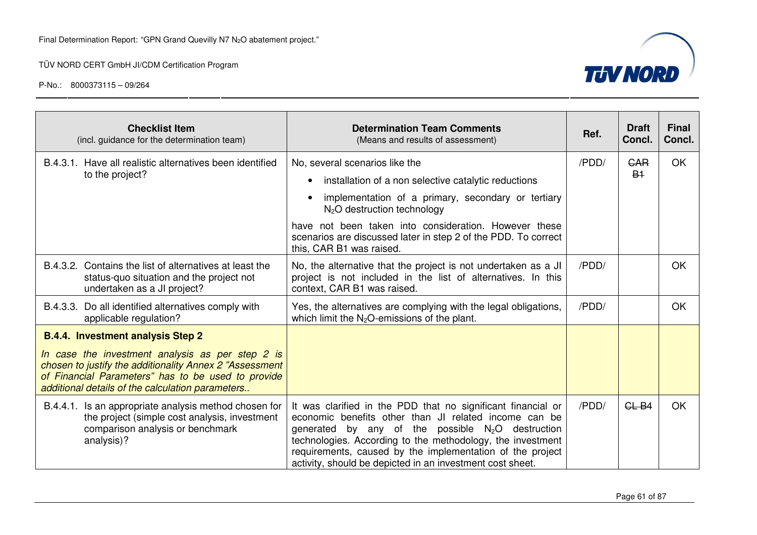

| <b>Checklist Item</b><br>(incl. guidance for the determination team)                                                                                                                                                                                              | <b>Determination Team Comments</b><br>(Means and results of assessment)                                                                                                                                                                                                                                                                                              | Ref.  | <b>Draft</b><br>Concl.             | <b>Final</b><br>Concl. |
|-------------------------------------------------------------------------------------------------------------------------------------------------------------------------------------------------------------------------------------------------------------------|----------------------------------------------------------------------------------------------------------------------------------------------------------------------------------------------------------------------------------------------------------------------------------------------------------------------------------------------------------------------|-------|------------------------------------|------------------------|
| B.4.3.1. Have all realistic alternatives been identified<br>to the project?                                                                                                                                                                                       | No, several scenarios like the<br>installation of a non selective catalytic reductions<br>implementation of a primary, secondary or tertiary<br>$N2O$ destruction technology<br>have not been taken into consideration. However these<br>scenarios are discussed later in step 2 of the PDD. To correct                                                              | /PDD/ | <b>GAR</b><br><b>B<sub>1</sub></b> | <b>OK</b>              |
| B.4.3.2. Contains the list of alternatives at least the<br>status-quo situation and the project not<br>undertaken as a JI project?                                                                                                                                | this, CAR B1 was raised.<br>No, the alternative that the project is not undertaken as a JI<br>project is not included in the list of alternatives. In this<br>context, CAR B1 was raised.                                                                                                                                                                            | /PDD/ |                                    | <b>OK</b>              |
| B.4.3.3. Do all identified alternatives comply with<br>applicable regulation?                                                                                                                                                                                     | Yes, the alternatives are complying with the legal obligations,<br>which limit the $N_2O$ -emissions of the plant.                                                                                                                                                                                                                                                   | /PDD/ |                                    | OK                     |
| <b>B.4.4. Investment analysis Step 2</b><br>In case the investment analysis as per step 2 is<br>chosen to justify the additionality Annex 2 "Assessment<br>of Financial Parameters" has to be used to provide<br>additional details of the calculation parameters |                                                                                                                                                                                                                                                                                                                                                                      |       |                                    |                        |
| B.4.4.1. Is an appropriate analysis method chosen for<br>the project (simple cost analysis, investment<br>comparison analysis or benchmark<br>analysis)?                                                                                                          | It was clarified in the PDD that no significant financial or<br>economic benefits other than JI related income can be<br>generated by any of the possible $N_2O$ destruction<br>technologies. According to the methodology, the investment<br>requirements, caused by the implementation of the project<br>activity, should be depicted in an investment cost sheet. | /PDD/ | CLB4                               | <b>OK</b>              |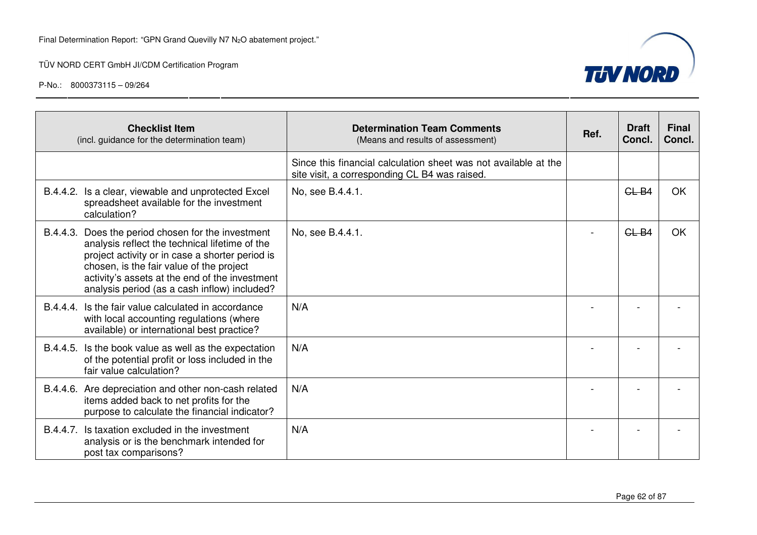

|          | <b>Checklist Item</b><br>(incl. guidance for the determination team)                                                                                                                                                                                                                         | <b>Determination Team Comments</b><br>(Means and results of assessment)                                          | Ref. | <b>Draft</b><br>Concl. | <b>Final</b><br>Concl. |
|----------|----------------------------------------------------------------------------------------------------------------------------------------------------------------------------------------------------------------------------------------------------------------------------------------------|------------------------------------------------------------------------------------------------------------------|------|------------------------|------------------------|
|          |                                                                                                                                                                                                                                                                                              | Since this financial calculation sheet was not available at the<br>site visit, a corresponding CL B4 was raised. |      |                        |                        |
| B.4.4.2. | Is a clear, viewable and unprotected Excel<br>spreadsheet available for the investment<br>calculation?                                                                                                                                                                                       | No, see B.4.4.1.                                                                                                 |      | CLB4                   | OK                     |
| B.4.4.3. | Does the period chosen for the investment<br>analysis reflect the technical lifetime of the<br>project activity or in case a shorter period is<br>chosen, is the fair value of the project<br>activity's assets at the end of the investment<br>analysis period (as a cash inflow) included? | No, see B.4.4.1.                                                                                                 |      | CLB4                   | OK                     |
|          | B.4.4.4. Is the fair value calculated in accordance<br>with local accounting regulations (where<br>available) or international best practice?                                                                                                                                                | N/A                                                                                                              |      |                        |                        |
|          | B.4.4.5. Is the book value as well as the expectation<br>of the potential profit or loss included in the<br>fair value calculation?                                                                                                                                                          | N/A                                                                                                              |      |                        |                        |
|          | B.4.4.6. Are depreciation and other non-cash related<br>items added back to net profits for the<br>purpose to calculate the financial indicator?                                                                                                                                             | N/A                                                                                                              |      |                        |                        |
| B.4.4.7. | Is taxation excluded in the investment<br>analysis or is the benchmark intended for<br>post tax comparisons?                                                                                                                                                                                 | N/A                                                                                                              |      |                        |                        |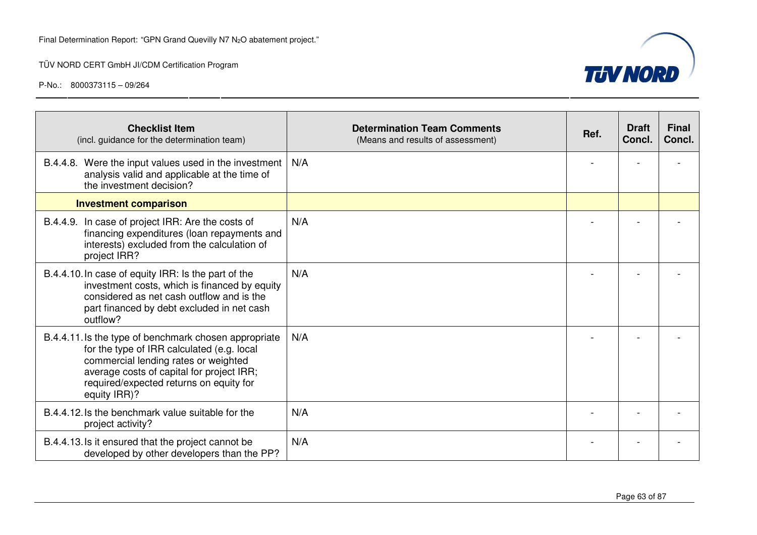

| <b>Checklist Item</b><br>(incl. guidance for the determination team)                                                                                                                                                                                | <b>Determination Team Comments</b><br>(Means and results of assessment) | Ref. | <b>Draft</b><br>Concl. | <b>Final</b><br>Concl. |
|-----------------------------------------------------------------------------------------------------------------------------------------------------------------------------------------------------------------------------------------------------|-------------------------------------------------------------------------|------|------------------------|------------------------|
| B.4.4.8. Were the input values used in the investment<br>analysis valid and applicable at the time of<br>the investment decision?                                                                                                                   | N/A                                                                     |      |                        |                        |
| <b>Investment comparison</b>                                                                                                                                                                                                                        |                                                                         |      |                        |                        |
| B.4.4.9. In case of project IRR: Are the costs of<br>financing expenditures (loan repayments and<br>interests) excluded from the calculation of<br>project IRR?                                                                                     | N/A                                                                     |      |                        |                        |
| B.4.4.10. In case of equity IRR: Is the part of the<br>investment costs, which is financed by equity<br>considered as net cash outflow and is the<br>part financed by debt excluded in net cash<br>outflow?                                         | N/A                                                                     |      |                        |                        |
| B.4.4.11. Is the type of benchmark chosen appropriate<br>for the type of IRR calculated (e.g. local<br>commercial lending rates or weighted<br>average costs of capital for project IRR;<br>required/expected returns on equity for<br>equity IRR)? | N/A                                                                     |      |                        |                        |
| B.4.4.12. Is the benchmark value suitable for the<br>project activity?                                                                                                                                                                              | N/A                                                                     |      |                        |                        |
| B.4.4.13. Is it ensured that the project cannot be<br>developed by other developers than the PP?                                                                                                                                                    | N/A                                                                     |      |                        |                        |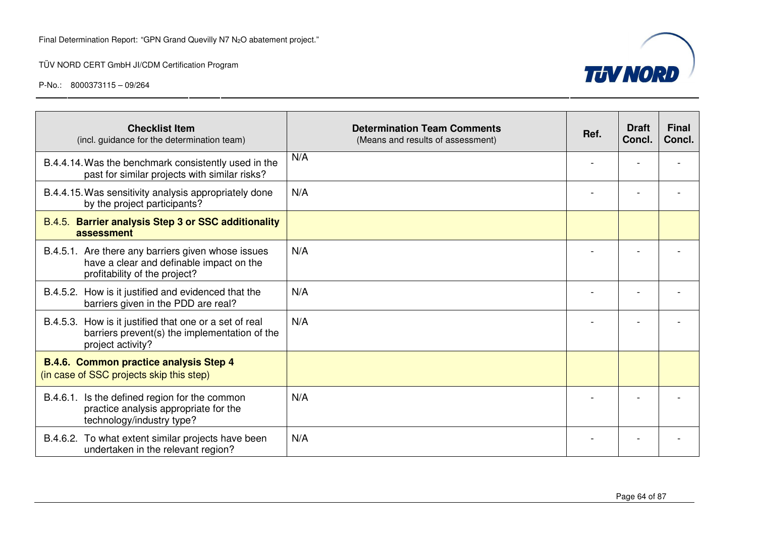

| <b>Checklist Item</b><br>(incl. guidance for the determination team)                                                            | <b>Determination Team Comments</b><br>(Means and results of assessment) | Ref. | <b>Draft</b><br>Concl. | <b>Final</b><br>Concl. |
|---------------------------------------------------------------------------------------------------------------------------------|-------------------------------------------------------------------------|------|------------------------|------------------------|
| B.4.4.14. Was the benchmark consistently used in the<br>past for similar projects with similar risks?                           | N/A                                                                     |      |                        |                        |
| B.4.4.15. Was sensitivity analysis appropriately done<br>by the project participants?                                           | N/A                                                                     |      |                        |                        |
| B.4.5. Barrier analysis Step 3 or SSC additionality<br>assessment                                                               |                                                                         |      |                        |                        |
| B.4.5.1. Are there any barriers given whose issues<br>have a clear and definable impact on the<br>profitability of the project? | N/A                                                                     |      |                        |                        |
| B.4.5.2. How is it justified and evidenced that the<br>barriers given in the PDD are real?                                      | N/A                                                                     |      |                        |                        |
| B.4.5.3. How is it justified that one or a set of real<br>barriers prevent(s) the implementation of the<br>project activity?    | N/A                                                                     |      |                        |                        |
| <b>B.4.6. Common practice analysis Step 4</b><br>(in case of SSC projects skip this step)                                       |                                                                         |      |                        |                        |
| B.4.6.1. Is the defined region for the common<br>practice analysis appropriate for the<br>technology/industry type?             | N/A                                                                     |      |                        |                        |
| B.4.6.2. To what extent similar projects have been<br>undertaken in the relevant region?                                        | N/A                                                                     |      |                        |                        |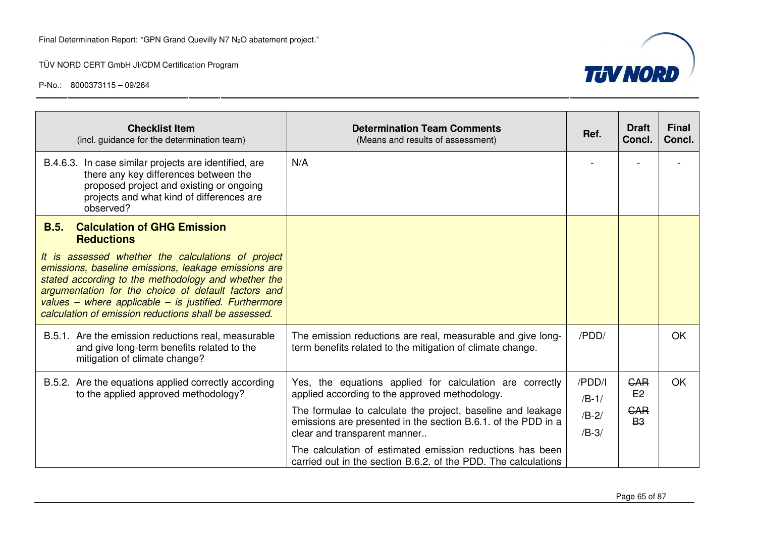

| <b>Checklist Item</b><br>(incl. guidance for the determination team)                                                                                                                                                                                                                                                                       | <b>Determination Team Comments</b><br>(Means and results of assessment)                                                                                                                                                                                                                                                                 | Ref.                                    | <b>Draft</b><br>Concl.                      | <b>Final</b><br>Concl. |
|--------------------------------------------------------------------------------------------------------------------------------------------------------------------------------------------------------------------------------------------------------------------------------------------------------------------------------------------|-----------------------------------------------------------------------------------------------------------------------------------------------------------------------------------------------------------------------------------------------------------------------------------------------------------------------------------------|-----------------------------------------|---------------------------------------------|------------------------|
| B.4.6.3. In case similar projects are identified, are<br>there any key differences between the<br>proposed project and existing or ongoing<br>projects and what kind of differences are<br>observed?                                                                                                                                       | N/A                                                                                                                                                                                                                                                                                                                                     |                                         |                                             |                        |
| B.5.<br><b>Calculation of GHG Emission</b><br><b>Reductions</b>                                                                                                                                                                                                                                                                            |                                                                                                                                                                                                                                                                                                                                         |                                         |                                             |                        |
| It is assessed whether the calculations of project<br>emissions, baseline emissions, leakage emissions are<br>stated according to the methodology and whether the<br>argumentation for the choice of default factors and<br>values – where applicable – is justified. Furthermore<br>calculation of emission reductions shall be assessed. |                                                                                                                                                                                                                                                                                                                                         |                                         |                                             |                        |
| B.5.1. Are the emission reductions real, measurable<br>and give long-term benefits related to the<br>mitigation of climate change?                                                                                                                                                                                                         | The emission reductions are real, measurable and give long-<br>term benefits related to the mitigation of climate change.                                                                                                                                                                                                               | /PDD/                                   |                                             | <b>OK</b>              |
| B.5.2. Are the equations applied correctly according<br>to the applied approved methodology?                                                                                                                                                                                                                                               | Yes, the equations applied for calculation are correctly<br>applied according to the approved methodology.<br>The formulae to calculate the project, baseline and leakage<br>emissions are presented in the section B.6.1. of the PDD in a<br>clear and transparent manner<br>The calculation of estimated emission reductions has been | /PDD/I<br>$/B-1/$<br>$/B-2/$<br>$/B-3/$ | <b>GAR</b><br>E2<br><b>GAR</b><br><b>B3</b> | <b>OK</b>              |
|                                                                                                                                                                                                                                                                                                                                            | carried out in the section B.6.2. of the PDD. The calculations                                                                                                                                                                                                                                                                          |                                         |                                             |                        |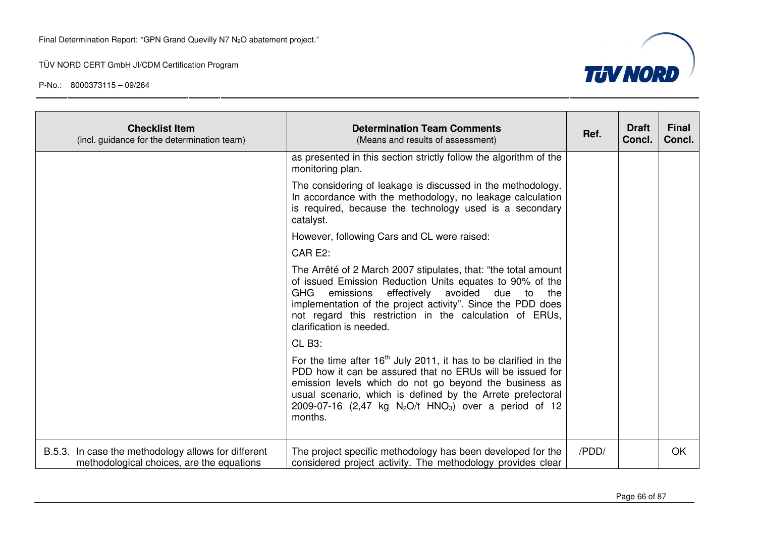

| <b>Checklist Item</b><br>(incl. guidance for the determination team)                             | <b>Determination Team Comments</b><br>(Means and results of assessment)                                                                                                                                                                                                                                                                             | Ref.  | <b>Draft</b><br>Concl. | <b>Final</b><br>Concl. |
|--------------------------------------------------------------------------------------------------|-----------------------------------------------------------------------------------------------------------------------------------------------------------------------------------------------------------------------------------------------------------------------------------------------------------------------------------------------------|-------|------------------------|------------------------|
|                                                                                                  | as presented in this section strictly follow the algorithm of the<br>monitoring plan.                                                                                                                                                                                                                                                               |       |                        |                        |
|                                                                                                  | The considering of leakage is discussed in the methodology.<br>In accordance with the methodology, no leakage calculation<br>is required, because the technology used is a secondary<br>catalyst.                                                                                                                                                   |       |                        |                        |
|                                                                                                  | However, following Cars and CL were raised:                                                                                                                                                                                                                                                                                                         |       |                        |                        |
|                                                                                                  | CAR E2:                                                                                                                                                                                                                                                                                                                                             |       |                        |                        |
|                                                                                                  | The Arrêté of 2 March 2007 stipulates, that: "the total amount"<br>of issued Emission Reduction Units equates to 90% of the<br>effectively<br>avoided<br>GHG<br>emissions<br>due<br>to<br>the<br>implementation of the project activity". Since the PDD does<br>not regard this restriction in the calculation of ERUs,<br>clarification is needed. |       |                        |                        |
|                                                                                                  | CLB <sub>3</sub> :                                                                                                                                                                                                                                                                                                                                  |       |                        |                        |
|                                                                                                  | For the time after $16th$ July 2011, it has to be clarified in the<br>PDD how it can be assured that no ERUs will be issued for<br>emission levels which do not go beyond the business as<br>usual scenario, which is defined by the Arrete prefectoral<br>2009-07-16 (2,47 kg $N_2O/t$ HNO <sub>3</sub> ) over a period of 12<br>months.           |       |                        |                        |
| B.5.3. In case the methodology allows for different<br>methodological choices, are the equations | The project specific methodology has been developed for the<br>considered project activity. The methodology provides clear                                                                                                                                                                                                                          | /PDD/ |                        | OK                     |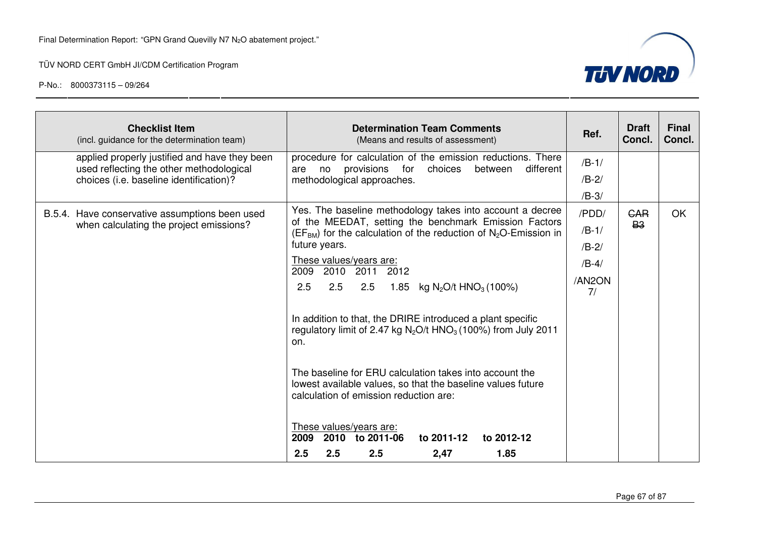

| <b>Checklist Item</b><br>(incl. guidance for the determination team)                                                                 | <b>Determination Team Comments</b><br>(Means and results of assessment)                                                                                                                                                                                                                                                                                                                                                                                                                                                                                                                                                                                                                                                                                                                                      | Ref.                                                   | <b>Draft</b><br>Concl.  | <b>Final</b><br>Concl. |
|--------------------------------------------------------------------------------------------------------------------------------------|--------------------------------------------------------------------------------------------------------------------------------------------------------------------------------------------------------------------------------------------------------------------------------------------------------------------------------------------------------------------------------------------------------------------------------------------------------------------------------------------------------------------------------------------------------------------------------------------------------------------------------------------------------------------------------------------------------------------------------------------------------------------------------------------------------------|--------------------------------------------------------|-------------------------|------------------------|
| applied properly justified and have they been<br>used reflecting the other methodological<br>choices (i.e. baseline identification)? | procedure for calculation of the emission reductions. There<br>provisions for<br>different<br>choices<br>between<br>are<br>no<br>methodological approaches.                                                                                                                                                                                                                                                                                                                                                                                                                                                                                                                                                                                                                                                  | $/B-1/$<br>$/B-2/$<br>$/B-3/$                          |                         |                        |
| B.5.4. Have conservative assumptions been used<br>when calculating the project emissions?                                            | Yes. The baseline methodology takes into account a decree<br>of the MEEDAT, setting the benchmark Emission Factors<br>$(EFBM)$ for the calculation of the reduction of N <sub>2</sub> O-Emission in<br>future years.<br>These values/years are:<br>2009<br>2010<br>2011<br>2012<br>2.5<br>2.5<br>2.5<br>1.85<br>kg N <sub>2</sub> O/t HNO <sub>3</sub> (100%)<br>In addition to that, the DRIRE introduced a plant specific<br>regulatory limit of 2.47 kg $N_2O/t$ HNO <sub>3</sub> (100%) from July 2011<br>on.<br>The baseline for ERU calculation takes into account the<br>lowest available values, so that the baseline values future<br>calculation of emission reduction are:<br>These values/years are:<br>2009<br>2010 to 2011-06<br>to 2011-12<br>to 2012-12<br>2.5<br>2.5<br>2.5<br>1.85<br>2,47 | /PDD/<br>$/B-1/$<br>$/B-2/$<br>$/B-4/$<br>/AN2ON<br>7/ | <b>GAR</b><br><b>B3</b> | OK                     |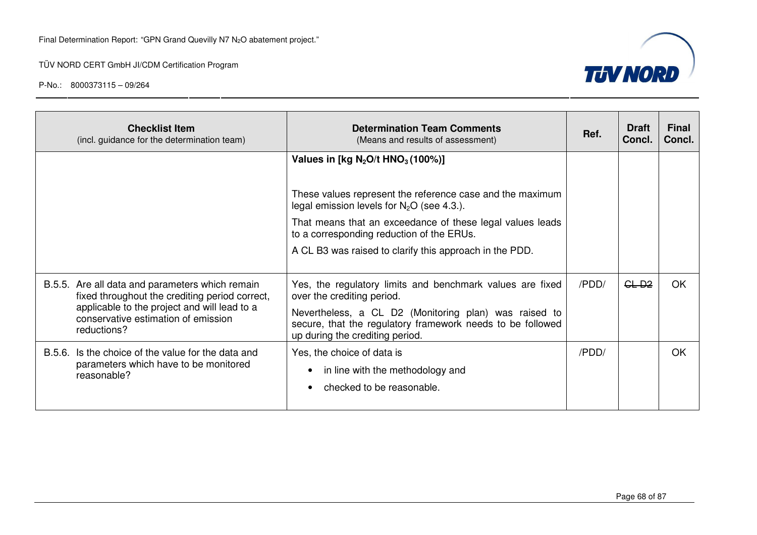

| <b>Checklist Item</b><br>(incl. guidance for the determination team)                                                                                                                                    | <b>Determination Team Comments</b><br>(Means and results of assessment)                                                                                                                                                                                                                                                           | Ref.  | <b>Draft</b><br>Concl. | Final<br>Concl. |
|---------------------------------------------------------------------------------------------------------------------------------------------------------------------------------------------------------|-----------------------------------------------------------------------------------------------------------------------------------------------------------------------------------------------------------------------------------------------------------------------------------------------------------------------------------|-------|------------------------|-----------------|
|                                                                                                                                                                                                         | Values in [kg $N_2O/t$ HNO <sub>3</sub> (100%)]<br>These values represent the reference case and the maximum<br>legal emission levels for $N_2O$ (see 4.3.).<br>That means that an exceedance of these legal values leads<br>to a corresponding reduction of the ERUs.<br>A CL B3 was raised to clarify this approach in the PDD. |       |                        |                 |
| B.5.5. Are all data and parameters which remain<br>fixed throughout the crediting period correct,<br>applicable to the project and will lead to a<br>conservative estimation of emission<br>reductions? | Yes, the regulatory limits and benchmark values are fixed<br>over the crediting period.<br>Nevertheless, a CL D2 (Monitoring plan) was raised to<br>secure, that the regulatory framework needs to be followed<br>up during the crediting period.                                                                                 | /PDD/ | GL <sub>D2</sub>       | OK.             |
| B.5.6. Is the choice of the value for the data and<br>parameters which have to be monitored<br>reasonable?                                                                                              | Yes, the choice of data is<br>in line with the methodology and<br>checked to be reasonable.                                                                                                                                                                                                                                       | /PDD/ |                        | OK              |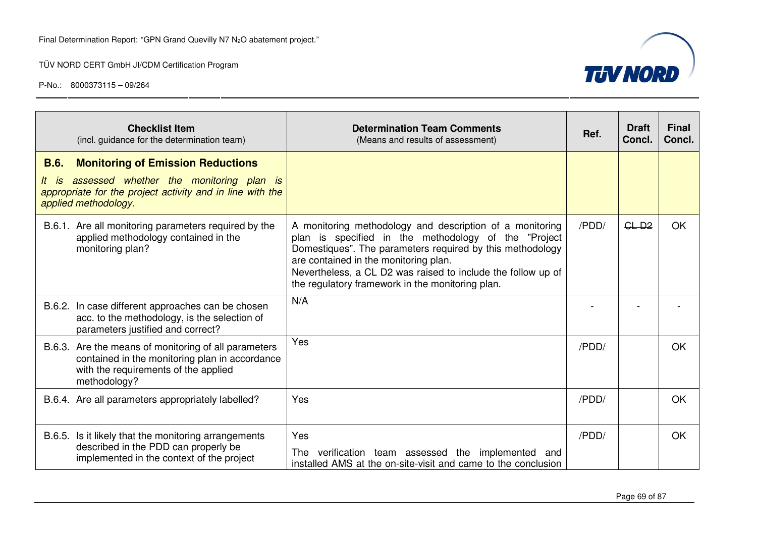

| <b>Checklist Item</b><br>(incl. guidance for the determination team)                                                                                                                             | <b>Determination Team Comments</b><br>(Means and results of assessment)                                                                                                                                                                                                                                                                    | Ref.  | <b>Draft</b><br>Concl. | <b>Final</b><br>Concl. |
|--------------------------------------------------------------------------------------------------------------------------------------------------------------------------------------------------|--------------------------------------------------------------------------------------------------------------------------------------------------------------------------------------------------------------------------------------------------------------------------------------------------------------------------------------------|-------|------------------------|------------------------|
| <b>B.6.</b><br><b>Monitoring of Emission Reductions</b><br>assessed whether the monitoring plan is<br>It is<br>appropriate for the project activity and in line with the<br>applied methodology. |                                                                                                                                                                                                                                                                                                                                            |       |                        |                        |
| B.6.1. Are all monitoring parameters required by the<br>applied methodology contained in the<br>monitoring plan?                                                                                 | A monitoring methodology and description of a monitoring<br>plan is specified in the methodology of the "Project<br>Domestiques". The parameters required by this methodology<br>are contained in the monitoring plan.<br>Nevertheless, a CL D2 was raised to include the follow up of<br>the regulatory framework in the monitoring plan. | /PDD/ | $GL-D2$                | <b>OK</b>              |
| B.6.2. In case different approaches can be chosen<br>acc. to the methodology, is the selection of<br>parameters justified and correct?                                                           | N/A                                                                                                                                                                                                                                                                                                                                        |       |                        |                        |
| B.6.3. Are the means of monitoring of all parameters<br>contained in the monitoring plan in accordance<br>with the requirements of the applied<br>methodology?                                   | Yes                                                                                                                                                                                                                                                                                                                                        | /PDD/ |                        | OK                     |
| B.6.4. Are all parameters appropriately labelled?                                                                                                                                                | Yes                                                                                                                                                                                                                                                                                                                                        | /PDD/ |                        | <b>OK</b>              |
| Is it likely that the monitoring arrangements<br>B.6.5.<br>described in the PDD can properly be<br>implemented in the context of the project                                                     | Yes<br>The verification team assessed the implemented and<br>installed AMS at the on-site-visit and came to the conclusion                                                                                                                                                                                                                 | /PDD/ |                        | OK                     |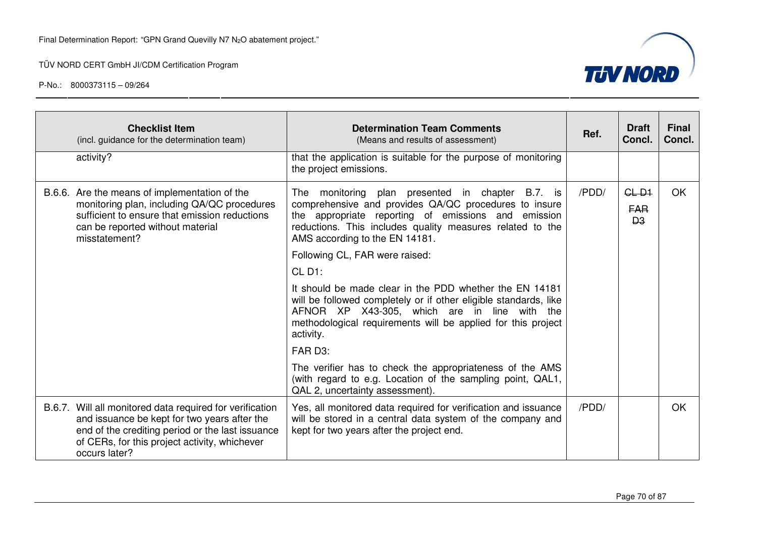

| <b>Checklist Item</b><br>(incl. guidance for the determination team)                                                                                                                                                           | <b>Determination Team Comments</b><br>(Means and results of assessment)                                                                                                                                                                                         | Ref.  | <b>Draft</b><br>Concl.                  | <b>Final</b><br>Concl. |
|--------------------------------------------------------------------------------------------------------------------------------------------------------------------------------------------------------------------------------|-----------------------------------------------------------------------------------------------------------------------------------------------------------------------------------------------------------------------------------------------------------------|-------|-----------------------------------------|------------------------|
| activity?                                                                                                                                                                                                                      | that the application is suitable for the purpose of monitoring<br>the project emissions.                                                                                                                                                                        |       |                                         |                        |
| B.6.6. Are the means of implementation of the<br>monitoring plan, including QA/QC procedures<br>sufficient to ensure that emission reductions<br>can be reported without material<br>misstatement?                             | The monitoring plan presented in chapter B.7. is<br>comprehensive and provides QA/QC procedures to insure<br>the appropriate reporting of emissions and emission<br>reductions. This includes quality measures related to the<br>AMS according to the EN 14181. | /PDD/ | $GL-D1$<br><b>FAR</b><br>B <sub>3</sub> | <b>OK</b>              |
|                                                                                                                                                                                                                                | Following CL, FAR were raised:                                                                                                                                                                                                                                  |       |                                         |                        |
|                                                                                                                                                                                                                                | $CL$ D1:                                                                                                                                                                                                                                                        |       |                                         |                        |
|                                                                                                                                                                                                                                | It should be made clear in the PDD whether the EN 14181<br>will be followed completely or if other eligible standards, like<br>AFNOR XP X43-305, which are in line with the<br>methodological requirements will be applied for this project<br>activity.        |       |                                         |                        |
|                                                                                                                                                                                                                                | FAR D3:                                                                                                                                                                                                                                                         |       |                                         |                        |
|                                                                                                                                                                                                                                | The verifier has to check the appropriateness of the AMS<br>(with regard to e.g. Location of the sampling point, QAL1,<br>QAL 2, uncertainty assessment).                                                                                                       |       |                                         |                        |
| B.6.7. Will all monitored data required for verification<br>and issuance be kept for two years after the<br>end of the crediting period or the last issuance<br>of CERs, for this project activity, whichever<br>occurs later? | Yes, all monitored data required for verification and issuance<br>will be stored in a central data system of the company and<br>kept for two years after the project end.                                                                                       | /PDD/ |                                         | <b>OK</b>              |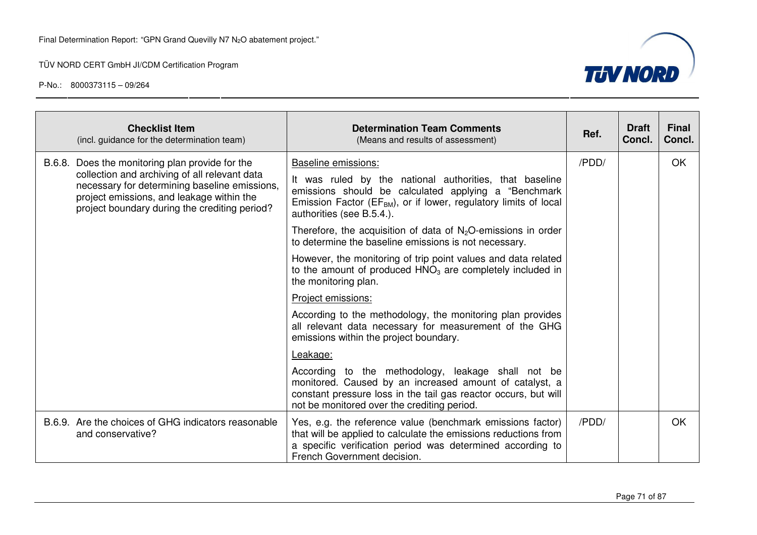

|                                                                                                                                                                                              | <b>Checklist Item</b><br>(incl. guidance for the determination team)                                                                                                                                                         | <b>Determination Team Comments</b><br>(Means and results of assessment)                                                                                                                                                         | Ref.  | <b>Draft</b><br>Concl. | <b>Final</b><br>Concl. |
|----------------------------------------------------------------------------------------------------------------------------------------------------------------------------------------------|------------------------------------------------------------------------------------------------------------------------------------------------------------------------------------------------------------------------------|---------------------------------------------------------------------------------------------------------------------------------------------------------------------------------------------------------------------------------|-------|------------------------|------------------------|
| B.6.8.                                                                                                                                                                                       | Does the monitoring plan provide for the                                                                                                                                                                                     | Baseline emissions:                                                                                                                                                                                                             | /PDD/ |                        | OK                     |
| collection and archiving of all relevant data<br>necessary for determining baseline emissions,<br>project emissions, and leakage within the<br>project boundary during the crediting period? | It was ruled by the national authorities, that baseline<br>emissions should be calculated applying a "Benchmark<br>Emission Factor (EF <sub>BM</sub> ), or if lower, regulatory limits of local<br>authorities (see B.5.4.). |                                                                                                                                                                                                                                 |       |                        |                        |
|                                                                                                                                                                                              |                                                                                                                                                                                                                              | Therefore, the acquisition of data of $N_2O$ -emissions in order<br>to determine the baseline emissions is not necessary.                                                                                                       |       |                        |                        |
|                                                                                                                                                                                              |                                                                                                                                                                                                                              | However, the monitoring of trip point values and data related<br>to the amount of produced $HNO3$ are completely included in<br>the monitoring plan.                                                                            |       |                        |                        |
|                                                                                                                                                                                              |                                                                                                                                                                                                                              | Project emissions:                                                                                                                                                                                                              |       |                        |                        |
|                                                                                                                                                                                              |                                                                                                                                                                                                                              | According to the methodology, the monitoring plan provides<br>all relevant data necessary for measurement of the GHG<br>emissions within the project boundary.                                                                  |       |                        |                        |
|                                                                                                                                                                                              |                                                                                                                                                                                                                              | Leakage:                                                                                                                                                                                                                        |       |                        |                        |
|                                                                                                                                                                                              |                                                                                                                                                                                                                              | According to the methodology, leakage shall not be<br>monitored. Caused by an increased amount of catalyst, a<br>constant pressure loss in the tail gas reactor occurs, but will<br>not be monitored over the crediting period. |       |                        |                        |
|                                                                                                                                                                                              | B.6.9. Are the choices of GHG indicators reasonable<br>and conservative?                                                                                                                                                     | Yes, e.g. the reference value (benchmark emissions factor)<br>that will be applied to calculate the emissions reductions from<br>a specific verification period was determined according to<br>French Government decision.      | /PDD/ |                        | OK                     |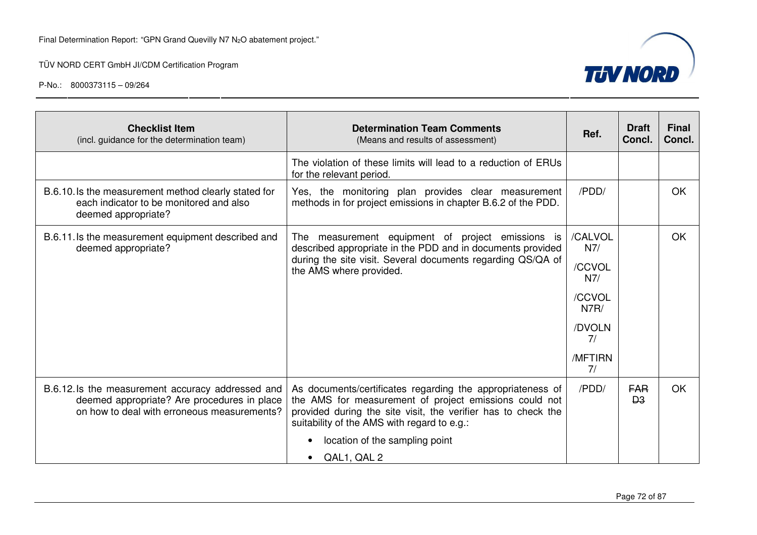

| <b>Checklist Item</b><br>(incl. guidance for the determination team)                                                                            | <b>Determination Team Comments</b><br>(Means and results of assessment)                                                                                                                                                              | Ref.           | <b>Draft</b><br>Concl.             | <b>Final</b><br>Concl. |
|-------------------------------------------------------------------------------------------------------------------------------------------------|--------------------------------------------------------------------------------------------------------------------------------------------------------------------------------------------------------------------------------------|----------------|------------------------------------|------------------------|
|                                                                                                                                                 | The violation of these limits will lead to a reduction of ERUs<br>for the relevant period.                                                                                                                                           |                |                                    |                        |
| B.6.10.1s the measurement method clearly stated for<br>each indicator to be monitored and also<br>deemed appropriate?                           | Yes, the monitoring plan provides clear measurement<br>methods in for project emissions in chapter B.6.2 of the PDD.                                                                                                                 | /PDD/          |                                    | <b>OK</b>              |
| B.6.11. Is the measurement equipment described and<br>deemed appropriate?                                                                       | The measurement equipment of project emissions<br>is.<br>described appropriate in the PDD and in documents provided                                                                                                                  | /CALVOL<br>N7/ |                                    | <b>OK</b>              |
|                                                                                                                                                 | during the site visit. Several documents regarding QS/QA of<br>the AMS where provided.                                                                                                                                               | /CCVOL<br>N7/  |                                    |                        |
|                                                                                                                                                 |                                                                                                                                                                                                                                      | /CCVOL<br>N7R/ |                                    |                        |
|                                                                                                                                                 |                                                                                                                                                                                                                                      | /DVOLN<br>7/   |                                    |                        |
|                                                                                                                                                 |                                                                                                                                                                                                                                      | /MFTIRN<br>7/  |                                    |                        |
| B.6.12. Is the measurement accuracy addressed and<br>deemed appropriate? Are procedures in place<br>on how to deal with erroneous measurements? | As documents/certificates regarding the appropriateness of<br>the AMS for measurement of project emissions could not<br>provided during the site visit, the verifier has to check the<br>suitability of the AMS with regard to e.g.: | /PDD/          | <b>FAR</b><br><b>D<sub>3</sub></b> | OK                     |
|                                                                                                                                                 | location of the sampling point<br>$\bullet$                                                                                                                                                                                          |                |                                    |                        |
|                                                                                                                                                 | QAL1, QAL 2                                                                                                                                                                                                                          |                |                                    |                        |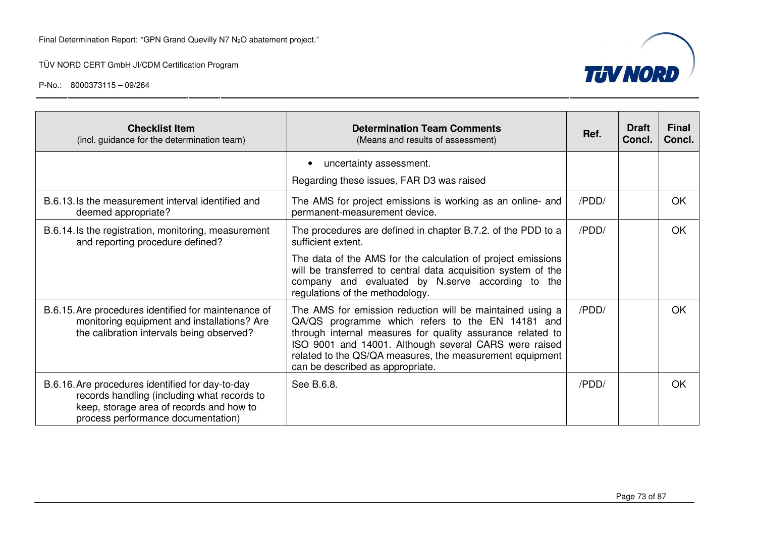

| <b>Checklist Item</b><br>(incl. guidance for the determination team)                                                                                                              | <b>Determination Team Comments</b><br>(Means and results of assessment)                                                                                                                                                                                                                                                              | Ref.  | <b>Draft</b><br>Concl. | <b>Final</b><br>Concl. |
|-----------------------------------------------------------------------------------------------------------------------------------------------------------------------------------|--------------------------------------------------------------------------------------------------------------------------------------------------------------------------------------------------------------------------------------------------------------------------------------------------------------------------------------|-------|------------------------|------------------------|
|                                                                                                                                                                                   | uncertainty assessment.                                                                                                                                                                                                                                                                                                              |       |                        |                        |
|                                                                                                                                                                                   | Regarding these issues, FAR D3 was raised                                                                                                                                                                                                                                                                                            |       |                        |                        |
| B.6.13. Is the measurement interval identified and<br>deemed appropriate?                                                                                                         | The AMS for project emissions is working as an online- and<br>permanent-measurement device.                                                                                                                                                                                                                                          | /PDD/ |                        | <b>OK</b>              |
| B.6.14. Is the registration, monitoring, measurement<br>and reporting procedure defined?                                                                                          | The procedures are defined in chapter B.7.2. of the PDD to a<br>sufficient extent.                                                                                                                                                                                                                                                   | /PDD/ |                        | <b>OK</b>              |
|                                                                                                                                                                                   | The data of the AMS for the calculation of project emissions<br>will be transferred to central data acquisition system of the<br>company and evaluated by N.serve according to the<br>regulations of the methodology.                                                                                                                |       |                        |                        |
| B.6.15. Are procedures identified for maintenance of<br>monitoring equipment and installations? Are<br>the calibration intervals being observed?                                  | The AMS for emission reduction will be maintained using a<br>QA/QS programme which refers to the EN 14181 and<br>through internal measures for quality assurance related to<br>ISO 9001 and 14001. Although several CARS were raised<br>related to the QS/QA measures, the measurement equipment<br>can be described as appropriate. | /PDD/ |                        | OK.                    |
| B.6.16. Are procedures identified for day-to-day<br>records handling (including what records to<br>keep, storage area of records and how to<br>process performance documentation) | See B.6.8.                                                                                                                                                                                                                                                                                                                           | /PDD/ |                        | <b>OK</b>              |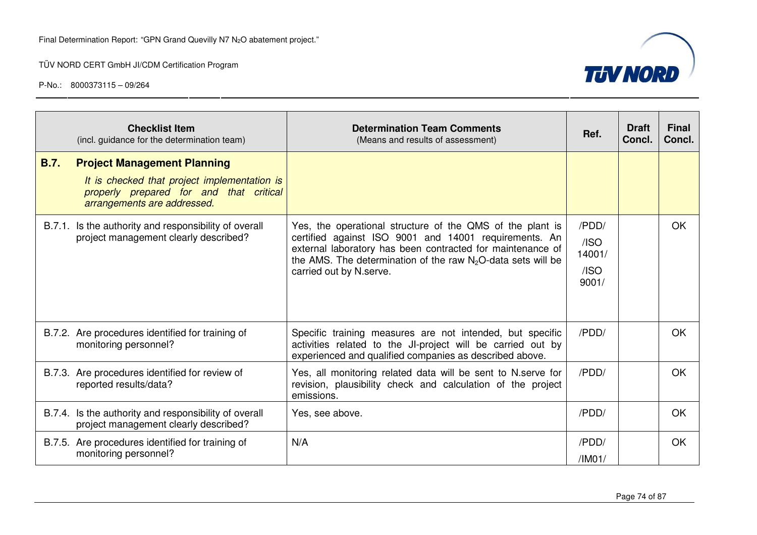

|             | <b>Checklist Item</b><br>(incl. guidance for the determination team)                                                                                         | <b>Determination Team Comments</b><br>(Means and results of assessment)                                                                                                                                                                                                        | Ref.                                     | <b>Draft</b><br>Concl. | <b>Final</b><br>Concl. |
|-------------|--------------------------------------------------------------------------------------------------------------------------------------------------------------|--------------------------------------------------------------------------------------------------------------------------------------------------------------------------------------------------------------------------------------------------------------------------------|------------------------------------------|------------------------|------------------------|
| <b>B.7.</b> | <b>Project Management Planning</b><br>It is checked that project implementation is<br>properly prepared for and that critical<br>arrangements are addressed. |                                                                                                                                                                                                                                                                                |                                          |                        |                        |
|             | B.7.1. Is the authority and responsibility of overall<br>project management clearly described?                                                               | Yes, the operational structure of the QMS of the plant is<br>certified against ISO 9001 and 14001 requirements. An<br>external laboratory has been contracted for maintenance of<br>the AMS. The determination of the raw $N_2O$ -data sets will be<br>carried out by N.serve. | /PDD/<br>/ISO<br>14001/<br>/ISO<br>9001/ |                        | <b>OK</b>              |
|             | B.7.2. Are procedures identified for training of<br>monitoring personnel?                                                                                    | Specific training measures are not intended, but specific<br>activities related to the JI-project will be carried out by<br>experienced and qualified companies as described above.                                                                                            | /PDD/                                    |                        | <b>OK</b>              |
|             | B.7.3. Are procedures identified for review of<br>reported results/data?                                                                                     | Yes, all monitoring related data will be sent to N.serve for<br>revision, plausibility check and calculation of the project<br>emissions.                                                                                                                                      | /PDD/                                    |                        | <b>OK</b>              |
|             | B.7.4. Is the authority and responsibility of overall<br>project management clearly described?                                                               | Yes, see above.                                                                                                                                                                                                                                                                | /PDD/                                    |                        | OK                     |
|             | B.7.5. Are procedures identified for training of<br>monitoring personnel?                                                                                    | N/A                                                                                                                                                                                                                                                                            | /PDD/<br>/IM01/                          |                        | <b>OK</b>              |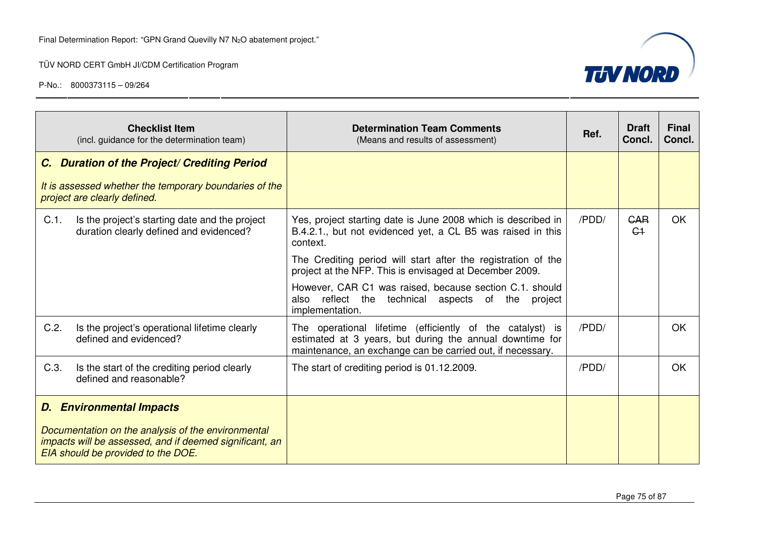

| <b>Checklist Item</b><br>(incl. guidance for the determination team)                                 | <b>Determination Team Comments</b><br>(Means and results of assessment)                                                                                                             | Ref.  | <b>Draft</b><br>Concl.       | <b>Final</b><br>Concl. |
|------------------------------------------------------------------------------------------------------|-------------------------------------------------------------------------------------------------------------------------------------------------------------------------------------|-------|------------------------------|------------------------|
| C. Duration of the Project/ Crediting Period                                                         |                                                                                                                                                                                     |       |                              |                        |
| It is assessed whether the temporary boundaries of the<br>project are clearly defined.               |                                                                                                                                                                                     |       |                              |                        |
| Is the project's starting date and the project<br>$C.1$ .<br>duration clearly defined and evidenced? | Yes, project starting date is June 2008 which is described in<br>B.4.2.1., but not evidenced yet, a CL B5 was raised in this<br>context.                                            | /PDD/ | <b>GAR</b><br>C <sub>1</sub> | OK.                    |
|                                                                                                      | The Crediting period will start after the registration of the<br>project at the NFP. This is envisaged at December 2009.                                                            |       |                              |                        |
|                                                                                                      | However, CAR C1 was raised, because section C.1. should<br>reflect<br>the<br>technical<br>aspects of the<br>also<br>project<br>implementation.                                      |       |                              |                        |
| C.2.<br>Is the project's operational lifetime clearly<br>defined and evidenced?                      | The operational lifetime (efficiently of the catalyst) is<br>estimated at 3 years, but during the annual downtime for<br>maintenance, an exchange can be carried out, if necessary. | /PDD/ |                              | <b>OK</b>              |
| C.3.<br>Is the start of the crediting period clearly<br>defined and reasonable?                      | The start of crediting period is 01.12.2009.                                                                                                                                        | /PDD/ |                              | OK                     |
| <b>D.</b> Environmental Impacts<br>Documentation on the analysis of the environmental                |                                                                                                                                                                                     |       |                              |                        |
| impacts will be assessed, and if deemed significant, an<br>EIA should be provided to the DOE.        |                                                                                                                                                                                     |       |                              |                        |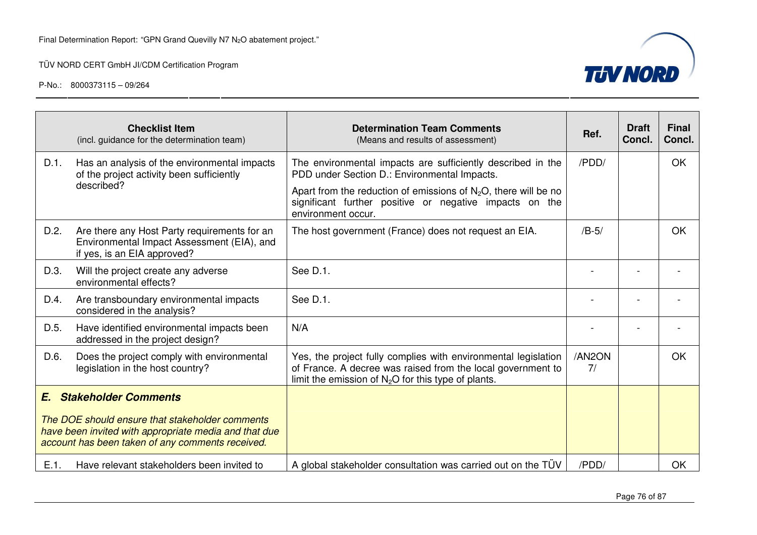

|      | <b>Checklist Item</b><br>(incl. guidance for the determination team)                                                                                         | <b>Determination Team Comments</b><br>(Means and results of assessment)                                                                                                                | Ref.         | <b>Draft</b><br>Concl. | <b>Final</b><br>Concl. |
|------|--------------------------------------------------------------------------------------------------------------------------------------------------------------|----------------------------------------------------------------------------------------------------------------------------------------------------------------------------------------|--------------|------------------------|------------------------|
| D.1. | Has an analysis of the environmental impacts<br>of the project activity been sufficiently                                                                    | The environmental impacts are sufficiently described in the<br>PDD under Section D.: Environmental Impacts.                                                                            | /PDD/        |                        | <b>OK</b>              |
|      | described?                                                                                                                                                   | Apart from the reduction of emissions of $N_2O$ , there will be no<br>significant further positive or negative impacts on the<br>environment occur.                                    |              |                        |                        |
| D.2. | Are there any Host Party requirements for an<br>Environmental Impact Assessment (EIA), and<br>if yes, is an EIA approved?                                    | The host government (France) does not request an EIA.                                                                                                                                  | $/B-5/$      |                        | OK                     |
| D.3. | Will the project create any adverse<br>environmental effects?                                                                                                | See D.1.                                                                                                                                                                               |              |                        |                        |
| D.4. | Are transboundary environmental impacts<br>considered in the analysis?                                                                                       | See D.1.                                                                                                                                                                               |              |                        |                        |
| D.5. | Have identified environmental impacts been<br>addressed in the project design?                                                                               | N/A                                                                                                                                                                                    |              |                        |                        |
| D.6. | Does the project comply with environmental<br>legislation in the host country?                                                                               | Yes, the project fully complies with environmental legislation<br>of France. A decree was raised from the local government to<br>limit the emission of $N_2O$ for this type of plants. | /AN2ON<br>7/ |                        | OK                     |
| E.   | <b>Stakeholder Comments</b>                                                                                                                                  |                                                                                                                                                                                        |              |                        |                        |
|      | The DOE should ensure that stakeholder comments<br>have been invited with appropriate media and that due<br>account has been taken of any comments received. |                                                                                                                                                                                        |              |                        |                        |
| E.1. | Have relevant stakeholders been invited to                                                                                                                   | A global stakeholder consultation was carried out on the TUV                                                                                                                           | /PDD/        |                        | <b>OK</b>              |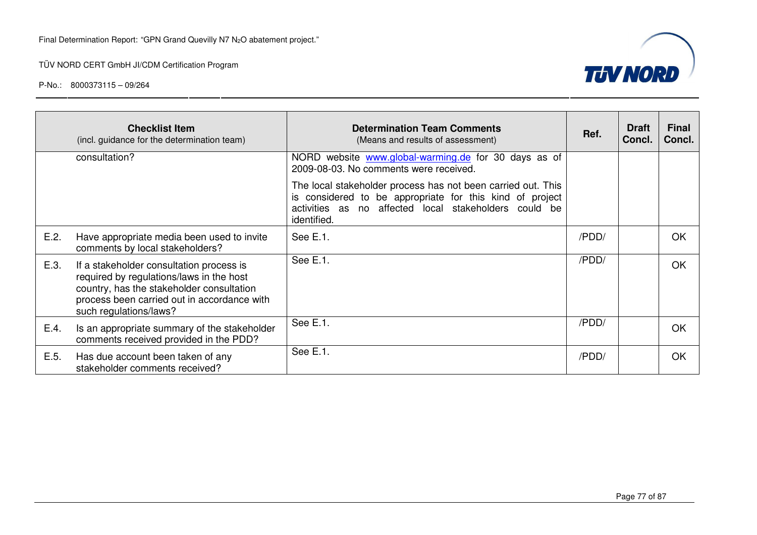

|      | <b>Checklist Item</b><br>(incl. guidance for the determination team)                                                                                                                                       | <b>Determination Team Comments</b><br>(Means and results of assessment)                                                                                                                          | Ref.  | <b>Draft</b><br>Concl. | <b>Final</b><br>Concl. |
|------|------------------------------------------------------------------------------------------------------------------------------------------------------------------------------------------------------------|--------------------------------------------------------------------------------------------------------------------------------------------------------------------------------------------------|-------|------------------------|------------------------|
|      | consultation?                                                                                                                                                                                              | NORD website www.global-warming.de for 30 days as of<br>2009-08-03. No comments were received.                                                                                                   |       |                        |                        |
|      |                                                                                                                                                                                                            | The local stakeholder process has not been carried out. This<br>is considered to be appropriate for this kind of project<br>activities as no affected local stakeholders could be<br>identified. |       |                        |                        |
| E.2. | Have appropriate media been used to invite<br>comments by local stakeholders?                                                                                                                              | See E.1.                                                                                                                                                                                         | /PDD/ |                        | OK                     |
| E.3. | If a stakeholder consultation process is<br>required by regulations/laws in the host<br>country, has the stakeholder consultation<br>process been carried out in accordance with<br>such regulations/laws? | See E.1.                                                                                                                                                                                         | /PDD/ |                        | <b>OK</b>              |
| E.4. | Is an appropriate summary of the stakeholder<br>comments received provided in the PDD?                                                                                                                     | See E.1.                                                                                                                                                                                         | /PDD/ |                        | <b>OK</b>              |
| E.5. | Has due account been taken of any<br>stakeholder comments received?                                                                                                                                        | See E.1.                                                                                                                                                                                         | /PDD/ |                        | OK                     |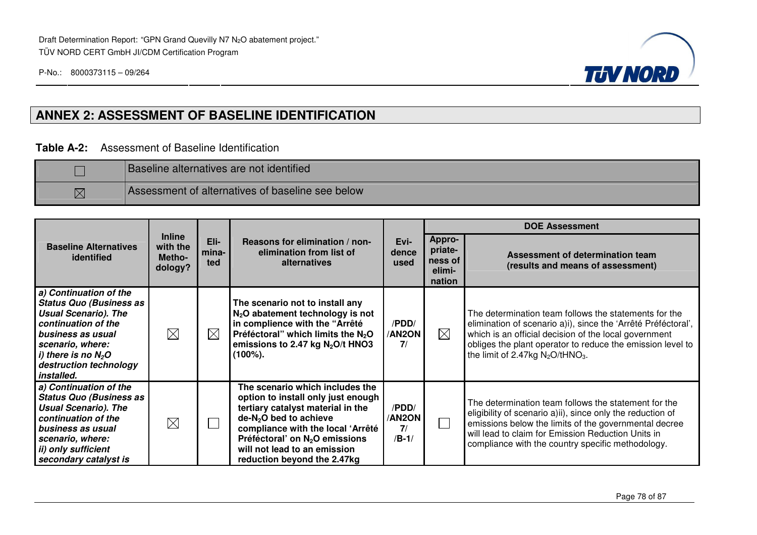

## **ANNEX 2: ASSESSMENT OF BASELINE IDENTIFICATION**

#### **Table A-2:** Assessment of Baseline Identification

|             | <b>Baseline alternatives are not identified</b>  |
|-------------|--------------------------------------------------|
| $\boxtimes$ | Assessment of alternatives of baseline see below |

|                                                                                                                                                                                                                          |                                                |                                                                                                    |                                                                                                                                                                                                                                                                                         |                                        | <b>DOE Assessment</b>                                   |                                                                                                                                                                                                                                                                                                  |  |
|--------------------------------------------------------------------------------------------------------------------------------------------------------------------------------------------------------------------------|------------------------------------------------|----------------------------------------------------------------------------------------------------|-----------------------------------------------------------------------------------------------------------------------------------------------------------------------------------------------------------------------------------------------------------------------------------------|----------------------------------------|---------------------------------------------------------|--------------------------------------------------------------------------------------------------------------------------------------------------------------------------------------------------------------------------------------------------------------------------------------------------|--|
| <b>Baseline Alternatives</b><br>identified                                                                                                                                                                               | <b>Inline</b><br>with the<br>Metho-<br>dology? | Eli-<br>Reasons for elimination / non-<br>elimination from list of<br>mina-<br>alternatives<br>ted |                                                                                                                                                                                                                                                                                         | Evi-<br>dence<br>used                  | <b>Appro-</b><br>priate-<br>ness of<br>elimi-<br>nation | Assessment of determination team<br>(results and means of assessment)                                                                                                                                                                                                                            |  |
| a) Continuation of the<br><b>Status Quo (Business as</b><br><b>Usual Scenario). The</b><br>continuation of the<br>business as usual<br>scenario, where:<br>i) there is no $N_2O$<br>destruction technology<br>installed. | $\boxtimes$                                    | $\boxtimes$                                                                                        | The scenario not to install any<br>$N2O$ abatement technology is not<br>in complience with the "Arrêté<br>Préféctoral" which limits the N <sub>2</sub> O<br>emissions to 2.47 kg $N_2O/t$ HNO3<br>$(100\%)$ .                                                                           | /PDD/<br><b>AN2ON</b><br>7/            | $\boxtimes$                                             | The determination team follows the statements for the<br>elimination of scenario a)i), since the 'Arrêté Préféctoral',<br>which is an official decision of the local government<br>obliges the plant operator to reduce the emission level to<br>the limit of 2.47kg $N_2O$ /tHNO <sub>3</sub> . |  |
| a) Continuation of the<br><b>Status Quo (Business as</b><br><b>Usual Scenario). The</b><br>continuation of the<br>business as usual<br>scenario, where:<br>ii) only sufficient<br>secondary catalyst is                  | $\boxtimes$                                    |                                                                                                    | The scenario which includes the<br>option to install only just enough<br>tertiary catalyst material in the<br>$de-N2O$ bed to achieve<br>compliance with the local 'Arrêté<br>Préféctoral' on N <sub>2</sub> O emissions<br>will not lead to an emission<br>reduction beyond the 2.47kg | /PDD/<br><b>AN2ON</b><br>7/<br>$/B-1/$ |                                                         | The determination team follows the statement for the<br>eligibility of scenario a)ii), since only the reduction of<br>emissions below the limits of the governmental decree<br>will lead to claim for Emission Reduction Units in<br>compliance with the country specific methodology.           |  |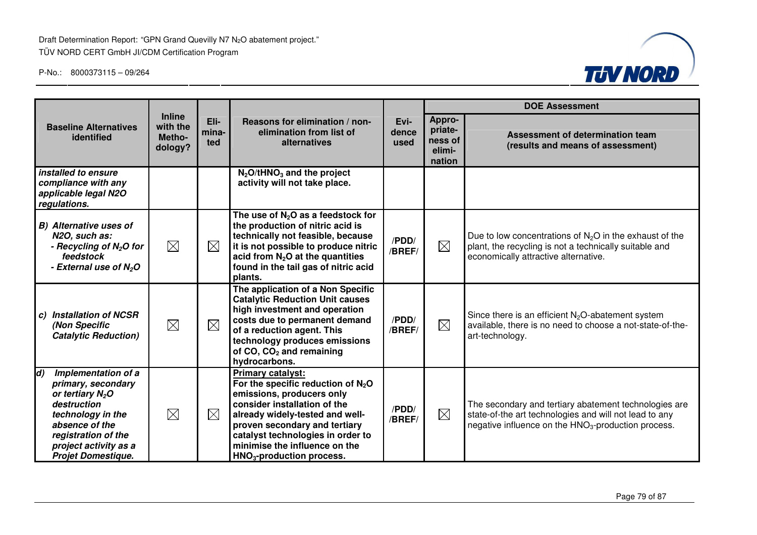Draft Determination Report: "GPN Grand Quevilly N7 N<sub>2</sub>O abatement project." TÜV NORD CERT GmbH JI/CDM Certification Program



|                                                                                                                                                                                                                 |                                                |                      |                                                                                                                                                                                                                                                                                                                  |                       | <b>DOE Assessment</b>                                   |                                                                                                                                                                                    |  |
|-----------------------------------------------------------------------------------------------------------------------------------------------------------------------------------------------------------------|------------------------------------------------|----------------------|------------------------------------------------------------------------------------------------------------------------------------------------------------------------------------------------------------------------------------------------------------------------------------------------------------------|-----------------------|---------------------------------------------------------|------------------------------------------------------------------------------------------------------------------------------------------------------------------------------------|--|
| <b>Baseline Alternatives</b><br>identified                                                                                                                                                                      | <b>Inline</b><br>with the<br>Metho-<br>dology? | Eli-<br>mina-<br>ted | Reasons for elimination / non-<br>elimination from list of<br>alternatives                                                                                                                                                                                                                                       | Evi-<br>dence<br>used | <b>Appro-</b><br>priate-<br>ness of<br>elimi-<br>nation | Assessment of determination team<br>(results and means of assessment)                                                                                                              |  |
| installed to ensure<br>compliance with any<br>applicable legal N2O<br>regulations.                                                                                                                              |                                                |                      | $N_2$ O/tHNO <sub>3</sub> and the project<br>activity will not take place.                                                                                                                                                                                                                                       |                       |                                                         |                                                                                                                                                                                    |  |
| <b>B)</b> Alternative uses of<br>N2O, such as:<br>- Recycling of N <sub>2</sub> O for<br>feedstock<br>- External use of N <sub>2</sub> O                                                                        | $\boxtimes$                                    | $\boxtimes$          | The use of $N_2O$ as a feedstock for<br>the production of nitric acid is<br>technically not feasible, because<br>it is not possible to produce nitric<br>acid from $N_2O$ at the quantities<br>found in the tail gas of nitric acid<br>plants.                                                                   | /PDD/<br>/BREF/       | $\boxtimes$                                             | Due to low concentrations of $N2O$ in the exhaust of the<br>plant, the recycling is not a technically suitable and<br>economically attractive alternative.                         |  |
| <b>Installation of NCSR</b><br>C)<br>(Non Specific<br><b>Catalytic Reduction)</b>                                                                                                                               | $\boxtimes$                                    | $\boxtimes$          | The application of a Non Specific<br><b>Catalytic Reduction Unit causes</b><br>high investment and operation<br>costs due to permanent demand<br>of a reduction agent. This<br>technology produces emissions<br>of CO, CO <sub>2</sub> and remaining<br>hydrocarbons.                                            | /PDD/<br>/BREF/       | $\boxtimes$                                             | Since there is an efficient $N_2O$ -abatement system<br>available, there is no need to choose a not-state-of-the-<br>art-technology.                                               |  |
| $\vert d$<br>Implementation of a<br>primary, secondary<br>or tertiary $N_2O$<br>destruction<br>technology in the<br>absence of the<br>registration of the<br>project activity as a<br><b>Projet Domestique.</b> | $\boxtimes$                                    | $\boxtimes$          | <b>Primary catalyst:</b><br>For the specific reduction of $N_2O$<br>emissions, producers only<br>consider installation of the<br>already widely-tested and well-<br>proven secondary and tertiary<br>catalyst technologies in order to<br>minimise the influence on the<br>HNO <sub>3</sub> -production process. | /PDD/<br>/BREF/       | $\boxtimes$                                             | The secondary and tertiary abatement technologies are<br>state-of-the art technologies and will not lead to any<br>negative influence on the HNO <sub>3</sub> -production process. |  |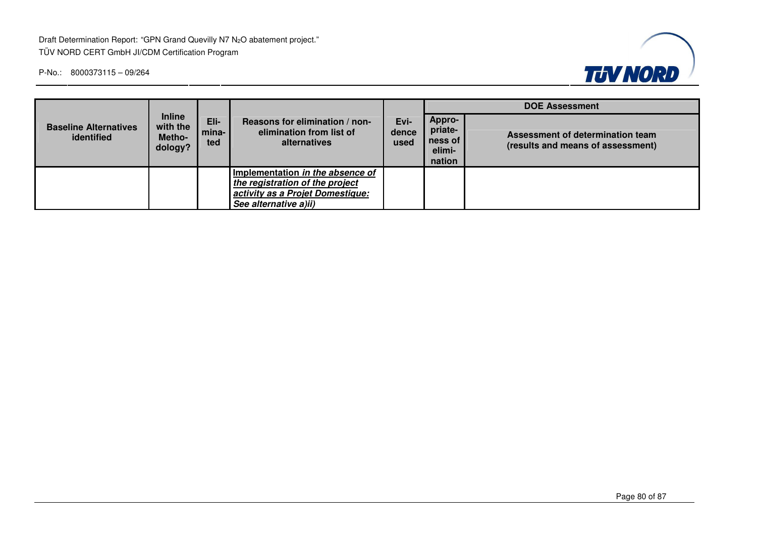Draft Determination Report: "GPN Grand Quevilly N7 N<sub>2</sub>O abatement project." TÜV NORD CERT GmbH JI/CDM Certification Program



|                                            |                                                |                      |                                                                                                                                  |                       | <b>DOE Assessment</b>                            |                                                                       |  |  |
|--------------------------------------------|------------------------------------------------|----------------------|----------------------------------------------------------------------------------------------------------------------------------|-----------------------|--------------------------------------------------|-----------------------------------------------------------------------|--|--|
| <b>Baseline Alternatives</b><br>identified | <b>Inline</b><br>with the<br>Metho-<br>dology? | Eli-<br>mina-<br>ted | Reasons for elimination / non-<br>elimination from list of<br>alternatives                                                       | Evi-<br>dence<br>used | Appro-<br>priate-<br>ness of<br>elimi-<br>nation | Assessment of determination team<br>(results and means of assessment) |  |  |
|                                            |                                                |                      | Implementation in the absence of<br>the registration of the project<br>activity as a Projet Domestique:<br>See alternative a)ii) |                       |                                                  |                                                                       |  |  |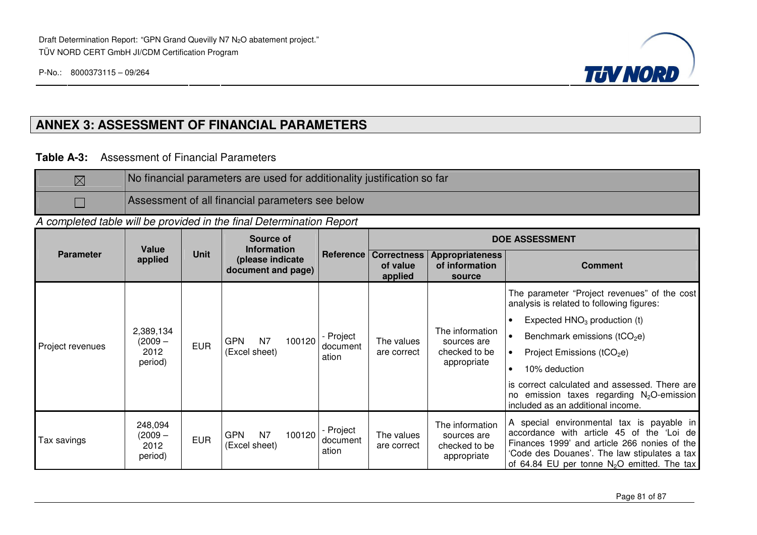

#### **ANNEX 3: ASSESSMENT OF FINANCIAL PARAMETERS**

#### **Table A-3:** Assessment of Financial Parameters

| $\boxtimes$ | No financial parameters are used for additionality justification so far |
|-------------|-------------------------------------------------------------------------|
|             | Assessment of all financial parameters see below                        |

A completed table will be provided in the final Determination Report

|                  | Value                                   |             | Source of<br><b>Information</b>        |        |                                | <b>DOE ASSESSMENT</b>                               |                                                                |                                                                                                                                                                                                                                         |  |
|------------------|-----------------------------------------|-------------|----------------------------------------|--------|--------------------------------|-----------------------------------------------------|----------------------------------------------------------------|-----------------------------------------------------------------------------------------------------------------------------------------------------------------------------------------------------------------------------------------|--|
| <b>Parameter</b> | applied                                 | <b>Unit</b> | (please indicate<br>document and page) |        |                                | <b>Reference Correctness</b><br>of value<br>applied | <b>Appropriateness</b><br>of information<br>source             | <b>Comment</b>                                                                                                                                                                                                                          |  |
| Project revenues |                                         |             |                                        | 100120 |                                |                                                     | The information<br>sources are<br>checked to be<br>appropriate | The parameter "Project revenues" of the cost<br>analysis is related to following figures:                                                                                                                                               |  |
|                  |                                         |             |                                        |        |                                |                                                     |                                                                | Expected $HNO3$ production (t)                                                                                                                                                                                                          |  |
|                  | 2,389,134<br>(2009 —<br>2012<br>period) | <b>EUR</b>  | <b>GPN</b><br>N <sub>7</sub>           |        | - Project<br>document<br>ation | The values                                          |                                                                | Benchmark emissions ( $tCO2e$ )                                                                                                                                                                                                         |  |
|                  |                                         |             | (Excel sheet)                          |        |                                | are correct                                         |                                                                | Project Emissions ( $tCO2e$ )                                                                                                                                                                                                           |  |
|                  |                                         |             |                                        |        |                                |                                                     |                                                                | 10% deduction<br>$\bullet$                                                                                                                                                                                                              |  |
|                  |                                         |             |                                        |        |                                |                                                     |                                                                | is correct calculated and assessed. There are I<br>no emission taxes regarding N <sub>2</sub> O-emission<br>included as an additional income.                                                                                           |  |
| Гах savings      | 248,094<br>(2009 —<br>2012<br>period)   | <b>EUR</b>  | <b>GPN</b><br>N7<br>(Excel sheet)      | 100120 | - Project<br>document<br>ation | The values<br>are correct                           | The information<br>sources are<br>checked to be<br>appropriate | A special environmental tax is payable in<br>accordance with article 45 of the 'Loi de<br>Finances 1999' and article 266 nonies of the<br>'Code des Douanes'. The law stipulates a tax<br>of 64.84 EU per tonne $N_2O$ emitted. The tax |  |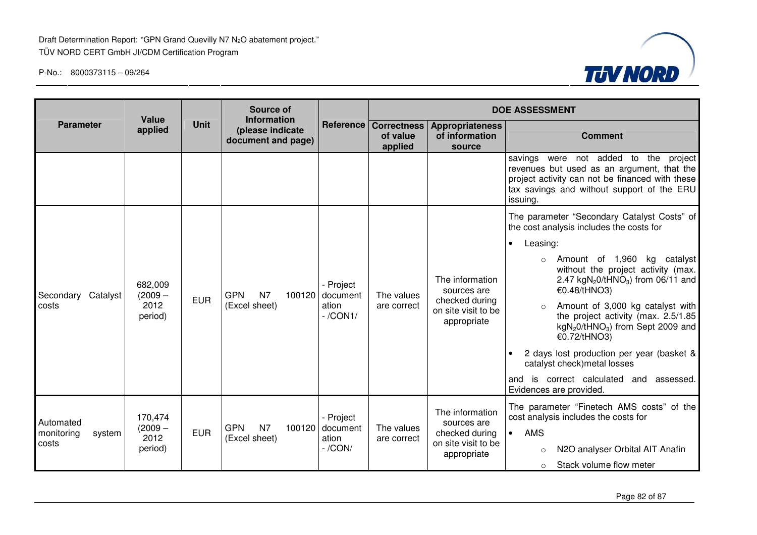

|                                            | Value                                   |             | Source of<br><b>Information</b>                         |                                                       |                                           |                                                                                        | <b>DOE ASSESSMENT</b>                                                                                                                                                                                                                                                                                                                                                                                                                                                                                                                                      |
|--------------------------------------------|-----------------------------------------|-------------|---------------------------------------------------------|-------------------------------------------------------|-------------------------------------------|----------------------------------------------------------------------------------------|------------------------------------------------------------------------------------------------------------------------------------------------------------------------------------------------------------------------------------------------------------------------------------------------------------------------------------------------------------------------------------------------------------------------------------------------------------------------------------------------------------------------------------------------------------|
| <b>Parameter</b>                           | applied                                 | <b>Unit</b> | (please indicate<br>document and page)                  | Reference                                             | <b>Correctness</b><br>of value<br>applied | <b>Appropriateness</b><br>of information<br>source                                     | <b>Comment</b>                                                                                                                                                                                                                                                                                                                                                                                                                                                                                                                                             |
|                                            |                                         |             |                                                         |                                                       |                                           |                                                                                        | savings were not added to the project<br>revenues but used as an argument, that the<br>project activity can not be financed with these<br>tax savings and without support of the ERU<br>issuing.                                                                                                                                                                                                                                                                                                                                                           |
| Secondary Catalyst<br>costs                | 682,009<br>$(2009 -$<br>2012<br>period) | <b>EUR</b>  | N <sub>7</sub><br><b>GPN</b><br>(Excel sheet)           | - Project<br>$100120$ document<br>ation<br>$-$ /CON1/ | The values<br>are correct                 | The information<br>sources are<br>checked during<br>on site visit to be<br>appropriate | The parameter "Secondary Catalyst Costs" of<br>the cost analysis includes the costs for<br>Leasing:<br>$\bullet$<br>Amount of 1,960 kg catalyst<br>without the project activity (max.<br>2.47 kgN <sub>2</sub> 0/tHNO <sub>3</sub> ) from 06/11 and<br>€0.48/tHNO3)<br>Amount of 3,000 kg catalyst with<br>the project activity (max. 2.5/1.85<br>$kgN2O/tHNO3$ ) from Sept 2009 and<br>€0.72/tHNO3)<br>2 days lost production per year (basket &<br>catalyst check) metal losses<br>and is correct calculated and<br>assessed.<br>Evidences are provided. |
| Automated<br>monitoring<br>system<br>costs | 170,474<br>$(2009 -$<br>2012<br>period) | <b>EUR</b>  | N <sub>7</sub><br><b>GPN</b><br>100120<br>(Excel sheet) | - Project<br>document<br>ation<br>$-$ /CON/           | The values<br>are correct                 | The information<br>sources are<br>checked during<br>on site visit to be<br>appropriate | The parameter "Finetech AMS costs" of the<br>cost analysis includes the costs for<br><b>AMS</b><br>$\bullet$<br>N2O analyser Orbital AIT Anafin<br>$\circ$<br>Stack volume flow meter<br>$\circ$                                                                                                                                                                                                                                                                                                                                                           |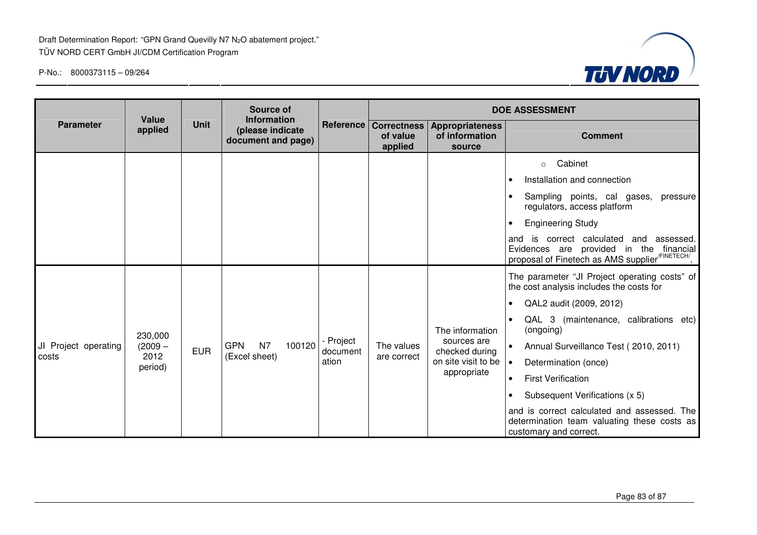

|                                                                               | Value                                   |            | Source of<br><b>Information</b>             |                                                    | <b>DOE ASSESSMENT</b>     |                                                                                        |                                                                                                                                                                                                                                                                                                                                                                                                                                                                                                     |  |
|-------------------------------------------------------------------------------|-----------------------------------------|------------|---------------------------------------------|----------------------------------------------------|---------------------------|----------------------------------------------------------------------------------------|-----------------------------------------------------------------------------------------------------------------------------------------------------------------------------------------------------------------------------------------------------------------------------------------------------------------------------------------------------------------------------------------------------------------------------------------------------------------------------------------------------|--|
| Unit<br><b>Parameter</b><br>applied<br>(please indicate<br>document and page) |                                         | Reference  | <b>Correctness</b><br>of value<br>applied   | <b>Appropriateness</b><br>of information<br>source | <b>Comment</b>            |                                                                                        |                                                                                                                                                                                                                                                                                                                                                                                                                                                                                                     |  |
|                                                                               |                                         |            |                                             |                                                    |                           |                                                                                        | Cabinet<br>$\circ$<br>Installation and connection<br>$\bullet$<br>Sampling points, cal gases,<br>pressure<br>regulators, access platform<br><b>Engineering Study</b><br>and is correct calculated and assessed.<br>Evidences are provided in the financial<br>proposal of Finetech as AMS supplier <sup>/FINETECH/</sup> .                                                                                                                                                                          |  |
| JI Project operating<br>costs                                                 | 230,000<br>$(2009 -$<br>2012<br>period) | <b>EUR</b> | N7<br>100120<br><b>GPN</b><br>(Excel sheet) | Project<br>document<br>ation                       | The values<br>are correct | The information<br>sources are<br>checked during<br>on site visit to be<br>appropriate | The parameter "JI Project operating costs" of<br>the cost analysis includes the costs for<br>QAL2 audit (2009, 2012)<br>$\bullet$<br>QAL 3 (maintenance, calibrations etc)<br>(ongoing)<br>Annual Surveillance Test (2010, 2011)<br>$\bullet$<br>Determination (once)<br>$\bullet$<br><b>First Verification</b><br>$\bullet$<br>Subsequent Verifications (x 5)<br>$\bullet$<br>and is correct calculated and assessed. The<br>determination team valuating these costs as<br>customary and correct. |  |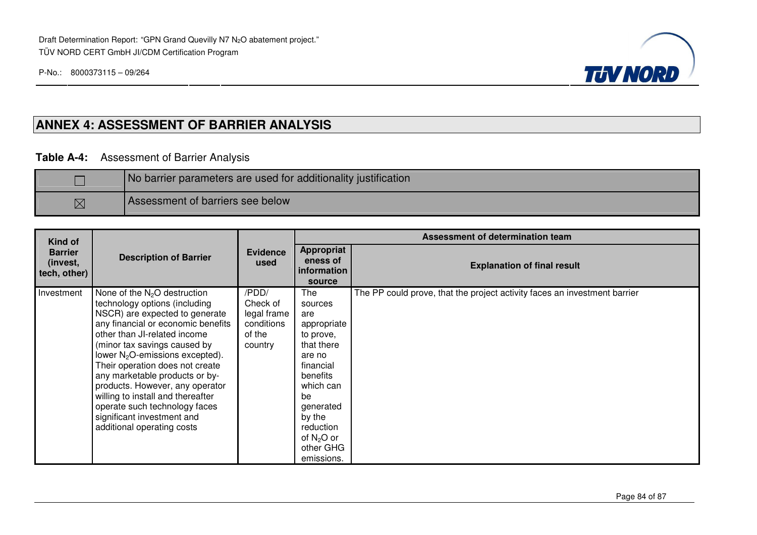

# **ANNEX 4: ASSESSMENT OF BARRIER ANALYSIS**

#### **Table A-4:** Assessment of Barrier Analysis

|             | No barrier parameters are used for additionality justification |  |  |  |  |  |
|-------------|----------------------------------------------------------------|--|--|--|--|--|
| $\boxtimes$ | Assessment of barriers see below                               |  |  |  |  |  |

| <b>Kind of</b>                             |                                                                                                                                                                                                                                                                                                                                                                                                                                                                                         | <b>Evidence</b><br>used                                             | Assessment of determination team                                                                                                                                                                     |                                                                           |  |  |
|--------------------------------------------|-----------------------------------------------------------------------------------------------------------------------------------------------------------------------------------------------------------------------------------------------------------------------------------------------------------------------------------------------------------------------------------------------------------------------------------------------------------------------------------------|---------------------------------------------------------------------|------------------------------------------------------------------------------------------------------------------------------------------------------------------------------------------------------|---------------------------------------------------------------------------|--|--|
| <b>Barrier</b><br>(invest,<br>tech, other) | <b>Description of Barrier</b>                                                                                                                                                                                                                                                                                                                                                                                                                                                           |                                                                     | <b>Appropriat</b><br>eness of<br>information<br>source                                                                                                                                               | <b>Explanation of final result</b>                                        |  |  |
| Investment                                 | None of the $N_2O$ destruction<br>technology options (including<br>NSCR) are expected to generate<br>any financial or economic benefits<br>other than JI-related income<br>(minor tax savings caused by<br>lower $N_2O$ -emissions excepted).<br>Their operation does not create<br>any marketable products or by-<br>products. However, any operator<br>willing to install and thereafter<br>operate such technology faces<br>significant investment and<br>additional operating costs | /PDD/<br>Check of<br>legal frame<br>conditions<br>of the<br>country | The<br>sources<br>are<br>appropriate<br>to prove,<br>that there<br>are no<br>financial<br>benefits<br>which can<br>be<br>generated<br>by the<br>reduction<br>of $N_2O$ or<br>other GHG<br>emissions. | The PP could prove, that the project activity faces an investment barrier |  |  |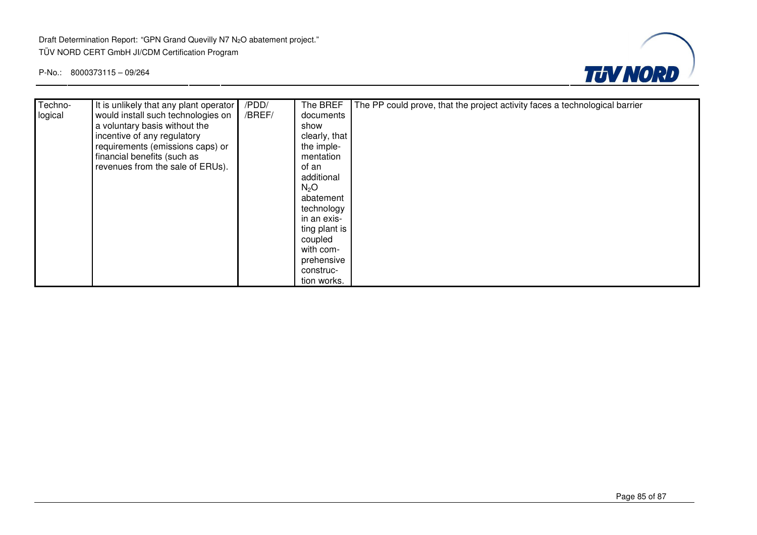

| Techno- | It is unlikely that any plant operator | /PDD/  | The BREF         | The PP could prove, that the project activity faces a technological barrier |
|---------|----------------------------------------|--------|------------------|-----------------------------------------------------------------------------|
| logical | would install such technologies on     | /BREF/ | documents        |                                                                             |
|         | a voluntary basis without the          |        | show             |                                                                             |
|         | incentive of any regulatory            |        | clearly, that    |                                                                             |
|         | requirements (emissions caps) or       |        | the imple-       |                                                                             |
|         | financial benefits (such as            |        | mentation        |                                                                             |
|         | revenues from the sale of ERUs).       |        | of an            |                                                                             |
|         |                                        |        | additional       |                                                                             |
|         |                                        |        | N <sub>2</sub> O |                                                                             |
|         |                                        |        | abatement        |                                                                             |
|         |                                        |        | technology       |                                                                             |
|         |                                        |        | in an exis-      |                                                                             |
|         |                                        |        | ting plant is    |                                                                             |
|         |                                        |        | coupled          |                                                                             |
|         |                                        |        | with com-        |                                                                             |
|         |                                        |        | prehensive       |                                                                             |
|         |                                        |        | construc-        |                                                                             |
|         |                                        |        | tion works.      |                                                                             |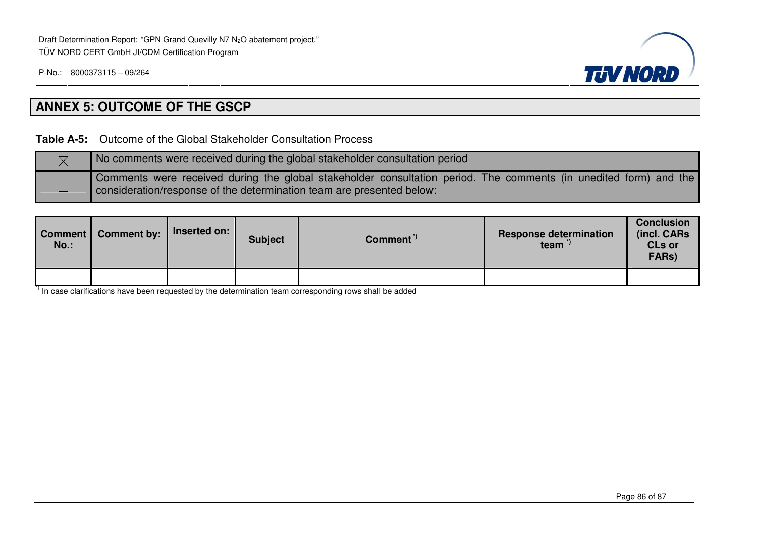

# **ANNEX 5: OUTCOME OF THE GSCP**

**Table A-5:** Outcome of the Global Stakeholder Consultation Process

| $\boxtimes$ | No comments were received during the global stakeholder consultation period                                                                                                                |
|-------------|--------------------------------------------------------------------------------------------------------------------------------------------------------------------------------------------|
|             | Comments were received during the global stakeholder consultation period. The comments (in unedited form) and the<br>consideration/response of the determination team are presented below: |

| Comment  <br>$No.$ : | <b>Comment by:</b> | Inserted on: | <b>Subject</b> | Comment <sup>"</sup> | <b>Response determination</b><br>team <sup>"</sup> | <b>Conclusion</b><br>(incl. CARs<br><b>CLs or</b><br>FARs) |
|----------------------|--------------------|--------------|----------------|----------------------|----------------------------------------------------|------------------------------------------------------------|
|                      |                    |              |                |                      |                                                    |                                                            |

 $\overline{1}$  In case clarifications have been requested by the determination team corresponding rows shall be added